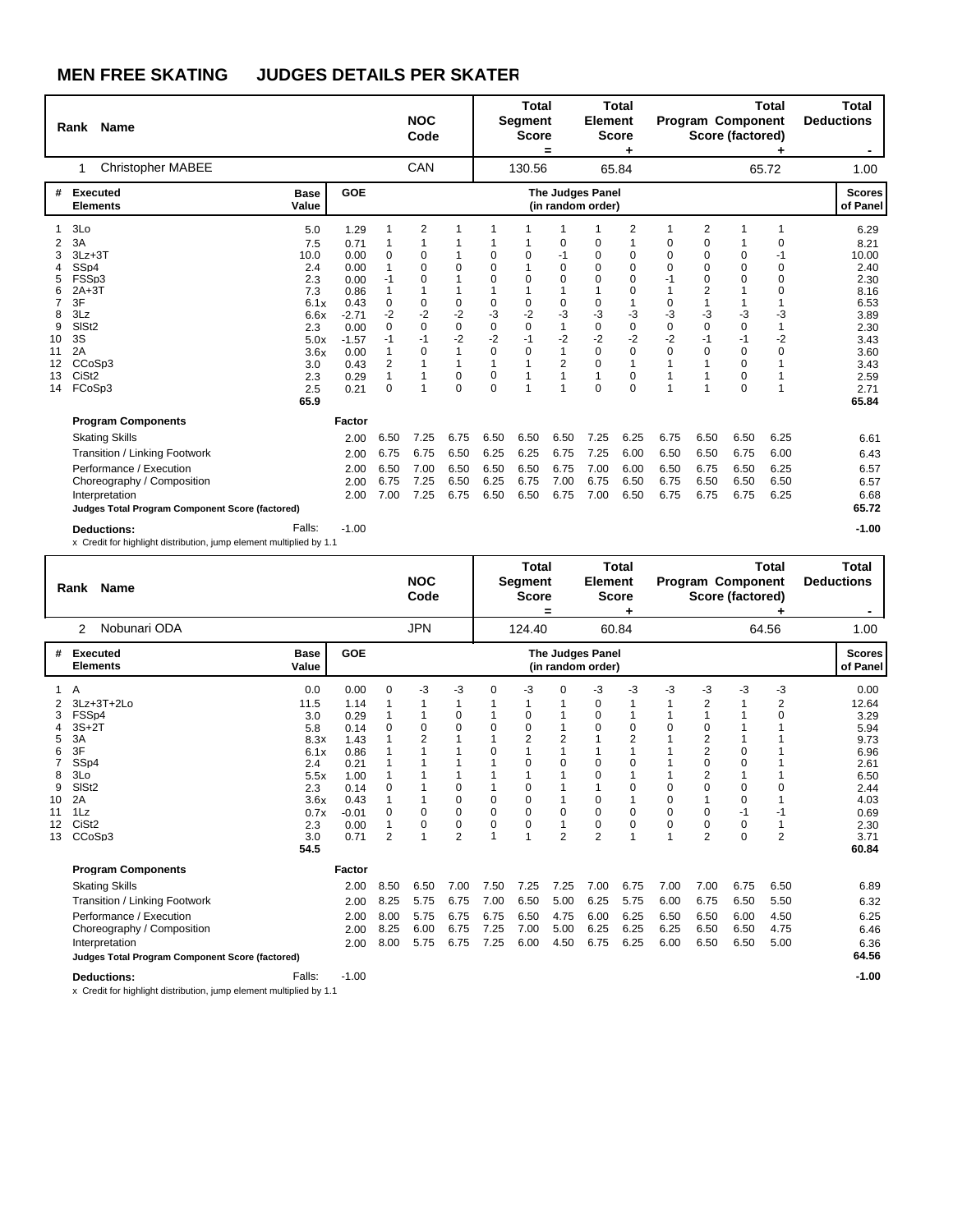|                                                | Name<br>Rank                                                                                                                                                                                                                            |                                                                                                             |                                                                                                                    |                                                                                | <b>NOC</b><br>Code                                     |                                                                                                                         |                                                                                                                                | <b>Total</b><br><b>Segment</b><br><b>Score</b>                                                                    | $=$                                                                     | <b>Element</b>                                                                                       | <b>Total</b><br><b>Score</b>                                                                                      |                                                                                 |                                                                                                                                                                  | Program Component<br>Score (factored)                                                                         | <b>Total</b>                                                                  | Total<br><b>Deductions</b>                                                                                             |
|------------------------------------------------|-----------------------------------------------------------------------------------------------------------------------------------------------------------------------------------------------------------------------------------------|-------------------------------------------------------------------------------------------------------------|--------------------------------------------------------------------------------------------------------------------|--------------------------------------------------------------------------------|--------------------------------------------------------|-------------------------------------------------------------------------------------------------------------------------|--------------------------------------------------------------------------------------------------------------------------------|-------------------------------------------------------------------------------------------------------------------|-------------------------------------------------------------------------|------------------------------------------------------------------------------------------------------|-------------------------------------------------------------------------------------------------------------------|---------------------------------------------------------------------------------|------------------------------------------------------------------------------------------------------------------------------------------------------------------|---------------------------------------------------------------------------------------------------------------|-------------------------------------------------------------------------------|------------------------------------------------------------------------------------------------------------------------|
|                                                | <b>Christopher MABEE</b>                                                                                                                                                                                                                |                                                                                                             |                                                                                                                    |                                                                                | CAN                                                    |                                                                                                                         |                                                                                                                                | 130.56                                                                                                            |                                                                         |                                                                                                      | 65.84                                                                                                             |                                                                                 |                                                                                                                                                                  |                                                                                                               | 65.72                                                                         | 1.00                                                                                                                   |
| #                                              | <b>Executed</b><br><b>Elements</b>                                                                                                                                                                                                      | <b>Base</b><br>Value                                                                                        | <b>GOE</b>                                                                                                         |                                                                                |                                                        |                                                                                                                         |                                                                                                                                |                                                                                                                   |                                                                         | <b>The Judges Panel</b><br>(in random order)                                                         |                                                                                                                   |                                                                                 |                                                                                                                                                                  |                                                                                                               |                                                                               | <b>Scores</b><br>of Panel                                                                                              |
| 2<br>6<br>8<br>9<br>10<br>11<br>12<br>13<br>14 | 3Lo<br>3A<br>$3Lz + 3T$<br>SS <sub>p4</sub><br>FSSp3<br>$2A+3T$<br>3F<br>3Lz<br>SIS <sub>t2</sub><br>3S<br>2A<br>CC <sub>o</sub> S <sub>p3</sub><br>CiSt <sub>2</sub><br>FCoSp3                                                         | 5.0<br>7.5<br>10.0<br>2.4<br>2.3<br>7.3<br>6.1x<br>6.6x<br>2.3<br>5.0x<br>3.6x<br>3.0<br>2.3<br>2.5<br>65.9 | 1.29<br>0.71<br>0.00<br>0.00<br>0.00<br>0.86<br>0.43<br>$-2.71$<br>0.00<br>$-1.57$<br>0.00<br>0.43<br>0.29<br>0.21 | 1<br>0<br>1<br>$-1$<br>1<br>0<br>$-2$<br>0<br>$-1$<br>1<br>$\overline{2}$<br>0 | 2<br>0<br>$\Omega$<br>0<br>0<br>$-2$<br>0<br>$-1$<br>0 | 1<br>1<br>0<br>$\mathbf{1}$<br>$\mathbf{1}$<br>0<br>$-2$<br>$\pmb{0}$<br>$-2$<br>$\mathbf{1}$<br>$\mathbf{1}$<br>0<br>0 | 1<br>$\mathbf 0$<br>$\mathbf 0$<br>$\mathbf 0$<br>1<br>0<br>-3<br>0<br>$-2$<br>$\mathbf 0$<br>$\mathbf{1}$<br>0<br>$\mathbf 0$ | $\mathbf 0$<br>1<br>0<br>1<br>$\mathbf 0$<br>$-2$<br>$\mathbf 0$<br>$-1$<br>$\mathbf 0$<br>$\mathbf{1}$<br>1<br>1 | 0<br>$-1$<br>0<br>$\Omega$<br>0<br>-3<br>$\mathbf{1}$<br>$-2$<br>1<br>2 | 0<br>$\mathbf 0$<br>0<br>0<br>1<br>0<br>-3<br>$\mathbf 0$<br>$-2$<br>$\mathbf 0$<br>$\mathbf 0$<br>0 | 2<br>1<br>0<br>0<br>$\mathbf 0$<br>$\mathbf 0$<br>1<br>-3<br>0<br>$-2$<br>0<br>1<br>$\mathbf 0$<br>$\overline{0}$ | 1<br>0<br>$\Omega$<br>$\Omega$<br>$-1$<br>1<br>0<br>-3<br>0<br>$-2$<br>$\Omega$ | $\overline{2}$<br>$\pmb{0}$<br>$\mathbf 0$<br>$\mathbf 0$<br>$\mathbf 0$<br>$\overline{2}$<br>$\mathbf{1}$<br>-3<br>$\mathbf 0$<br>$-1$<br>$\mathbf 0$<br>1<br>1 | $\mathbf 0$<br>0<br>0<br>1<br>1<br>$-3$<br>$\mathbf 0$<br>$-1$<br>0<br>$\mathbf 0$<br>$\mathbf 0$<br>$\Omega$ | 1<br>0<br>$-1$<br>0<br>$\Omega$<br>$\mathbf 0$<br>$-3$<br>1<br>$-2$<br>0<br>1 | 6.29<br>8.21<br>10.00<br>2.40<br>2.30<br>8.16<br>6.53<br>3.89<br>2.30<br>3.43<br>3.60<br>3.43<br>2.59<br>2.71<br>65.84 |
|                                                | <b>Program Components</b><br><b>Skating Skills</b><br>Transition / Linking Footwork<br>Performance / Execution<br>Choreography / Composition<br>Interpretation<br>Judges Total Program Component Score (factored)<br><b>Deductions:</b> | Falls:                                                                                                      | Factor<br>2.00<br>2.00<br>2.00<br>2.00<br>2.00<br>$-1.00$                                                          | 6.50<br>6.75<br>6.50<br>6.75<br>7.00                                           | 7.25<br>6.75<br>7.00<br>7.25<br>7.25                   | 6.75<br>6.50<br>6.50<br>6.50<br>6.75                                                                                    | 6.50<br>6.25<br>6.50<br>6.25<br>6.50                                                                                           | 6.50<br>6.25<br>6.50<br>6.75<br>6.50                                                                              | 6.50<br>6.75<br>6.75<br>7.00<br>6.75                                    | 7.25<br>7.25<br>7.00<br>6.75<br>7.00                                                                 | 6.25<br>6.00<br>6.00<br>6.50<br>6.50                                                                              | 6.75<br>6.50<br>6.50<br>6.75<br>6.75                                            | 6.50<br>6.50<br>6.75<br>6.50<br>6.75                                                                                                                             | 6.50<br>6.75<br>6.50<br>6.50<br>6.75                                                                          | 6.25<br>6.00<br>6.25<br>6.50<br>6.25                                          | 6.61<br>6.43<br>6.57<br>6.57<br>6.68<br>65.72<br>$-1.00$                                                               |

|                                          | Rank Name                                                                                                                       |                                                                                                       |                                                                                                         |                                              | <b>NOC</b><br>Code                       |                                                                                                                                       |                                                                                               | <b>Total</b><br><b>Segment</b><br><b>Score</b>                                  | =                                                   | <b>Element</b>                                                                              | <b>Total</b><br><b>Score</b>                                                                                          |                                         |                                                                                                               | <b>Program Component</b><br>Score (factored)                                | <b>Total</b>                              | <b>Total</b><br><b>Deductions</b>                                                                              |
|------------------------------------------|---------------------------------------------------------------------------------------------------------------------------------|-------------------------------------------------------------------------------------------------------|---------------------------------------------------------------------------------------------------------|----------------------------------------------|------------------------------------------|---------------------------------------------------------------------------------------------------------------------------------------|-----------------------------------------------------------------------------------------------|---------------------------------------------------------------------------------|-----------------------------------------------------|---------------------------------------------------------------------------------------------|-----------------------------------------------------------------------------------------------------------------------|-----------------------------------------|---------------------------------------------------------------------------------------------------------------|-----------------------------------------------------------------------------|-------------------------------------------|----------------------------------------------------------------------------------------------------------------|
|                                          | Nobunari ODA<br>$\mathcal{P}$                                                                                                   |                                                                                                       |                                                                                                         |                                              | <b>JPN</b>                               |                                                                                                                                       |                                                                                               | 124.40                                                                          |                                                     |                                                                                             | 60.84                                                                                                                 |                                         |                                                                                                               |                                                                             | 64.56                                     | 1.00                                                                                                           |
| #                                        | Executed<br><b>Elements</b>                                                                                                     | <b>Base</b><br>Value                                                                                  | GOE                                                                                                     |                                              |                                          |                                                                                                                                       |                                                                                               |                                                                                 |                                                     | The Judges Panel<br>(in random order)                                                       |                                                                                                                       |                                         |                                                                                                               |                                                                             |                                           | <b>Scores</b><br>of Panel                                                                                      |
| 5<br>6<br>8<br>9<br>10<br>11<br>12<br>13 | A<br>3Lz+3T+2Lo<br>FSSp4<br>$3S+2T$<br>3A<br>3F<br>SSp4<br>3Lo<br>SIS <sub>t2</sub><br>2A<br>1Lz<br>CiSt <sub>2</sub><br>CCoSp3 | 0.0<br>11.5<br>3.0<br>5.8<br>8.3x<br>6.1x<br>2.4<br>5.5x<br>2.3<br>3.6x<br>0.7x<br>2.3<br>3.0<br>54.5 | 0.00<br>1.14<br>0.29<br>0.14<br>1.43<br>0.86<br>0.21<br>1.00<br>0.14<br>0.43<br>$-0.01$<br>0.00<br>0.71 | 0<br>$\Omega$<br>0<br>0<br>$\mathbf{1}$<br>2 | -3<br>0<br>$\overline{2}$<br>0<br>0<br>1 | -3<br>1<br>0<br>$\mathbf 0$<br>1<br>$\overline{1}$<br>1<br>$\mathbf 0$<br>$\mathbf 0$<br>$\mathbf 0$<br>$\mathbf 0$<br>$\overline{2}$ | $\Omega$<br>$\Omega$<br>$\overline{1}$<br>$\Omega$<br>0<br>$\mathbf 0$<br>0<br>$\overline{1}$ | -3<br>0<br>$\mathbf 0$<br>$\overline{2}$<br>$\Omega$<br>$\Omega$<br>0<br>0<br>0 | 0<br>2<br>1<br>$\Omega$<br>0<br>1<br>$\overline{2}$ | -3<br>0<br>0<br>$\Omega$<br>$\Omega$<br>$\Omega$<br>0<br>$\mathbf 0$<br>0<br>$\overline{2}$ | -3<br>$\mathbf 0$<br>$\overline{2}$<br>1<br>$\Omega$<br>$\Omega$<br>1<br>$\mathbf 0$<br>$\mathbf 0$<br>$\overline{1}$ | -3<br>$\Omega$<br>0<br>0<br>0<br>0<br>1 | -3<br>2<br>$\Omega$<br>2<br>$\overline{c}$<br>$\Omega$<br>2<br>$\Omega$<br>0<br>$\mathbf 0$<br>$\overline{2}$ | -3<br>1<br>1<br>0<br>0<br>$\mathbf 0$<br>$\mathbf 0$<br>-1<br>0<br>$\Omega$ | -3<br>2<br>O<br>O<br>-1<br>$\overline{2}$ | 0.00<br>12.64<br>3.29<br>5.94<br>9.73<br>6.96<br>2.61<br>6.50<br>2.44<br>4.03<br>0.69<br>2.30<br>3.71<br>60.84 |
|                                          | <b>Program Components</b>                                                                                                       |                                                                                                       | Factor                                                                                                  |                                              |                                          |                                                                                                                                       |                                                                                               |                                                                                 |                                                     |                                                                                             |                                                                                                                       |                                         |                                                                                                               |                                                                             |                                           |                                                                                                                |
|                                          | <b>Skating Skills</b>                                                                                                           |                                                                                                       | 2.00                                                                                                    | 8.50                                         | 6.50                                     | 7.00                                                                                                                                  | 7.50                                                                                          | 7.25                                                                            | 7.25                                                | 7.00                                                                                        | 6.75                                                                                                                  | 7.00                                    | 7.00                                                                                                          | 6.75                                                                        | 6.50                                      | 6.89                                                                                                           |
|                                          | Transition / Linking Footwork                                                                                                   |                                                                                                       | 2.00                                                                                                    | 8.25                                         | 5.75                                     | 6.75                                                                                                                                  | 7.00                                                                                          | 6.50                                                                            | 5.00                                                | 6.25                                                                                        | 5.75                                                                                                                  | 6.00                                    | 6.75                                                                                                          | 6.50                                                                        | 5.50                                      | 6.32                                                                                                           |
|                                          | Performance / Execution                                                                                                         |                                                                                                       | 2.00                                                                                                    | 8.00                                         | 5.75                                     | 6.75                                                                                                                                  | 6.75                                                                                          | 6.50                                                                            | 4.75                                                | 6.00                                                                                        | 6.25                                                                                                                  | 6.50                                    | 6.50                                                                                                          | 6.00                                                                        | 4.50                                      | 6.25                                                                                                           |
|                                          | Choreography / Composition                                                                                                      |                                                                                                       | 2.00                                                                                                    | 8.25                                         | 6.00                                     | 6.75                                                                                                                                  | 7.25                                                                                          | 7.00                                                                            | 5.00                                                | 6.25                                                                                        | 6.25                                                                                                                  | 6.25                                    | 6.50                                                                                                          | 6.50                                                                        | 4.75                                      | 6.46                                                                                                           |
|                                          | Interpretation<br>Judges Total Program Component Score (factored)                                                               |                                                                                                       | 2.00                                                                                                    | 8.00                                         | 5.75                                     | 6.75                                                                                                                                  | 7.25                                                                                          | 6.00                                                                            | 4.50                                                | 6.75                                                                                        | 6.25                                                                                                                  | 6.00                                    | 6.50                                                                                                          | 6.50                                                                        | 5.00                                      | 6.36<br>64.56                                                                                                  |
|                                          | <b>Deductions:</b>                                                                                                              | Falls:                                                                                                | $-1.00$                                                                                                 |                                              |                                          |                                                                                                                                       |                                                                                               |                                                                                 |                                                     |                                                                                             |                                                                                                                       |                                         |                                                                                                               |                                                                             |                                           | $-1.00$                                                                                                        |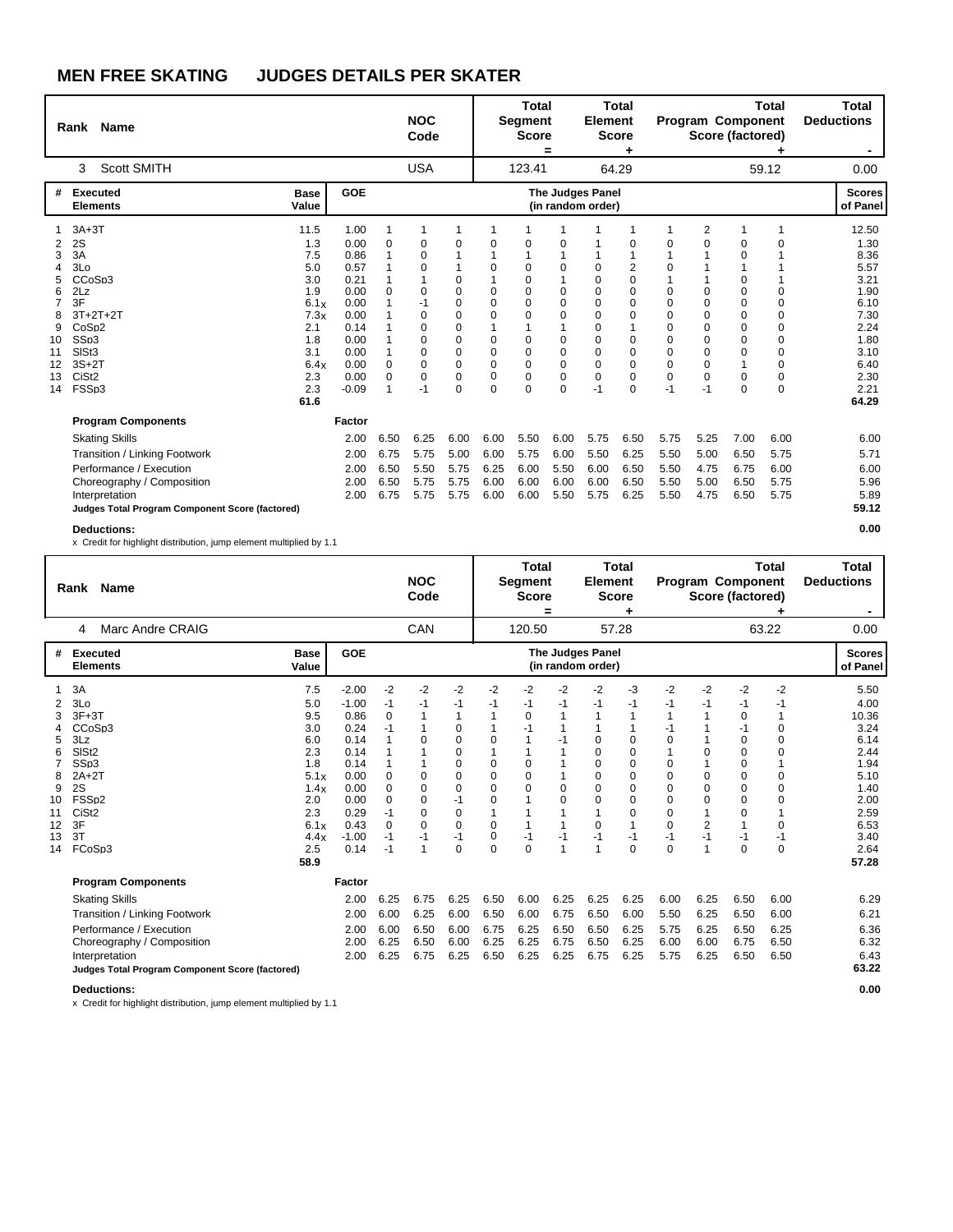|                                                                                      | Rank Name                                                                                                                                                                            |                                                                                                            |                                                                                                                 |                                                     | <b>NOC</b><br>Code                                                                                            |                                                               |                                                                                                      | <b>Total</b><br><b>Segment</b><br><b>Score</b>                                                                                       | =                                                                                                      | <b>Element</b>                                                                                          | <b>Total</b><br><b>Score</b><br>٠                                  |                                                                                                                       |                                                                                                     | Program Component<br>Score (factored)                                                                                | <b>Total</b>                                                                           | <b>Total</b><br><b>Deductions</b><br>$\blacksquare$                                                                    |
|--------------------------------------------------------------------------------------|--------------------------------------------------------------------------------------------------------------------------------------------------------------------------------------|------------------------------------------------------------------------------------------------------------|-----------------------------------------------------------------------------------------------------------------|-----------------------------------------------------|---------------------------------------------------------------------------------------------------------------|---------------------------------------------------------------|------------------------------------------------------------------------------------------------------|--------------------------------------------------------------------------------------------------------------------------------------|--------------------------------------------------------------------------------------------------------|---------------------------------------------------------------------------------------------------------|--------------------------------------------------------------------|-----------------------------------------------------------------------------------------------------------------------|-----------------------------------------------------------------------------------------------------|----------------------------------------------------------------------------------------------------------------------|----------------------------------------------------------------------------------------|------------------------------------------------------------------------------------------------------------------------|
|                                                                                      | <b>Scott SMITH</b><br>3                                                                                                                                                              |                                                                                                            |                                                                                                                 |                                                     | <b>USA</b>                                                                                                    |                                                               |                                                                                                      | 123.41                                                                                                                               |                                                                                                        |                                                                                                         | 64.29                                                              |                                                                                                                       |                                                                                                     |                                                                                                                      | 59.12                                                                                  | 0.00                                                                                                                   |
| #                                                                                    | <b>Executed</b><br><b>Elements</b>                                                                                                                                                   | <b>Base</b><br>Value                                                                                       | GOE                                                                                                             |                                                     |                                                                                                               |                                                               |                                                                                                      |                                                                                                                                      |                                                                                                        | The Judges Panel<br>(in random order)                                                                   |                                                                    |                                                                                                                       |                                                                                                     |                                                                                                                      |                                                                                        | <b>Scores</b><br>of Panel                                                                                              |
| 1<br>2<br>3<br>4<br>5<br>6<br>$\overline{7}$<br>8<br>9<br>10<br>11<br>12<br>13<br>14 | $3A+3T$<br>2S<br>3A<br>3 <sub>0</sub><br>CC <sub>o</sub> S <sub>p3</sub><br>2Lz<br>3F<br>$3T+2T+2T$<br>CoSp2<br>SSp3<br>SISt3<br>$3S+2T$<br>CiSt <sub>2</sub><br>FSSp3               | 11.5<br>1.3<br>7.5<br>5.0<br>3.0<br>1.9<br>6.1x<br>7.3x<br>2.1<br>1.8<br>3.1<br>6.4x<br>2.3<br>2.3<br>61.6 | 1.00<br>0.00<br>0.86<br>0.57<br>0.21<br>0.00<br>0.00<br>0.00<br>0.14<br>0.00<br>0.00<br>0.00<br>0.00<br>$-0.09$ | 1<br>0<br>1<br>1<br>1<br>0<br>1<br>1<br>0<br>0<br>1 | 0<br>0<br>$\Omega$<br>$\Omega$<br>$-1$<br>$\Omega$<br>$\Omega$<br>$\Omega$<br>$\Omega$<br>0<br>$\Omega$<br>-1 | 1<br>0<br>1<br>0<br>0<br>0<br>0<br>0<br>0<br>0<br>0<br>0<br>0 | 1<br>$\Omega$<br>$\Omega$<br>$\Omega$<br>$\Omega$<br>$\Omega$<br>0<br>$\Omega$<br>0<br>0<br>$\Omega$ | 0<br>1<br>$\mathbf 0$<br>$\mathbf 0$<br>$\Omega$<br>$\Omega$<br>$\Omega$<br>1<br>0<br>$\mathbf 0$<br>0<br>$\mathbf 0$<br>$\mathbf 0$ | $\Omega$<br>$\Omega$<br>$\Omega$<br>$\Omega$<br>$\Omega$<br>$\Omega$<br>$\Omega$<br>0<br>0<br>$\Omega$ | $\Omega$<br>$\Omega$<br>$\Omega$<br>$\Omega$<br>$\Omega$<br>$\Omega$<br>0<br>$\Omega$<br>0<br>0<br>$-1$ | 1<br>0<br>1<br>2<br>0<br>0<br>0<br>0<br>1<br>0<br>0<br>0<br>0<br>0 | 1<br>$\Omega$<br>$\Omega$<br>$\Omega$<br>$\Omega$<br>$\Omega$<br>$\Omega$<br>$\Omega$<br>$\Omega$<br>$\Omega$<br>$-1$ | $\overline{2}$<br>0<br>1<br>1<br>1<br>0<br>$\mathbf 0$<br>0<br>$\Omega$<br>0<br>0<br>0<br>0<br>$-1$ | 1<br>0<br>0<br>1<br>0<br>0<br>$\mathbf 0$<br>$\mathbf 0$<br>$\mathbf 0$<br>$\mathbf 0$<br>$\mathbf 0$<br>1<br>0<br>0 | 1<br>0<br>$\Omega$<br>$\Omega$<br>$\Omega$<br>$\Omega$<br>0<br>$\Omega$<br>0<br>0<br>0 | 12.50<br>1.30<br>8.36<br>5.57<br>3.21<br>1.90<br>6.10<br>7.30<br>2.24<br>1.80<br>3.10<br>6.40<br>2.30<br>2.21<br>64.29 |
|                                                                                      | <b>Program Components</b>                                                                                                                                                            |                                                                                                            | Factor                                                                                                          |                                                     |                                                                                                               |                                                               |                                                                                                      |                                                                                                                                      |                                                                                                        |                                                                                                         |                                                                    |                                                                                                                       |                                                                                                     |                                                                                                                      |                                                                                        |                                                                                                                        |
|                                                                                      | <b>Skating Skills</b><br>Transition / Linking Footwork<br>Performance / Execution<br>Choreography / Composition<br>Interpretation<br>Judges Total Program Component Score (factored) |                                                                                                            | 2.00<br>2.00<br>2.00<br>2.00<br>2.00                                                                            | 6.50<br>6.75<br>6.50<br>6.50<br>6.75                | 6.25<br>5.75<br>5.50<br>5.75<br>5.75                                                                          | 6.00<br>5.00<br>5.75<br>5.75<br>5.75                          | 6.00<br>6.00<br>6.25<br>6.00<br>6.00                                                                 | 5.50<br>5.75<br>6.00<br>6.00<br>6.00                                                                                                 | 6.00<br>6.00<br>5.50<br>6.00<br>5.50                                                                   | 5.75<br>5.50<br>6.00<br>6.00<br>5.75                                                                    | 6.50<br>6.25<br>6.50<br>6.50<br>6.25                               | 5.75<br>5.50<br>5.50<br>5.50<br>5.50                                                                                  | 5.25<br>5.00<br>4.75<br>5.00<br>4.75                                                                | 7.00<br>6.50<br>6.75<br>6.50<br>6.50                                                                                 | 6.00<br>5.75<br>6.00<br>5.75<br>5.75                                                   | 6.00<br>5.71<br>6.00<br>5.96<br>5.89<br>59.12                                                                          |
|                                                                                      | <b>Deductions:</b>                                                                                                                                                                   |                                                                                                            |                                                                                                                 |                                                     |                                                                                                               |                                                               |                                                                                                      |                                                                                                                                      |                                                                                                        |                                                                                                         |                                                                    |                                                                                                                       |                                                                                                     |                                                                                                                      |                                                                                        | 0.00                                                                                                                   |

x Credit for highlight distribution, jump element multiplied by 1.1

|        | <b>Name</b><br>Rank                             |                      |              |             | <b>NOC</b><br>Code |                  |          | <b>Total</b><br><b>Segment</b><br><b>Score</b> | =              | <b>Element</b>                        | Total<br><b>Score</b><br>÷ |          |                | <b>Program Component</b><br>Score (factored) | <b>Total</b>            | <b>Total</b><br><b>Deductions</b> |
|--------|-------------------------------------------------|----------------------|--------------|-------------|--------------------|------------------|----------|------------------------------------------------|----------------|---------------------------------------|----------------------------|----------|----------------|----------------------------------------------|-------------------------|-----------------------------------|
|        | Marc Andre CRAIG<br>4                           |                      |              |             | CAN                |                  |          | 120.50                                         |                |                                       | 57.28                      |          |                |                                              | 63.22                   | 0.00                              |
| #      | <b>Executed</b><br><b>Elements</b>              | <b>Base</b><br>Value | GOE          |             |                    |                  |          |                                                |                | The Judges Panel<br>(in random order) |                            |          |                |                                              |                         | <b>Scores</b><br>of Panel         |
|        | 3A                                              | 7.5                  | $-2.00$      | $-2$        | $-2$               | $-2$             | $-2$     | $-2$                                           | $-2$           | $-2$                                  | -3                         | $-2$     | $-2$           | $-2$                                         | $-2$                    | 5.50                              |
| 2      | 3Lo                                             | 5.0                  | $-1.00$      | $-1$        | $-1$               | $-1$             | $-1$     | $-1$                                           | -1             | $-1$                                  | $-1$                       | -1       | $-1$           | $-1$                                         | -1                      | 4.00                              |
| 3      | $3F+3T$                                         | 9.5                  | 0.86         | $\Omega$    |                    | 1                |          | 0                                              |                |                                       |                            |          | 1              | 0                                            | 1                       | 10.36                             |
| 4      | CCoSp3                                          | 3.0                  | 0.24         | $-1$        |                    | 0                |          | $-1$                                           |                | $\Omega$                              |                            | -1       | 1<br>1         | $-1$                                         | 0                       | 3.24                              |
| 5<br>6 | 3Lz<br>SIS <sub>t2</sub>                        | 6.0<br>2.3           | 0.14<br>0.14 |             | O                  | $\mathbf 0$<br>0 | 0        | 1                                              | -1             | $\Omega$                              | 0<br>0                     | $\Omega$ | 0              | 0<br>$\mathbf 0$                             | $\mathbf 0$<br>$\Omega$ | 6.14<br>2.44                      |
|        | SS <sub>p3</sub>                                | 1.8                  | 0.14         |             |                    | 0                | 0        | 0                                              |                | $\Omega$                              | 0                          | 0        | 1              | 0                                            |                         | 1.94                              |
| 8      | $2A+2T$                                         | 5.1x                 | 0.00         | $\Omega$    | $\Omega$           | 0                | $\Omega$ | 0                                              |                | $\Omega$                              | 0                          | $\Omega$ | 0              | $\mathbf 0$                                  | $\Omega$                | 5.10                              |
| 9      | 2S                                              | 1.4x                 | 0.00         | $\Omega$    | $\Omega$           | $\mathbf 0$      | 0        | 0                                              | 0              | $\Omega$                              | 0                          | 0        | 0              | $\mathbf 0$                                  | 0                       | 1.40                              |
| 10     | FSS <sub>D2</sub>                               | 2.0                  | 0.00         | $\mathbf 0$ | $\Omega$           | $-1$             | 0        | 1                                              | $\Omega$       | $\Omega$                              | 0                          | $\Omega$ | 0              | $\mathbf 0$                                  | $\Omega$                | 2.00                              |
| 11     | CiSt <sub>2</sub>                               | 2.3                  | 0.29         | $-1$        | 0                  | 0                | 1        | 1                                              | 1              |                                       | 0                          | $\Omega$ | 1              | 0                                            |                         | 2.59                              |
| 12     | 3F                                              | 6.1x                 | 0.43         | $\Omega$    | $\Omega$           | $\Omega$         | 0        | 1                                              | $\overline{1}$ | $\Omega$                              | 1                          | $\Omega$ | $\overline{2}$ | 1                                            | $\Omega$                | 6.53                              |
| 13     | 3T                                              | 4.4x                 | $-1.00$      | $-1$        | -1                 | $-1$             | 0        | $-1$                                           | -1             | $-1$                                  | $-1$                       | $-1$     | $-1$           | $-1$                                         | $-1$                    | 3.40                              |
| 14     | FCoSp3                                          | 2.5                  | 0.14         | $-1$        |                    | $\mathbf 0$      | $\Omega$ | $\mathbf 0$                                    | $\overline{1}$ | 1                                     | $\Omega$                   | $\Omega$ | 1              | $\Omega$                                     | 0                       | 2.64                              |
|        |                                                 | 58.9                 |              |             |                    |                  |          |                                                |                |                                       |                            |          |                |                                              |                         | 57.28                             |
|        | <b>Program Components</b>                       |                      | Factor       |             |                    |                  |          |                                                |                |                                       |                            |          |                |                                              |                         |                                   |
|        | <b>Skating Skills</b>                           |                      | 2.00         | 6.25        | 6.75               | 6.25             | 6.50     | 6.00                                           | 6.25           | 6.25                                  | 6.25                       | 6.00     | 6.25           | 6.50                                         | 6.00                    | 6.29                              |
|        | Transition / Linking Footwork                   |                      | 2.00         | 6.00        | 6.25               | 6.00             | 6.50     | 6.00                                           | 6.75           | 6.50                                  | 6.00                       | 5.50     | 6.25           | 6.50                                         | 6.00                    | 6.21                              |
|        | Performance / Execution                         |                      | 2.00         | 6.00        | 6.50               | 6.00             | 6.75     | 6.25                                           | 6.50           | 6.50                                  | 6.25                       | 5.75     | 6.25           | 6.50                                         | 6.25                    | 6.36                              |
|        | Choreography / Composition                      |                      | 2.00         | 6.25        | 6.50               | 6.00             | 6.25     | 6.25                                           | 6.75           | 6.50                                  | 6.25                       | 6.00     | 6.00           | 6.75                                         | 6.50                    | 6.32                              |
|        | Interpretation                                  |                      | 2.00         | 6.25        | 6.75               | 6.25             | 6.50     | 6.25                                           | 6.25           | 6.75                                  | 6.25                       | 5.75     | 6.25           | 6.50                                         | 6.50                    | 6.43                              |
|        | Judges Total Program Component Score (factored) |                      |              |             |                    |                  |          |                                                |                |                                       |                            |          |                |                                              |                         | 63.22                             |
|        |                                                 |                      |              |             |                    |                  |          |                                                |                |                                       |                            |          |                |                                              |                         |                                   |
|        | <b>Deductions:</b>                              |                      |              |             |                    |                  |          |                                                |                |                                       |                            |          |                |                                              |                         | 0.00                              |

 $\mathbf l$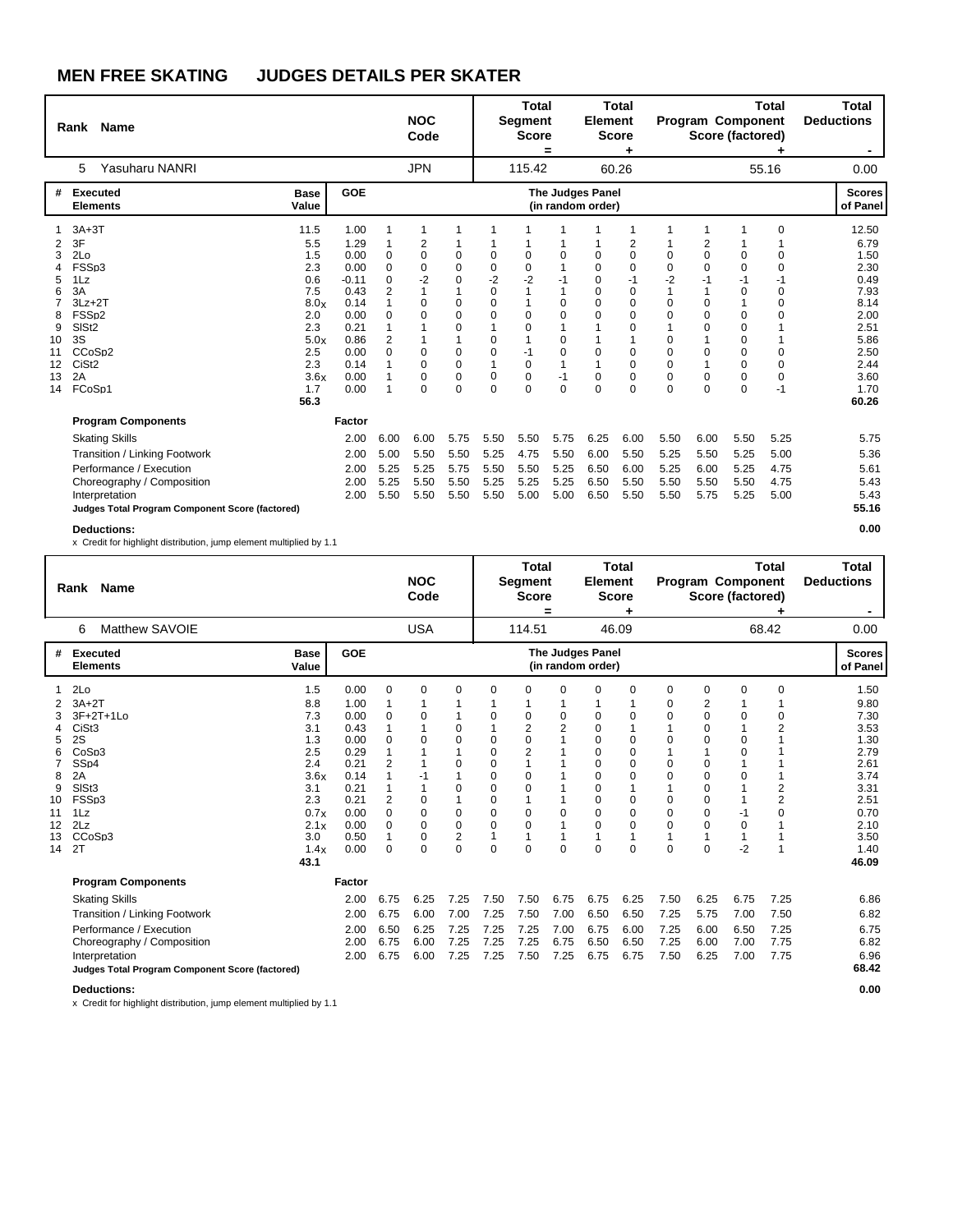|                                                   | Rank Name                                                                                                                                                   |                                                                                     |                                                                                                 |                                                                                | <b>NOC</b><br>Code                                                |                                                                                        |                                                                                                        | <b>Total</b><br>Segment<br><b>Score</b>                                                             | =                                                       | <b>Element</b><br><b>Score</b>                                          | <b>Total</b>                                                                                                            |                                                                 |                                                                                                  | <b>Program Component</b><br>Score (factored)                                    | Total                                                                         | Total<br><b>Deductions</b><br>۰.                                                              |
|---------------------------------------------------|-------------------------------------------------------------------------------------------------------------------------------------------------------------|-------------------------------------------------------------------------------------|-------------------------------------------------------------------------------------------------|--------------------------------------------------------------------------------|-------------------------------------------------------------------|----------------------------------------------------------------------------------------|--------------------------------------------------------------------------------------------------------|-----------------------------------------------------------------------------------------------------|---------------------------------------------------------|-------------------------------------------------------------------------|-------------------------------------------------------------------------------------------------------------------------|-----------------------------------------------------------------|--------------------------------------------------------------------------------------------------|---------------------------------------------------------------------------------|-------------------------------------------------------------------------------|-----------------------------------------------------------------------------------------------|
|                                                   | Yasuharu NANRI<br>5                                                                                                                                         |                                                                                     |                                                                                                 |                                                                                | <b>JPN</b>                                                        |                                                                                        |                                                                                                        | 115.42                                                                                              |                                                         |                                                                         | 60.26                                                                                                                   |                                                                 |                                                                                                  |                                                                                 | 55.16                                                                         | 0.00                                                                                          |
| #                                                 | <b>Executed</b><br><b>Elements</b>                                                                                                                          | <b>Base</b><br>Value                                                                | <b>GOE</b>                                                                                      |                                                                                |                                                                   |                                                                                        |                                                                                                        |                                                                                                     |                                                         | <b>The Judges Panel</b><br>(in random order)                            |                                                                                                                         |                                                                 |                                                                                                  |                                                                                 |                                                                               | <b>Scores</b><br>of Panel                                                                     |
| 2<br>3<br>4<br>5<br>6<br>8<br>9<br>10<br>11<br>12 | $3A+3T$<br>3F<br>2Lo<br>FSSp3<br>1Lz<br>3A<br>$3Lz + 2T$<br>FSS <sub>p2</sub><br>SIS <sub>t2</sub><br>3S<br>CCoSp2<br>CiSt <sub>2</sub>                     | 11.5<br>5.5<br>1.5<br>2.3<br>0.6<br>7.5<br>8.0x<br>2.0<br>2.3<br>5.0x<br>2.5<br>2.3 | 1.00<br>1.29<br>0.00<br>0.00<br>$-0.11$<br>0.43<br>0.14<br>0.00<br>0.21<br>0.86<br>0.00<br>0.14 | 1<br>0<br>0<br>$\Omega$<br>2<br>1<br>$\Omega$<br>1<br>$\overline{2}$<br>0<br>1 | 1<br>2<br>0<br>0<br>$-2$<br>$\Omega$<br>$\Omega$<br>0<br>$\Omega$ | 1<br>0<br>0<br>0<br>1<br>$\mathbf 0$<br>$\Omega$<br>$\Omega$<br>$\mathbf{1}$<br>0<br>0 | -1<br>0<br>$\mathbf 0$<br>$-2$<br>$\mathbf 0$<br>$\mathbf 0$<br>$\Omega$<br>1<br>$\mathbf 0$<br>0<br>1 | $\mathbf 0$<br>$\mathbf 0$<br>$-2$<br>1<br>1<br>$\Omega$<br>$\Omega$<br>$\overline{1}$<br>$-1$<br>0 | $\Omega$<br>$-1$<br>$\Omega$<br>$\Omega$<br>0<br>0<br>1 | 0<br>0<br>$\mathbf 0$<br>$\mathbf 0$<br>$\Omega$<br>$\Omega$<br>0<br>-1 | 1<br>2<br>$\mathbf 0$<br>0<br>$-1$<br>$\mathbf 0$<br>$\mathbf 0$<br>$\mathbf 0$<br>$\mathbf 0$<br>1<br>0<br>$\mathbf 0$ | 1<br>0<br>$\Omega$<br>-2<br>0<br>$\Omega$<br>0<br>$\Omega$<br>0 | 1<br>2<br>$\mathbf 0$<br>0<br>-1<br>1<br>$\Omega$<br>$\Omega$<br>$\mathbf 0$<br>$\mathbf 0$<br>1 | 0<br>0<br>$-1$<br>$\mathbf 0$<br>1<br>$\mathbf 0$<br>$\mathbf 0$<br>0<br>0<br>0 | $\Omega$<br>0<br>$\Omega$<br>-1<br>0<br>$\Omega$<br>$\Omega$<br>0<br>$\Omega$ | 12.50<br>6.79<br>1.50<br>2.30<br>0.49<br>7.93<br>8.14<br>2.00<br>2.51<br>5.86<br>2.50<br>2.44 |
| 13<br>14                                          | 2A<br>FCoSp1<br><b>Program Components</b><br><b>Skating Skills</b>                                                                                          | 3.6x<br>1.7<br>56.3                                                                 | 0.00<br>0.00<br>Factor<br>2.00                                                                  | 1<br>1<br>6.00                                                                 | $\Omega$<br>$\mathbf 0$<br>6.00                                   | 0<br>0<br>5.75                                                                         | 0<br>$\mathbf 0$<br>5.50                                                                               | 0<br>$\mathbf 0$<br>5.50                                                                            | $-1$<br>$\mathbf 0$<br>5.75                             | 0<br>$\Omega$<br>6.25                                                   | 0<br>$\mathbf 0$<br>6.00                                                                                                | 0<br>$\Omega$<br>5.50                                           | 0<br>$\mathbf 0$<br>6.00                                                                         | 0<br>0<br>5.50                                                                  | 0<br>$-1$<br>5.25                                                             | 3.60<br>1.70<br>60.26<br>5.75                                                                 |
|                                                   | Transition / Linking Footwork<br>Performance / Execution<br>Choreography / Composition<br>Interpretation<br>Judges Total Program Component Score (factored) |                                                                                     | 2.00<br>2.00<br>2.00<br>2.00                                                                    | 5.00<br>5.25<br>5.25<br>5.50                                                   | 5.50<br>5.25<br>5.50<br>5.50                                      | 5.50<br>5.75<br>5.50<br>5.50                                                           | 5.25<br>5.50<br>5.25<br>5.50                                                                           | 4.75<br>5.50<br>5.25<br>5.00                                                                        | 5.50<br>5.25<br>5.25<br>5.00                            | 6.00<br>6.50<br>6.50<br>6.50                                            | 5.50<br>6.00<br>5.50<br>5.50                                                                                            | 5.25<br>5.25<br>5.50<br>5.50                                    | 5.50<br>6.00<br>5.50<br>5.75                                                                     | 5.25<br>5.25<br>5.50<br>5.25                                                    | 5.00<br>4.75<br>4.75<br>5.00                                                  | 5.36<br>5.61<br>5.43<br>5.43<br>55.16                                                         |
|                                                   | <b>Deductions:</b>                                                                                                                                          |                                                                                     |                                                                                                 |                                                                                |                                                                   |                                                                                        |                                                                                                        |                                                                                                     |                                                         |                                                                         |                                                                                                                         |                                                                 |                                                                                                  |                                                                                 |                                                                               | 0.00                                                                                          |

x Credit for highlight distribution, jump element multiplied by 1.1

|                                           | Rank Name                                                                                                                                                                            |                                                                                                            |                                                                                                              |                                                                    | <b>NOC</b><br>Code                                                                       |                                                                                               |                                                                                             | <b>Total</b><br>Segment<br><b>Score</b>                                                                                                                   | =                                          | <b>Element</b>                                                                                                                 | <b>Total</b><br><b>Score</b>                                                |                                                                                                        |                                                                                                      | <b>Program Component</b><br>Score (factored)                                                           | <b>Total</b>                                                                       | <b>Total</b><br><b>Deductions</b>                                                                                     |
|-------------------------------------------|--------------------------------------------------------------------------------------------------------------------------------------------------------------------------------------|------------------------------------------------------------------------------------------------------------|--------------------------------------------------------------------------------------------------------------|--------------------------------------------------------------------|------------------------------------------------------------------------------------------|-----------------------------------------------------------------------------------------------|---------------------------------------------------------------------------------------------|-----------------------------------------------------------------------------------------------------------------------------------------------------------|--------------------------------------------|--------------------------------------------------------------------------------------------------------------------------------|-----------------------------------------------------------------------------|--------------------------------------------------------------------------------------------------------|------------------------------------------------------------------------------------------------------|--------------------------------------------------------------------------------------------------------|------------------------------------------------------------------------------------|-----------------------------------------------------------------------------------------------------------------------|
|                                           | Matthew SAVOIE<br>6                                                                                                                                                                  |                                                                                                            |                                                                                                              |                                                                    | <b>USA</b>                                                                               |                                                                                               |                                                                                             | 114.51                                                                                                                                                    |                                            |                                                                                                                                | 46.09                                                                       |                                                                                                        |                                                                                                      |                                                                                                        | 68.42                                                                              | 0.00                                                                                                                  |
| #                                         | <b>Executed</b><br><b>Elements</b>                                                                                                                                                   | <b>Base</b><br>Value                                                                                       | GOE                                                                                                          |                                                                    |                                                                                          |                                                                                               |                                                                                             |                                                                                                                                                           |                                            | <b>The Judges Panel</b><br>(in random order)                                                                                   |                                                                             |                                                                                                        |                                                                                                      |                                                                                                        |                                                                                    | <b>Scores</b><br>of Panel                                                                                             |
| 5<br>8<br>9<br>10<br>11<br>12<br>13<br>14 | 2Lo<br>$3A+2T$<br>3F+2T+1Lo<br>CiSt <sub>3</sub><br>2S<br>CoSp3<br>SS <sub>D4</sub><br>2A<br>SISt <sub>3</sub><br>FSSp3<br>1Lz<br>2Lz<br>CCoSp3<br>2T                                | 1.5<br>8.8<br>7.3<br>3.1<br>1.3<br>2.5<br>2.4<br>3.6x<br>3.1<br>2.3<br>0.7x<br>2.1x<br>3.0<br>1.4x<br>43.1 | 0.00<br>1.00<br>0.00<br>0.43<br>0.00<br>0.29<br>0.21<br>0.14<br>0.21<br>0.21<br>0.00<br>0.00<br>0.50<br>0.00 | 0<br>0<br>0<br>1<br>$\overline{2}$<br>2<br>0<br>$\Omega$<br>1<br>0 | $\Omega$<br>0<br>$\Omega$<br>$\Omega$<br>$\mathbf 0$<br>$\Omega$<br>$\Omega$<br>$\Omega$ | 0<br>0<br>$\Omega$<br>0<br>0<br>1<br>$\mathbf 0$<br>$\mathbf 0$<br>$\overline{2}$<br>$\Omega$ | $\Omega$<br>0<br>0<br>$\Omega$<br>$\Omega$<br>0<br>0<br>0<br>0<br>$\Omega$<br>1<br>$\Omega$ | $\Omega$<br>0<br>$\overline{\mathbf{c}}$<br>$\mathbf 0$<br>$\overline{2}$<br>$\mathbf 0$<br>0<br>1<br>$\mathbf 0$<br>$\Omega$<br>$\mathbf{1}$<br>$\Omega$ | $\Omega$<br>0<br>2<br>$\Omega$<br>$\Omega$ | $\Omega$<br>0<br>0<br>$\mathbf 0$<br>$\Omega$<br>$\Omega$<br>0<br>0<br>0<br>$\Omega$<br>$\Omega$<br>$\overline{ }$<br>$\Omega$ | 0<br>0<br>1<br>0<br>0<br>0<br>0<br>1<br>0<br>0<br>$\Omega$<br>1<br>$\Omega$ | 0<br>0<br>$\Omega$<br>$\Omega$<br>$\Omega$<br>$\Omega$<br>$\Omega$<br>$\Omega$<br>$\Omega$<br>$\Omega$ | $\mathbf 0$<br>2<br>$\mathbf 0$<br>0<br>0<br>1<br>0<br>0<br>0<br>0<br>0<br>$\Omega$<br>1<br>$\Omega$ | 0<br>0<br>1<br>$\mathbf 0$<br>$\Omega$<br>$\mathbf 0$<br>$\overline{1}$<br>-1<br>$\Omega$<br>1<br>$-2$ | $\mathbf 0$<br>0<br>$\overline{2}$<br>$\overline{2}$<br>$\overline{2}$<br>$\Omega$ | 1.50<br>9.80<br>7.30<br>3.53<br>1.30<br>2.79<br>2.61<br>3.74<br>3.31<br>2.51<br>0.70<br>2.10<br>3.50<br>1.40<br>46.09 |
|                                           | <b>Program Components</b>                                                                                                                                                            |                                                                                                            | Factor                                                                                                       |                                                                    |                                                                                          |                                                                                               |                                                                                             |                                                                                                                                                           |                                            |                                                                                                                                |                                                                             |                                                                                                        |                                                                                                      |                                                                                                        |                                                                                    |                                                                                                                       |
|                                           | <b>Skating Skills</b><br>Transition / Linking Footwork<br>Performance / Execution<br>Choreography / Composition<br>Interpretation<br>Judges Total Program Component Score (factored) |                                                                                                            | 2.00<br>2.00<br>2.00<br>2.00<br>2.00                                                                         | 6.75<br>6.75<br>6.50<br>6.75<br>6.75                               | 6.25<br>6.00<br>6.25<br>6.00<br>6.00                                                     | 7.25<br>7.00<br>7.25<br>7.25<br>7.25                                                          | 7.50<br>7.25<br>7.25<br>7.25<br>7.25                                                        | 7.50<br>7.50<br>7.25<br>7.25<br>7.50                                                                                                                      | 6.75<br>7.00<br>7.00<br>6.75<br>7.25       | 6.75<br>6.50<br>6.75<br>6.50<br>6.75                                                                                           | 6.25<br>6.50<br>6.00<br>6.50<br>6.75                                        | 7.50<br>7.25<br>7.25<br>7.25<br>7.50                                                                   | 6.25<br>5.75<br>6.00<br>6.00<br>6.25                                                                 | 6.75<br>7.00<br>6.50<br>7.00<br>7.00                                                                   | 7.25<br>7.50<br>7.25<br>7.75<br>7.75                                               | 6.86<br>6.82<br>6.75<br>6.82<br>6.96<br>68.42                                                                         |

**Deductions: 0.00**

 $\mathbf l$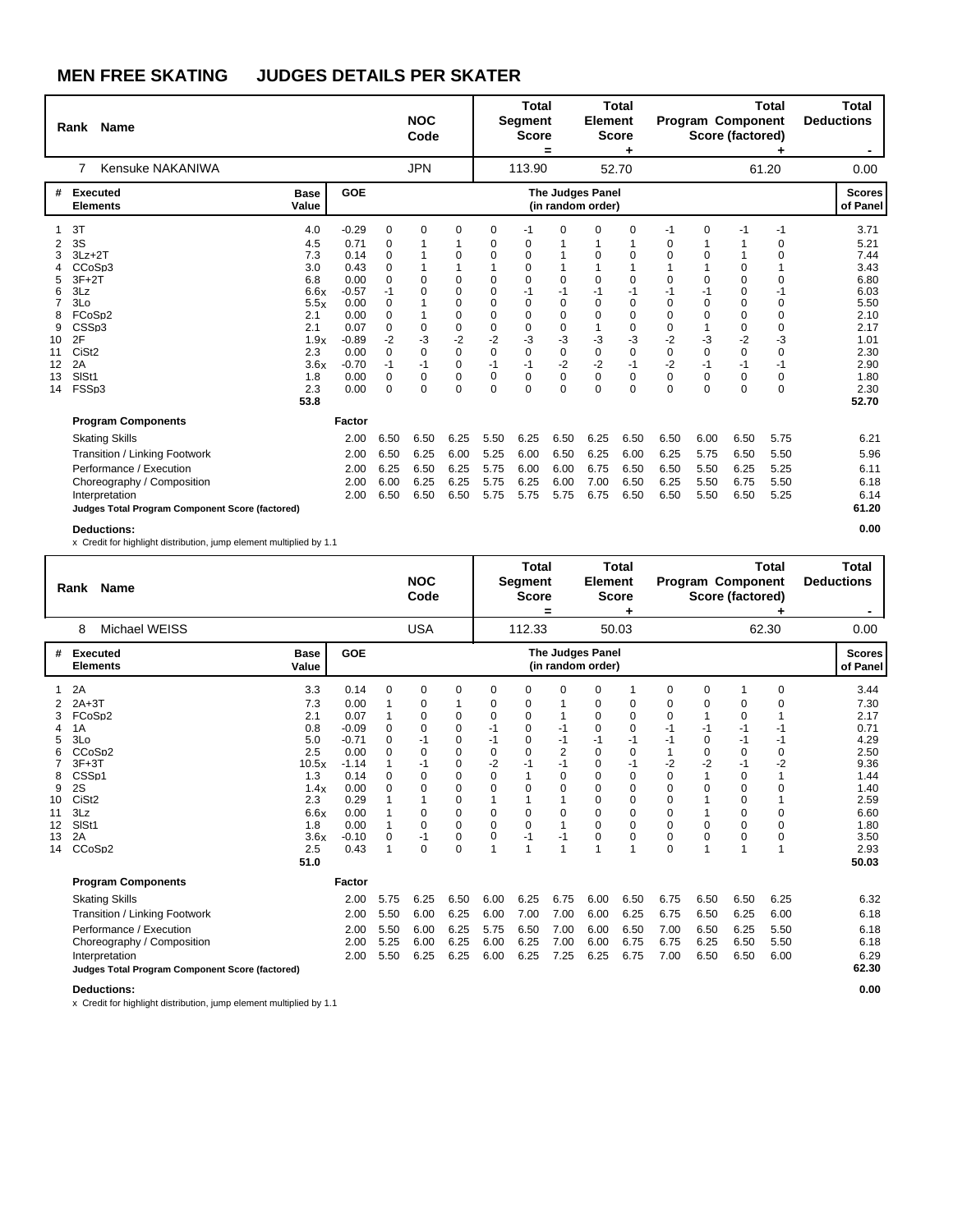|                                                                                 | Rank Name                                                                                                                                                                            |                                                                                                            |                                                                                                                          |                                                                                                                          | <b>NOC</b><br>Code                                                                    |                                                                                                           |                                                                                                                      | <b>Total</b><br><b>Segment</b><br><b>Score</b>                                                                                                    | =                                                                                                                             | <b>Element</b>                                                                                | <b>Total</b><br><b>Score</b><br>٠                                                     |                                                                                                                                   |                                                                                            | Program Component<br>Score (factored)                                                                                           | <b>Total</b>                                                                                               | <b>Total</b><br><b>Deductions</b><br>$\blacksquare$                                                                   |
|---------------------------------------------------------------------------------|--------------------------------------------------------------------------------------------------------------------------------------------------------------------------------------|------------------------------------------------------------------------------------------------------------|--------------------------------------------------------------------------------------------------------------------------|--------------------------------------------------------------------------------------------------------------------------|---------------------------------------------------------------------------------------|-----------------------------------------------------------------------------------------------------------|----------------------------------------------------------------------------------------------------------------------|---------------------------------------------------------------------------------------------------------------------------------------------------|-------------------------------------------------------------------------------------------------------------------------------|-----------------------------------------------------------------------------------------------|---------------------------------------------------------------------------------------|-----------------------------------------------------------------------------------------------------------------------------------|--------------------------------------------------------------------------------------------|---------------------------------------------------------------------------------------------------------------------------------|------------------------------------------------------------------------------------------------------------|-----------------------------------------------------------------------------------------------------------------------|
|                                                                                 | Kensuke NAKANIWA<br>$\overline{7}$                                                                                                                                                   |                                                                                                            |                                                                                                                          |                                                                                                                          | <b>JPN</b>                                                                            |                                                                                                           |                                                                                                                      | 113.90                                                                                                                                            |                                                                                                                               |                                                                                               | 52.70                                                                                 |                                                                                                                                   |                                                                                            |                                                                                                                                 | 61.20                                                                                                      | 0.00                                                                                                                  |
| #                                                                               | <b>Executed</b><br><b>Elements</b>                                                                                                                                                   | <b>Base</b><br>Value                                                                                       | GOE                                                                                                                      |                                                                                                                          |                                                                                       |                                                                                                           |                                                                                                                      |                                                                                                                                                   |                                                                                                                               | The Judges Panel<br>(in random order)                                                         |                                                                                       |                                                                                                                                   |                                                                                            |                                                                                                                                 |                                                                                                            | <b>Scores</b><br>of Panel                                                                                             |
| 2<br>3<br>Δ<br>5<br>6<br>$\overline{7}$<br>8<br>9<br>10<br>11<br>12<br>13<br>14 | 3T<br>3S<br>$3Lz + 2T$<br>CCoSp3<br>$3F+2T$<br>3Lz<br>3Lo<br>FCoSp2<br>CSSp3<br>2F<br>CiSt <sub>2</sub><br>2A<br>SISt1<br>FSSp3                                                      | 4.0<br>4.5<br>7.3<br>3.0<br>6.8<br>6.6x<br>5.5x<br>2.1<br>2.1<br>1.9x<br>2.3<br>3.6x<br>1.8<br>2.3<br>53.8 | $-0.29$<br>0.71<br>0.14<br>0.43<br>0.00<br>$-0.57$<br>0.00<br>0.00<br>0.07<br>$-0.89$<br>0.00<br>$-0.70$<br>0.00<br>0.00 | $\mathbf 0$<br>$\Omega$<br>0<br>$\Omega$<br>0<br>$-1$<br>$\Omega$<br>0<br>0<br>$-2$<br>$\Omega$<br>$-1$<br>0<br>$\Omega$ | $\Omega$<br>$\Omega$<br>$\Omega$<br>$\Omega$<br>-3<br>$\Omega$<br>-1<br>0<br>$\Omega$ | $\mathbf 0$<br>1<br>0<br>0<br>$\Omega$<br>$\Omega$<br>0<br>$\mathbf 0$<br>$-2$<br>$\Omega$<br>0<br>0<br>0 | 0<br>0<br>$\Omega$<br>0<br>$\Omega$<br>$\Omega$<br>$\Omega$<br>$\Omega$<br>$-2$<br>$\Omega$<br>$-1$<br>0<br>$\Omega$ | -1<br>0<br>$\mathbf 0$<br>$\mathbf 0$<br>$\Omega$<br>$-1$<br>$\Omega$<br>$\Omega$<br>$\mathbf 0$<br>-3<br>$\mathbf 0$<br>$-1$<br>0<br>$\mathbf 0$ | $\Omega$<br>$\Omega$<br>$-1$<br>$\Omega$<br>$\Omega$<br>$\mathbf 0$<br>$-3$<br>$\mathbf 0$<br>$-2$<br>$\mathbf 0$<br>$\Omega$ | 0<br>$\Omega$<br>$\Omega$<br>$-1$<br>$\Omega$<br>$\Omega$<br>-3<br>$\Omega$<br>$-2$<br>0<br>0 | 0<br>1<br>0<br>1<br>0<br>$-1$<br>0<br>0<br>0<br>$-3$<br>$\mathbf 0$<br>$-1$<br>0<br>0 | $-1$<br>$\Omega$<br>$\Omega$<br>$\Omega$<br>$-1$<br>$\Omega$<br>$\Omega$<br>$\Omega$<br>$-2$<br>$\Omega$<br>$-2$<br>0<br>$\Omega$ | 0<br>1<br>0<br>1<br>0<br>$-1$<br>$\mathbf 0$<br>0<br>1<br>-3<br>$\Omega$<br>$-1$<br>0<br>0 | $-1$<br>1<br>$\mathbf 0$<br>$\mathbf 0$<br>0<br>$\mathbf 0$<br>$\mathbf 0$<br>$\mathbf 0$<br>$-2$<br>$\Omega$<br>$-1$<br>0<br>0 | $-1$<br>0<br>0<br>$\Omega$<br>$-1$<br>$\Omega$<br>$\Omega$<br>0<br>$-3$<br>$\Omega$<br>-1<br>0<br>$\Omega$ | 3.71<br>5.21<br>7.44<br>3.43<br>6.80<br>6.03<br>5.50<br>2.10<br>2.17<br>1.01<br>2.30<br>2.90<br>1.80<br>2.30<br>52.70 |
|                                                                                 | <b>Program Components</b>                                                                                                                                                            |                                                                                                            | Factor                                                                                                                   |                                                                                                                          |                                                                                       |                                                                                                           |                                                                                                                      |                                                                                                                                                   |                                                                                                                               |                                                                                               |                                                                                       |                                                                                                                                   |                                                                                            |                                                                                                                                 |                                                                                                            |                                                                                                                       |
|                                                                                 | <b>Skating Skills</b><br>Transition / Linking Footwork<br>Performance / Execution<br>Choreography / Composition<br>Interpretation<br>Judges Total Program Component Score (factored) |                                                                                                            | 2.00<br>2.00<br>2.00<br>2.00<br>2.00                                                                                     | 6.50<br>6.50<br>6.25<br>6.00<br>6.50                                                                                     | 6.50<br>6.25<br>6.50<br>6.25<br>6.50                                                  | 6.25<br>6.00<br>6.25<br>6.25<br>6.50                                                                      | 5.50<br>5.25<br>5.75<br>5.75<br>5.75                                                                                 | 6.25<br>6.00<br>6.00<br>6.25<br>5.75                                                                                                              | 6.50<br>6.50<br>6.00<br>6.00<br>5.75                                                                                          | 6.25<br>6.25<br>6.75<br>7.00<br>6.75                                                          | 6.50<br>6.00<br>6.50<br>6.50<br>6.50                                                  | 6.50<br>6.25<br>6.50<br>6.25<br>6.50                                                                                              | 6.00<br>5.75<br>5.50<br>5.50<br>5.50                                                       | 6.50<br>6.50<br>6.25<br>6.75<br>6.50                                                                                            | 5.75<br>5.50<br>5.25<br>5.50<br>5.25                                                                       | 6.21<br>5.96<br>6.11<br>6.18<br>6.14<br>61.20                                                                         |
|                                                                                 | <b>Deductions:</b>                                                                                                                                                                   |                                                                                                            |                                                                                                                          |                                                                                                                          |                                                                                       |                                                                                                           |                                                                                                                      |                                                                                                                                                   |                                                                                                                               |                                                                                               |                                                                                       |                                                                                                                                   |                                                                                            |                                                                                                                                 |                                                                                                            | 0.00                                                                                                                  |

x Credit for highlight distribution, jump element multiplied by 1.1

|                                                | Rank Name                                                                                                                                                                            |                                                                                                             |                                                                                                                          |                                                | <b>NOC</b><br>Code                                                                                        |                                                                                |                                                                                    | <b>Total</b><br>Segment<br><b>Score</b>                                                                                                   | =                                                                                            | <b>Element</b>                                                                                                              | <b>Total</b><br><b>Score</b>                                                            |                                                                                                                              |                                                                                                                              | <b>Program Component</b><br>Score (factored)                                                                                                                     | <b>Total</b>                                                                                        | <b>Total</b><br><b>Deductions</b>                                                                                     |
|------------------------------------------------|--------------------------------------------------------------------------------------------------------------------------------------------------------------------------------------|-------------------------------------------------------------------------------------------------------------|--------------------------------------------------------------------------------------------------------------------------|------------------------------------------------|-----------------------------------------------------------------------------------------------------------|--------------------------------------------------------------------------------|------------------------------------------------------------------------------------|-------------------------------------------------------------------------------------------------------------------------------------------|----------------------------------------------------------------------------------------------|-----------------------------------------------------------------------------------------------------------------------------|-----------------------------------------------------------------------------------------|------------------------------------------------------------------------------------------------------------------------------|------------------------------------------------------------------------------------------------------------------------------|------------------------------------------------------------------------------------------------------------------------------------------------------------------|-----------------------------------------------------------------------------------------------------|-----------------------------------------------------------------------------------------------------------------------|
|                                                | Michael WEISS<br>8                                                                                                                                                                   |                                                                                                             |                                                                                                                          |                                                | <b>USA</b>                                                                                                |                                                                                |                                                                                    | 112.33                                                                                                                                    |                                                                                              |                                                                                                                             | 50.03                                                                                   |                                                                                                                              |                                                                                                                              |                                                                                                                                                                  | 62.30                                                                                               | 0.00                                                                                                                  |
| #                                              | <b>Executed</b><br><b>Elements</b>                                                                                                                                                   | <b>Base</b><br>Value                                                                                        | GOE                                                                                                                      |                                                |                                                                                                           |                                                                                |                                                                                    |                                                                                                                                           |                                                                                              | <b>The Judges Panel</b><br>(in random order)                                                                                |                                                                                         |                                                                                                                              |                                                                                                                              |                                                                                                                                                                  |                                                                                                     | <b>Scores</b><br>of Panel                                                                                             |
| 3<br>5<br>8<br>9<br>10<br>11<br>12<br>13<br>14 | 2A<br>$2A+3T$<br>FCoSp2<br>1A<br>3Lo<br>CCoSp2<br>$3F+3T$<br>CSS <sub>p1</sub><br>2S<br>CiSt <sub>2</sub><br>3Lz<br>SIS <sub>t1</sub><br>2A<br>CCoSp2                                | 3.3<br>7.3<br>2.1<br>0.8<br>5.0<br>2.5<br>10.5x<br>1.3<br>1.4x<br>2.3<br>6.6x<br>1.8<br>3.6x<br>2.5<br>51.0 | 0.14<br>0.00<br>0.07<br>$-0.09$<br>$-0.71$<br>0.00<br>$-1.14$<br>0.14<br>0.00<br>0.29<br>0.00<br>0.00<br>$-0.10$<br>0.43 | 0<br>1<br>0<br>0<br>0<br>0<br>0<br>1<br>0<br>1 | 0<br>0<br>0<br>$\Omega$<br>$-1$<br>$\Omega$<br>$-1$<br>$\Omega$<br>0<br>0<br>$\Omega$<br>$-1$<br>$\Omega$ | 0<br>0<br>0<br>0<br>0<br>0<br>0<br>0<br>0<br>0<br>$\Omega$<br>$\mathbf 0$<br>0 | 0<br>0<br>0<br>$-1$<br>$-1$<br>$\mathbf 0$<br>$-2$<br>0<br>0<br>0<br>$\Omega$<br>0 | 0<br>$\mathbf 0$<br>$\mathbf 0$<br>$\mathbf 0$<br>$\pmb{0}$<br>$\Omega$<br>-1<br>$\mathbf 0$<br>1<br>$\mathbf 0$<br>$\Omega$<br>$-1$<br>1 | $\Omega$<br>-1<br>$-1$<br>$\overline{2}$<br>$-1$<br>$\Omega$<br>$\Omega$<br>$\Omega$<br>$-1$ | $\Omega$<br>0<br>0<br>$\Omega$<br>$-1$<br>$\Omega$<br>$\mathbf 0$<br>0<br>0<br>$\Omega$<br>$\Omega$<br>$\Omega$<br>$\Omega$ | 0<br>0<br>0<br>$-1$<br>0<br>$-1$<br>0<br>0<br>0<br>0<br>$\Omega$<br>0<br>$\overline{ }$ | 0<br>0<br>$\Omega$<br>-1<br>$-1$<br>$-2$<br>$\Omega$<br>$\Omega$<br>$\Omega$<br>$\Omega$<br>$\Omega$<br>$\Omega$<br>$\Omega$ | $\mathbf 0$<br>0<br>1<br>-1<br>$\mathbf 0$<br>$\mathbf 0$<br>$-2$<br>1<br>$\mathbf 0$<br>1<br>1<br>$\Omega$<br>$\Omega$<br>1 | 0<br>$\mathbf 0$<br>$-1$<br>$-1$<br>$\mathbf 0$<br>$-1$<br>$\mathbf 0$<br>$\mathbf 0$<br>$\mathbf 0$<br>$\mathbf 0$<br>$\Omega$<br>$\mathbf 0$<br>$\overline{A}$ | $\mathbf 0$<br>0<br>-1<br>-1<br>$\mathbf 0$<br>$-2$<br>$\Omega$<br>$\Omega$<br>$\Omega$<br>$\Omega$ | 3.44<br>7.30<br>2.17<br>0.71<br>4.29<br>2.50<br>9.36<br>1.44<br>1.40<br>2.59<br>6.60<br>1.80<br>3.50<br>2.93<br>50.03 |
|                                                | <b>Program Components</b>                                                                                                                                                            |                                                                                                             | Factor                                                                                                                   |                                                |                                                                                                           |                                                                                |                                                                                    |                                                                                                                                           |                                                                                              |                                                                                                                             |                                                                                         |                                                                                                                              |                                                                                                                              |                                                                                                                                                                  |                                                                                                     |                                                                                                                       |
|                                                | <b>Skating Skills</b><br>Transition / Linking Footwork<br>Performance / Execution<br>Choreography / Composition<br>Interpretation<br>Judges Total Program Component Score (factored) |                                                                                                             | 2.00<br>2.00<br>2.00<br>2.00<br>2.00                                                                                     | 5.75<br>5.50<br>5.50<br>5.25<br>5.50           | 6.25<br>6.00<br>6.00<br>6.00<br>6.25                                                                      | 6.50<br>6.25<br>6.25<br>6.25<br>6.25                                           | 6.00<br>6.00<br>5.75<br>6.00<br>6.00                                               | 6.25<br>7.00<br>6.50<br>6.25<br>6.25                                                                                                      | 6.75<br>7.00<br>7.00<br>7.00<br>7.25                                                         | 6.00<br>6.00<br>6.00<br>6.00<br>6.25                                                                                        | 6.50<br>6.25<br>6.50<br>6.75<br>6.75                                                    | 6.75<br>6.75<br>7.00<br>6.75<br>7.00                                                                                         | 6.50<br>6.50<br>6.50<br>6.25<br>6.50                                                                                         | 6.50<br>6.25<br>6.25<br>6.50<br>6.50                                                                                                                             | 6.25<br>6.00<br>5.50<br>5.50<br>6.00                                                                | 6.32<br>6.18<br>6.18<br>6.18<br>6.29<br>62.30                                                                         |

**Deductions: 0.00**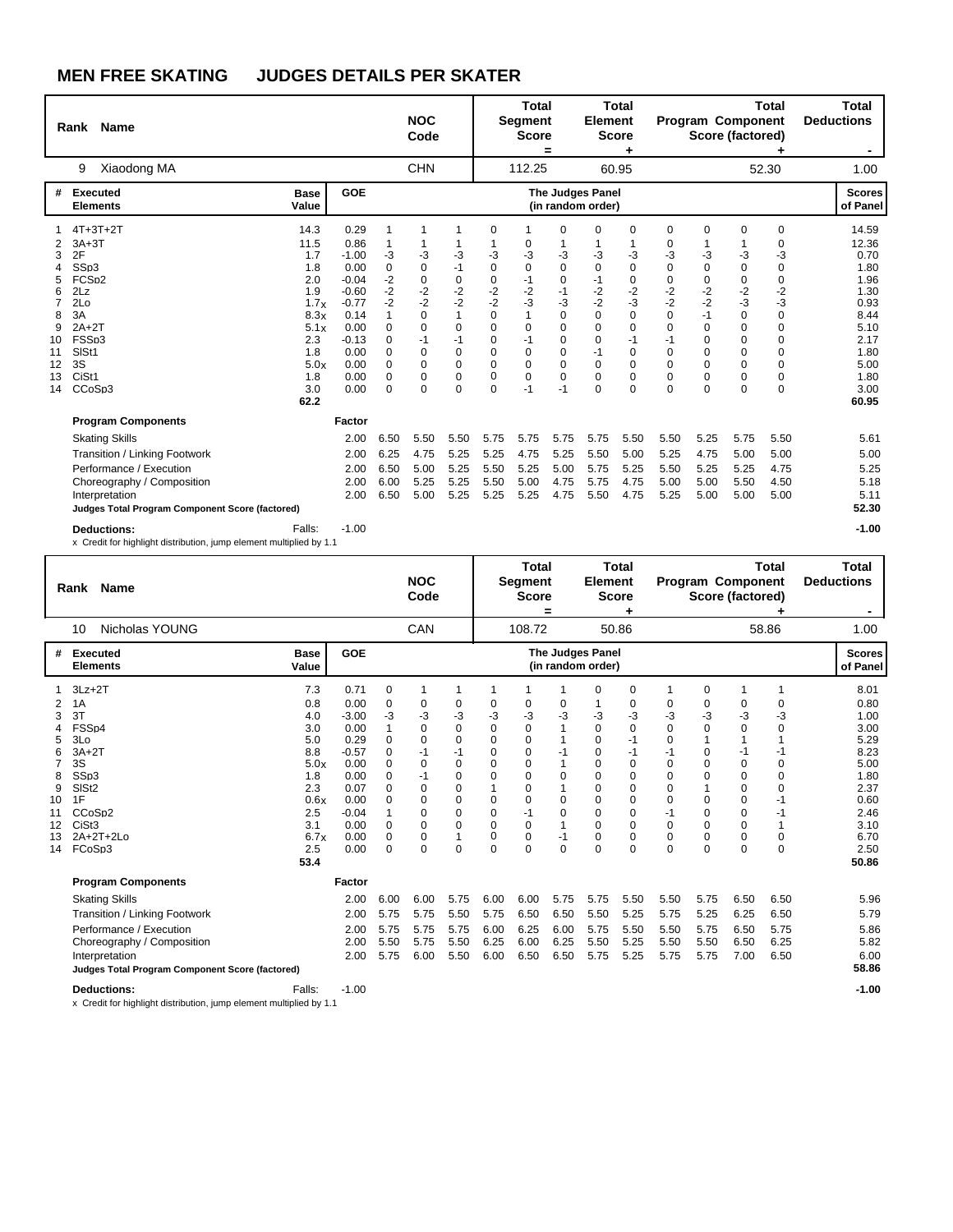|                                                              | Name<br>Rank                                                                                                                                                   |                                                                                               |                                                                                                                     |                                                                                                               | <b>NOC</b><br>Code                                                                                                     |                                                                                                                                     |                                                                                                                                 | <b>Total</b><br><b>Segment</b><br><b>Score</b>                                                                    | $\equiv$                                                                                                                          | <b>Element</b>                                                                                                        | <b>Total</b><br><b>Score</b>                                                 |                                                                                                                   |                                                                                                                  | Program Component<br>Score (factored)                                                                                              | <b>Total</b>                                                                                                          | Total<br><b>Deductions</b>                                                                             |
|--------------------------------------------------------------|----------------------------------------------------------------------------------------------------------------------------------------------------------------|-----------------------------------------------------------------------------------------------|---------------------------------------------------------------------------------------------------------------------|---------------------------------------------------------------------------------------------------------------|------------------------------------------------------------------------------------------------------------------------|-------------------------------------------------------------------------------------------------------------------------------------|---------------------------------------------------------------------------------------------------------------------------------|-------------------------------------------------------------------------------------------------------------------|-----------------------------------------------------------------------------------------------------------------------------------|-----------------------------------------------------------------------------------------------------------------------|------------------------------------------------------------------------------|-------------------------------------------------------------------------------------------------------------------|------------------------------------------------------------------------------------------------------------------|------------------------------------------------------------------------------------------------------------------------------------|-----------------------------------------------------------------------------------------------------------------------|--------------------------------------------------------------------------------------------------------|
|                                                              | Xiaodong MA<br>9                                                                                                                                               |                                                                                               |                                                                                                                     |                                                                                                               | <b>CHN</b>                                                                                                             |                                                                                                                                     |                                                                                                                                 | 112.25                                                                                                            |                                                                                                                                   |                                                                                                                       | 60.95                                                                        |                                                                                                                   |                                                                                                                  |                                                                                                                                    | 52.30                                                                                                                 | 1.00                                                                                                   |
| #                                                            | <b>Executed</b><br><b>Elements</b>                                                                                                                             | <b>Base</b><br>Value                                                                          | <b>GOE</b>                                                                                                          |                                                                                                               |                                                                                                                        |                                                                                                                                     |                                                                                                                                 |                                                                                                                   |                                                                                                                                   | <b>The Judges Panel</b><br>(in random order)                                                                          |                                                                              |                                                                                                                   |                                                                                                                  |                                                                                                                                    |                                                                                                                       | <b>Scores</b><br>of Panel                                                                              |
| 2<br>3<br>4<br>5<br>6<br>7<br>8<br>9<br>10<br>11<br>12<br>13 | $4T+3T+2T$<br>$3A+3T$<br>2F<br>SSp3<br>FCS <sub>p2</sub><br>2Lz<br>2Lo<br>3A<br>$2A+2T$<br>FSSp3<br>SISt1<br>3S<br>CiSt1                                       | 14.3<br>11.5<br>1.7<br>1.8<br>2.0<br>1.9<br>1.7x<br>8.3x<br>5.1x<br>2.3<br>1.8<br>5.0x<br>1.8 | 0.29<br>0.86<br>$-1.00$<br>0.00<br>$-0.04$<br>$-0.60$<br>$-0.77$<br>0.14<br>0.00<br>$-0.13$<br>0.00<br>0.00<br>0.00 | 1<br>1<br>-3<br>$\mathbf 0$<br>$-2$<br>$-2$<br>$-2$<br>1<br>$\Omega$<br>0<br>$\Omega$<br>$\Omega$<br>$\Omega$ | 1<br>-3<br>$\Omega$<br>$\mathbf 0$<br>$-2$<br>$-2$<br>$\Omega$<br>$\Omega$<br>$-1$<br>$\Omega$<br>$\Omega$<br>$\Omega$ | 1<br>1<br>$-3$<br>$-1$<br>$\mathbf 0$<br>$-2$<br>$-2$<br>$\mathbf{1}$<br>$\Omega$<br>$-1$<br>$\mathbf 0$<br>$\Omega$<br>$\mathbf 0$ | 0<br>-3<br>$\mathbf 0$<br>0<br>$\frac{-2}{-2}$<br>$\mathbf 0$<br>$\Omega$<br>$\Omega$<br>$\mathbf 0$<br>$\Omega$<br>$\mathbf 0$ | -1<br>0<br>-3<br>$\Omega$<br>$-1$<br>$-2$<br>$-3$<br>1<br>$\mathbf 0$<br>$-1$<br>$\Omega$<br>$\Omega$<br>$\Omega$ | $\Omega$<br>-3<br>$\Omega$<br>$\mathbf 0$<br>$-1$<br>$-3$<br>$\Omega$<br>$\Omega$<br>$\Omega$<br>$\Omega$<br>$\Omega$<br>$\Omega$ | 0<br>-3<br>$\mathbf 0$<br>$-1$<br>$-2$<br>$-2$<br>$\mathbf 0$<br>$\Omega$<br>$\Omega$<br>$-1$<br>$\Omega$<br>$\Omega$ | 0<br>-3<br>0<br>0<br>$\frac{-2}{-3}$<br>0<br>0<br>$-1$<br>0<br>$\Omega$<br>0 | 0<br>0<br>-3<br>$\Omega$<br>0<br>$-2$<br>$-2$<br>$\Omega$<br>$\Omega$<br>$-1$<br>$\Omega$<br>$\Omega$<br>$\Omega$ | 0<br>-3<br>$\mathbf 0$<br>0<br>$-2$<br>-2<br>$-1$<br>$\Omega$<br>$\Omega$<br>$\Omega$<br>$\Omega$<br>$\mathbf 0$ | 0<br>-3<br>$\mathbf 0$<br>0<br>$-2$<br>$-3$<br>$\mathbf 0$<br>$\mathbf 0$<br>$\mathbf 0$<br>$\mathbf 0$<br>$\Omega$<br>$\mathbf 0$ | 0<br>0<br>-3<br>$\Omega$<br>0<br>$-2$<br>$-3$<br>$\Omega$<br>$\Omega$<br>$\Omega$<br>$\Omega$<br>$\Omega$<br>$\Omega$ | 14.59<br>12.36<br>0.70<br>1.80<br>1.96<br>1.30<br>0.93<br>8.44<br>5.10<br>2.17<br>1.80<br>5.00<br>1.80 |
| 14                                                           | CCoSp3                                                                                                                                                         | 3.0<br>62.2                                                                                   | 0.00                                                                                                                | $\Omega$                                                                                                      | $\Omega$                                                                                                               | $\Omega$                                                                                                                            | $\Omega$                                                                                                                        | $-1$                                                                                                              | $-1$                                                                                                                              | $\Omega$                                                                                                              | $\Omega$                                                                     | $\Omega$                                                                                                          | $\Omega$                                                                                                         | $\Omega$                                                                                                                           | $\Omega$                                                                                                              | 3.00<br>60.95                                                                                          |
|                                                              | <b>Program Components</b><br><b>Skating Skills</b><br>Transition / Linking Footwork<br>Performance / Execution<br>Choreography / Composition<br>Interpretation |                                                                                               | <b>Factor</b><br>2.00<br>2.00<br>2.00<br>2.00<br>2.00                                                               | 6.50<br>6.25<br>6.50<br>6.00<br>6.50                                                                          | 5.50<br>4.75<br>5.00<br>5.25<br>5.00                                                                                   | 5.50<br>5.25<br>5.25<br>5.25<br>5.25                                                                                                | 5.75<br>5.25<br>5.50<br>5.50<br>5.25                                                                                            | 5.75<br>4.75<br>5.25<br>5.00<br>5.25                                                                              | 5.75<br>5.25<br>5.00<br>4.75<br>4.75                                                                                              | 5.75<br>5.50<br>5.75<br>5.75<br>5.50                                                                                  | 5.50<br>5.00<br>5.25<br>4.75<br>4.75                                         | 5.50<br>5.25<br>5.50<br>5.00<br>5.25                                                                              | 5.25<br>4.75<br>5.25<br>5.00<br>5.00                                                                             | 5.75<br>5.00<br>5.25<br>5.50<br>5.00                                                                                               | 5.50<br>5.00<br>4.75<br>4.50<br>5.00                                                                                  | 5.61<br>5.00<br>5.25<br>5.18<br>5.11                                                                   |
|                                                              | Judges Total Program Component Score (factored)<br><b>Deductions:</b><br>x Credit for highlight distribution, jump element multiplied by 1.1                   | Falls:                                                                                        | $-1.00$                                                                                                             |                                                                                                               |                                                                                                                        |                                                                                                                                     |                                                                                                                                 |                                                                                                                   |                                                                                                                                   |                                                                                                                       |                                                                              |                                                                                                                   |                                                                                                                  |                                                                                                                                    |                                                                                                                       | 52.30<br>$-1.00$                                                                                       |

|          | <b>Name</b><br>Rank                             |                      |                 |                    | <b>NOC</b><br>Code |                             |                   | <b>Total</b><br><b>Segment</b><br><b>Score</b> | =              | <b>Element</b>                        | <b>Total</b><br><b>Score</b> |         |                  | <b>Program Component</b><br>Score (factored) | <b>Total</b> | <b>Total</b><br><b>Deductions</b><br>$\blacksquare$ |
|----------|-------------------------------------------------|----------------------|-----------------|--------------------|--------------------|-----------------------------|-------------------|------------------------------------------------|----------------|---------------------------------------|------------------------------|---------|------------------|----------------------------------------------|--------------|-----------------------------------------------------|
|          | <b>Nicholas YOUNG</b><br>10                     |                      |                 |                    | CAN                |                             |                   | 108.72                                         |                |                                       | 50.86                        |         |                  |                                              | 58.86        | 1.00                                                |
| #        | <b>Executed</b><br><b>Elements</b>              | <b>Base</b><br>Value | GOE             |                    |                    |                             |                   |                                                |                | The Judges Panel<br>(in random order) |                              |         |                  |                                              |              | <b>Scores</b><br>of Panel                           |
|          | $3Lz + 2T$                                      | 7.3                  | 0.71            | 0                  | 1                  | 1                           | 1                 |                                                |                | 0                                     | $\mathbf 0$                  | 1       | 0                |                                              |              | 8.01                                                |
| 2        | 1A                                              | 0.8                  | 0.00            | 0                  | 0                  | 0                           | 0                 | 0                                              | 0              |                                       | 0                            | 0       | 0                | 0                                            | 0            | 0.80                                                |
| 3        | 3T<br>FSS <sub>D4</sub>                         | 4.0<br>3.0           | $-3.00$<br>0.00 | -3<br>$\mathbf{1}$ | -3<br>0            | -3<br>$\mathbf 0$           | -3<br>$\mathbf 0$ | -3<br>$\mathbf 0$                              | -3             | -3<br>$\mathbf 0$                     | -3<br>$\mathbf 0$            | -3<br>0 | $-3$<br>$\Omega$ | -3<br>0                                      | -3<br>0      | 1.00<br>3.00                                        |
| 4<br>5   | 3Lo                                             | 5.0                  | 0.29            | 0                  | 0                  | $\mathbf 0$                 | $\Omega$          | 0                                              |                | $\mathbf 0$                           | $-1$                         | 0       | 1                | $\mathbf{1}$                                 |              | 5.29                                                |
| 6        | $3A+2T$                                         | 8.8                  | $-0.57$         | $\Omega$           | $-1$               | $-1$                        | $\Omega$          | $\Omega$                                       | $-1$           | $\Omega$                              | $-1$                         | $-1$    | 0                | $-1$                                         | -1           | 8.23                                                |
|          | 3S                                              | 5.0x                 | 0.00            | $\Omega$           | 0                  | $\mathbf 0$                 | $\Omega$          | $\Omega$                                       |                | $\Omega$                              | $\mathbf 0$                  | 0       | $\Omega$         | 0                                            | 0            | 5.00                                                |
| 8        | SSp3                                            | 1.8                  | 0.00            | 0                  | $-1$               | $\mathbf 0$                 | $\Omega$          | $\Omega$                                       | 0              | $\Omega$                              | $\mathbf 0$                  | 0       | $\Omega$         | 0                                            | 0            | 1.80                                                |
| 9        | SIS <sub>t2</sub>                               | 2.3                  | 0.07            | 0                  | 0                  | 0                           |                   | 0                                              |                | $\Omega$                              | $\mathbf 0$                  | 0       |                  | 0                                            | 0            | 2.37                                                |
| 10       | 1F                                              | 0.6x                 | 0.00            | 0                  | 0                  | 0                           | 0                 | 0                                              | $\Omega$       | $\Omega$                              | $\Omega$                     | 0       | 0                | 0                                            | -1           | 0.60                                                |
| 11       | CCoSp <sub>2</sub>                              | 2.5                  | $-0.04$         |                    | 0                  | 0                           | $\Omega$          | $-1$                                           | $\Omega$       | $\Omega$                              | 0                            | $-1$    | 0                | 0                                            | $-1$         | 2.46                                                |
| 12       | CiSt <sub>3</sub>                               | 3.1                  | 0.00            | 0                  | 0                  | $\mathbf 0$                 | 0                 | 0                                              | 1              | $\Omega$                              | $\mathbf 0$                  | 0       | 0                | 0                                            |              | 3.10                                                |
| 13<br>14 | $2A+2T+2Lo$<br>FCoSp3                           | 6.7x<br>2.5          | 0.00<br>0.00    | 0<br>$\Omega$      | 0<br>$\Omega$      | $\mathbf{1}$<br>$\mathbf 0$ | 0<br>$\Omega$     | 0<br>$\Omega$                                  | -1<br>$\Omega$ | 0<br>$\Omega$                         | $\mathbf 0$<br>$\mathbf 0$   | 0<br>0  | 0<br>$\Omega$    | 0<br>$\Omega$                                | 0<br>0       | 6.70<br>2.50                                        |
|          |                                                 | 53.4                 |                 |                    |                    |                             |                   |                                                |                |                                       |                              |         |                  |                                              |              | 50.86                                               |
|          | <b>Program Components</b>                       |                      | Factor          |                    |                    |                             |                   |                                                |                |                                       |                              |         |                  |                                              |              |                                                     |
|          | <b>Skating Skills</b>                           |                      | 2.00            | 6.00               | 6.00               | 5.75                        | 6.00              | 6.00                                           | 5.75           | 5.75                                  | 5.50                         | 5.50    | 5.75             | 6.50                                         | 6.50         | 5.96                                                |
|          | Transition / Linking Footwork                   |                      | 2.00            | 5.75               | 5.75               | 5.50                        | 5.75              | 6.50                                           | 6.50           | 5.50                                  | 5.25                         | 5.75    | 5.25             | 6.25                                         | 6.50         | 5.79                                                |
|          | Performance / Execution                         |                      | 2.00            | 5.75               | 5.75               | 5.75                        | 6.00              | 6.25                                           | 6.00           | 5.75                                  | 5.50                         | 5.50    | 5.75             | 6.50                                         | 5.75         | 5.86                                                |
|          | Choreography / Composition                      |                      | 2.00            | 5.50               | 5.75               | 5.50                        | 6.25              | 6.00                                           | 6.25           | 5.50                                  | 5.25                         | 5.50    | 5.50             | 6.50                                         | 6.25         | 5.82                                                |
|          | Interpretation                                  |                      | 2.00            | 5.75               | 6.00               | 5.50                        | 6.00              | 6.50                                           | 6.50           | 5.75                                  | 5.25                         | 5.75    | 5.75             | 7.00                                         | 6.50         | 6.00                                                |
|          | Judges Total Program Component Score (factored) |                      |                 |                    |                    |                             |                   |                                                |                |                                       |                              |         |                  |                                              |              | 58.86                                               |
|          | <b>Deductions:</b>                              | Falls:               | $-1.00$         |                    |                    |                             |                   |                                                |                |                                       |                              |         |                  |                                              |              | $-1.00$                                             |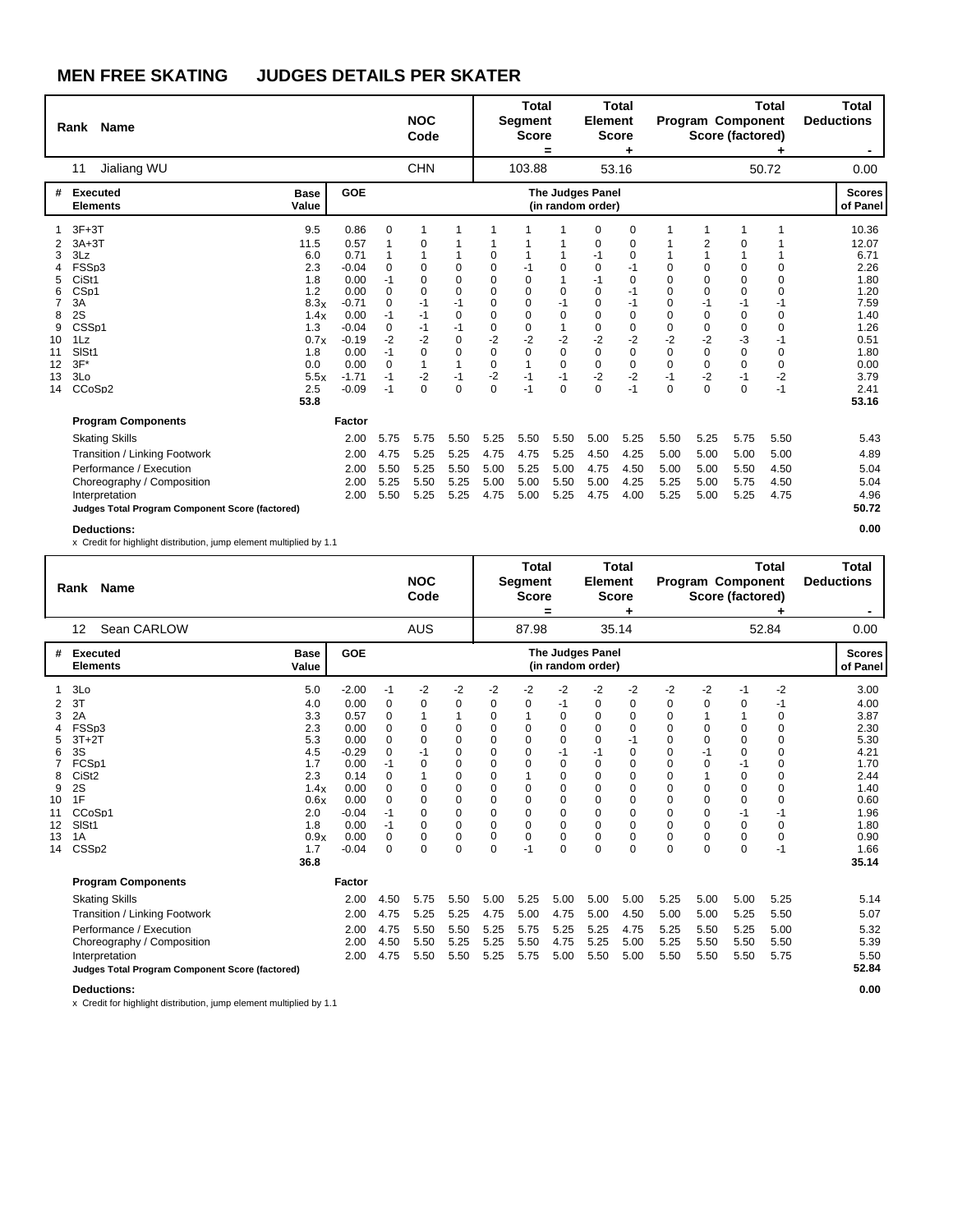|                                                                    | Rank Name                                                                                                                                                                            |                                                                                                             |                                                                                                                                |                                                                                                                     | <b>NOC</b><br>Code                                                                                     |                                                                                                              |                                                                                                                        | <b>Total</b><br><b>Segment</b><br><b>Score</b>                                                                                        | =                                                                                                     | <b>Element</b>                                                                                              | <b>Total</b><br><b>Score</b><br>٠                                                              |                                                                                                                   |                                                                             | Program Component<br>Score (factored)                                                         | <b>Total</b>                                                                                          | <b>Total</b><br><b>Deductions</b>                                                                                       |
|--------------------------------------------------------------------|--------------------------------------------------------------------------------------------------------------------------------------------------------------------------------------|-------------------------------------------------------------------------------------------------------------|--------------------------------------------------------------------------------------------------------------------------------|---------------------------------------------------------------------------------------------------------------------|--------------------------------------------------------------------------------------------------------|--------------------------------------------------------------------------------------------------------------|------------------------------------------------------------------------------------------------------------------------|---------------------------------------------------------------------------------------------------------------------------------------|-------------------------------------------------------------------------------------------------------|-------------------------------------------------------------------------------------------------------------|------------------------------------------------------------------------------------------------|-------------------------------------------------------------------------------------------------------------------|-----------------------------------------------------------------------------|-----------------------------------------------------------------------------------------------|-------------------------------------------------------------------------------------------------------|-------------------------------------------------------------------------------------------------------------------------|
|                                                                    | Jialiang WU<br>11                                                                                                                                                                    |                                                                                                             |                                                                                                                                |                                                                                                                     | <b>CHN</b>                                                                                             |                                                                                                              |                                                                                                                        | 103.88                                                                                                                                |                                                                                                       |                                                                                                             | 53.16                                                                                          |                                                                                                                   |                                                                             |                                                                                               | 50.72                                                                                                 | 0.00                                                                                                                    |
| #                                                                  | <b>Executed</b><br><b>Elements</b>                                                                                                                                                   | <b>Base</b><br>Value                                                                                        | GOE                                                                                                                            |                                                                                                                     |                                                                                                        |                                                                                                              |                                                                                                                        |                                                                                                                                       |                                                                                                       | <b>The Judges Panel</b><br>(in random order)                                                                |                                                                                                |                                                                                                                   |                                                                             |                                                                                               |                                                                                                       | <b>Scores</b><br>of Panel                                                                                               |
| 2<br>3<br>4<br>5<br>6<br>7<br>8<br>9<br>10<br>11<br>12<br>13<br>14 | $3F+3T$<br>$3A+3T$<br>3Lz<br>FSSp3<br>CiSt1<br>CS <sub>p1</sub><br>3A<br>2S<br>CSS <sub>p1</sub><br>1Lz<br>SISt1<br>$3F^*$<br>3Lo<br>CCoSp2                                          | 9.5<br>11.5<br>6.0<br>2.3<br>1.8<br>1.2<br>8.3x<br>1.4x<br>1.3<br>0.7x<br>1.8<br>0.0<br>5.5x<br>2.5<br>53.8 | 0.86<br>0.57<br>0.71<br>$-0.04$<br>0.00<br>0.00<br>$-0.71$<br>0.00<br>$-0.04$<br>$-0.19$<br>0.00<br>0.00<br>$-1.71$<br>$-0.09$ | $\mathbf 0$<br>1<br>1<br>$\Omega$<br>$-1$<br>$\Omega$<br>$\Omega$<br>$-1$<br>0<br>$-2$<br>$-1$<br>0<br>$-1$<br>$-1$ | $\Omega$<br>$\Omega$<br>$\Omega$<br>$\Omega$<br>$-1$<br>$-1$<br>-1<br>$-2$<br>$\Omega$<br>1<br>-2<br>0 | 0<br>0<br>$\Omega$<br>$-1$<br>$\mathbf 0$<br>$-1$<br>$\mathbf 0$<br>0<br>$\mathbf{1}$<br>$-1$<br>$\mathbf 0$ | 0<br>0<br>$\Omega$<br>$\Omega$<br>$\Omega$<br>$\Omega$<br>$\mathbf 0$<br>$-2$<br>$\mathbf 0$<br>$\mathbf 0$<br>-2<br>0 | 1<br>$-1$<br>$\mathbf 0$<br>$\mathbf 0$<br>$\Omega$<br>$\Omega$<br>$\mathbf 0$<br>$-2$<br>$\mathbf 0$<br>$\mathbf{1}$<br>$-1$<br>$-1$ | $\Omega$<br>$\Omega$<br>$-1$<br>$\Omega$<br>$-2$<br>$\mathbf 0$<br>$\mathbf 0$<br>$-1$<br>$\mathbf 0$ | 0<br>0<br>$-1$<br>0<br>$-1$<br>$\mathbf 0$<br>$\Omega$<br>$\Omega$<br>0<br>$-2$<br>$\Omega$<br>0<br>-2<br>0 | 0<br>0<br>0<br>$-1$<br>0<br>$-1$<br>$-1$<br>$\mathbf 0$<br>0<br>$-2$<br>0<br>0<br>$-2$<br>$-1$ | $\Omega$<br>$\Omega$<br>$\Omega$<br>$\Omega$<br>$\Omega$<br>$\Omega$<br>$-2$<br>$\Omega$<br>$\Omega$<br>$-1$<br>0 | 1<br>2<br>1<br>0<br>0<br>0<br>$-1$<br>0<br>0<br>$-2$<br>0<br>0<br>$-2$<br>0 | 0<br>$\mathbf 0$<br>0<br>$\mathbf 0$<br>$-1$<br>$\mathbf 0$<br>0<br>-3<br>0<br>0<br>$-1$<br>0 | 1<br>0<br>$\Omega$<br>$\Omega$<br>$-1$<br>$\Omega$<br>$\Omega$<br>-1<br>$\Omega$<br>0<br>$-2$<br>$-1$ | 10.36<br>12.07<br>6.71<br>2.26<br>1.80<br>1.20<br>7.59<br>1.40<br>1.26<br>0.51<br>1.80<br>0.00<br>3.79<br>2.41<br>53.16 |
|                                                                    | <b>Program Components</b>                                                                                                                                                            |                                                                                                             | Factor                                                                                                                         |                                                                                                                     |                                                                                                        |                                                                                                              |                                                                                                                        |                                                                                                                                       |                                                                                                       |                                                                                                             |                                                                                                |                                                                                                                   |                                                                             |                                                                                               |                                                                                                       |                                                                                                                         |
|                                                                    | <b>Skating Skills</b><br>Transition / Linking Footwork<br>Performance / Execution<br>Choreography / Composition<br>Interpretation<br>Judges Total Program Component Score (factored) |                                                                                                             | 2.00<br>2.00<br>2.00<br>2.00<br>2.00                                                                                           | 5.75<br>4.75<br>5.50<br>5.25<br>5.50                                                                                | 5.75<br>5.25<br>5.25<br>5.50<br>5.25                                                                   | 5.50<br>5.25<br>5.50<br>5.25<br>5.25                                                                         | 5.25<br>4.75<br>5.00<br>5.00<br>4.75                                                                                   | 5.50<br>4.75<br>5.25<br>5.00<br>5.00                                                                                                  | 5.50<br>5.25<br>5.00<br>5.50<br>5.25                                                                  | 5.00<br>4.50<br>4.75<br>5.00<br>4.75                                                                        | 5.25<br>4.25<br>4.50<br>4.25<br>4.00                                                           | 5.50<br>5.00<br>5.00<br>5.25<br>5.25                                                                              | 5.25<br>5.00<br>5.00<br>5.00<br>5.00                                        | 5.75<br>5.00<br>5.50<br>5.75<br>5.25                                                          | 5.50<br>5.00<br>4.50<br>4.50<br>4.75                                                                  | 5.43<br>4.89<br>5.04<br>5.04<br>4.96<br>50.72                                                                           |
|                                                                    | <b>Deductions:</b>                                                                                                                                                                   |                                                                                                             |                                                                                                                                |                                                                                                                     |                                                                                                        |                                                                                                              |                                                                                                                        |                                                                                                                                       |                                                                                                       |                                                                                                             |                                                                                                |                                                                                                                   |                                                                             |                                                                                               |                                                                                                       | 0.00                                                                                                                    |

x Credit for highlight distribution, jump element multiplied by 1.1

|                                                          | Rank Name                                                                                                                                                                            |                                                                                                           |                                                                                                                          |                                                                                                                                            | <b>NOC</b><br>Code                                                                                                            |                                                                                                                                      |                                                                                                             | <b>Total</b><br>Segment<br><b>Score</b>                                                                               | =                                                                                                                                                  | <b>Element</b>                                                                                                                          | <b>Total</b><br><b>Score</b>                                                                |                                                                                                                               | <b>Program Component</b><br>Score (factored)                                                |                                                                                                                                | <b>Total</b>                                                                                                | <b>Total</b><br><b>Deductions</b>                                                                                     |
|----------------------------------------------------------|--------------------------------------------------------------------------------------------------------------------------------------------------------------------------------------|-----------------------------------------------------------------------------------------------------------|--------------------------------------------------------------------------------------------------------------------------|--------------------------------------------------------------------------------------------------------------------------------------------|-------------------------------------------------------------------------------------------------------------------------------|--------------------------------------------------------------------------------------------------------------------------------------|-------------------------------------------------------------------------------------------------------------|-----------------------------------------------------------------------------------------------------------------------|----------------------------------------------------------------------------------------------------------------------------------------------------|-----------------------------------------------------------------------------------------------------------------------------------------|---------------------------------------------------------------------------------------------|-------------------------------------------------------------------------------------------------------------------------------|---------------------------------------------------------------------------------------------|--------------------------------------------------------------------------------------------------------------------------------|-------------------------------------------------------------------------------------------------------------|-----------------------------------------------------------------------------------------------------------------------|
|                                                          | Sean CARLOW<br>12                                                                                                                                                                    |                                                                                                           |                                                                                                                          |                                                                                                                                            | <b>AUS</b>                                                                                                                    |                                                                                                                                      |                                                                                                             | 87.98                                                                                                                 |                                                                                                                                                    |                                                                                                                                         | 35.14                                                                                       |                                                                                                                               |                                                                                             |                                                                                                                                | 52.84                                                                                                       | 0.00                                                                                                                  |
|                                                          | <b>Executed</b><br><b>Elements</b>                                                                                                                                                   | <b>Base</b><br>Value                                                                                      | GOE                                                                                                                      |                                                                                                                                            |                                                                                                                               |                                                                                                                                      |                                                                                                             |                                                                                                                       |                                                                                                                                                    | The Judges Panel<br>(in random order)                                                                                                   |                                                                                             |                                                                                                                               |                                                                                             |                                                                                                                                |                                                                                                             | <b>Scores</b><br>of Panel                                                                                             |
| 2<br>3<br>5<br>6<br>8<br>9<br>10<br>11<br>12<br>13<br>14 | 3Lo<br>3T<br>2A<br>FSSp3<br>$3T+2T$<br>3S<br>FCSp1<br>CiSt <sub>2</sub><br>2S<br>1F<br>CCoSp1<br>SISt1<br>1A<br>CSS <sub>D2</sub>                                                    | 5.0<br>4.0<br>3.3<br>2.3<br>5.3<br>4.5<br>1.7<br>2.3<br>1.4x<br>0.6x<br>2.0<br>1.8<br>0.9x<br>1.7<br>36.8 | $-2.00$<br>0.00<br>0.57<br>0.00<br>0.00<br>$-0.29$<br>0.00<br>0.14<br>0.00<br>0.00<br>$-0.04$<br>0.00<br>0.00<br>$-0.04$ | -1<br>$\mathbf 0$<br>$\mathbf 0$<br>$\Omega$<br>$\Omega$<br>$\Omega$<br>$-1$<br>0<br>0<br>$\Omega$<br>$-1$<br>$-1$<br>$\Omega$<br>$\Omega$ | $-2$<br>0<br>$\Omega$<br>$\Omega$<br>$-1$<br>$\Omega$<br>$\Omega$<br>$\Omega$<br>$\Omega$<br>$\Omega$<br>$\Omega$<br>$\Omega$ | $-2$<br>0<br>$\Omega$<br>$\Omega$<br>$\mathbf 0$<br>0<br>$\mathbf 0$<br>$\mathbf 0$<br>0<br>0<br>$\Omega$<br>$\mathbf 0$<br>$\Omega$ | $-2$<br>0<br>0<br>0<br>0<br>$\Omega$<br>$\Omega$<br>0<br>0<br>$\mathbf 0$<br>0<br>$\Omega$<br>0<br>$\Omega$ | $-2$<br>0<br>$\mathbf{1}$<br>0<br>$\Omega$<br>0<br>0<br>1<br>0<br>0<br>$\mathbf 0$<br>$\Omega$<br>$\mathbf 0$<br>$-1$ | $-2$<br>-1<br>$\Omega$<br>$\Omega$<br>$\Omega$<br>$-1$<br>$\Omega$<br>$\Omega$<br>0<br>$\Omega$<br>$\mathbf 0$<br>$\Omega$<br>$\Omega$<br>$\Omega$ | $-2$<br>0<br>0<br>$\Omega$<br>$\Omega$<br>$-1$<br>$\Omega$<br>$\Omega$<br>0<br>$\Omega$<br>$\Omega$<br>$\Omega$<br>$\Omega$<br>$\Omega$ | -2<br>0<br>0<br>$\Omega$<br>$-1$<br>0<br>0<br>0<br>0<br>0<br>0<br>$\Omega$<br>0<br>$\Omega$ | $-2$<br>0<br>$\Omega$<br>$\Omega$<br>$\Omega$<br>$\Omega$<br>0<br>0<br>0<br>0<br>$\Omega$<br>$\Omega$<br>$\Omega$<br>$\Omega$ | -2<br>0<br>1<br>0<br>0<br>$-1$<br>0<br>1<br>0<br>0<br>0<br>$\Omega$<br>$\Omega$<br>$\Omega$ | -1<br>0<br>0<br>$\Omega$<br>$\Omega$<br>$-1$<br>$\mathbf 0$<br>0<br>$\mathbf 0$<br>$-1$<br>$\Omega$<br>$\mathbf 0$<br>$\Omega$ | -2<br>-1<br>0<br>$\Omega$<br>$\Omega$<br>$\Omega$<br>$\Omega$<br>0<br>0<br>0<br>$-1$<br>$\Omega$<br>0<br>-1 | 3.00<br>4.00<br>3.87<br>2.30<br>5.30<br>4.21<br>1.70<br>2.44<br>1.40<br>0.60<br>1.96<br>1.80<br>0.90<br>1.66<br>35.14 |
|                                                          | <b>Program Components</b>                                                                                                                                                            |                                                                                                           | Factor                                                                                                                   |                                                                                                                                            |                                                                                                                               |                                                                                                                                      |                                                                                                             |                                                                                                                       |                                                                                                                                                    |                                                                                                                                         |                                                                                             |                                                                                                                               |                                                                                             |                                                                                                                                |                                                                                                             |                                                                                                                       |
|                                                          | <b>Skating Skills</b><br>Transition / Linking Footwork<br>Performance / Execution<br>Choreography / Composition<br>Interpretation<br>Judges Total Program Component Score (factored) |                                                                                                           | 2.00<br>2.00<br>2.00<br>2.00<br>2.00                                                                                     | 4.50<br>4.75<br>4.75<br>4.50<br>4.75                                                                                                       | 5.75<br>5.25<br>5.50<br>5.50<br>5.50                                                                                          | 5.50<br>5.25<br>5.50<br>5.25<br>5.50                                                                                                 | 5.00<br>4.75<br>5.25<br>5.25<br>5.25                                                                        | 5.25<br>5.00<br>5.75<br>5.50<br>5.75                                                                                  | 5.00<br>4.75<br>5.25<br>4.75<br>5.00                                                                                                               | 5.00<br>5.00<br>5.25<br>5.25<br>5.50                                                                                                    | 5.00<br>4.50<br>4.75<br>5.00<br>5.00                                                        | 5.25<br>5.00<br>5.25<br>5.25<br>5.50                                                                                          | 5.00<br>5.00<br>5.50<br>5.50<br>5.50                                                        | 5.00<br>5.25<br>5.25<br>5.50<br>5.50                                                                                           | 5.25<br>5.50<br>5.00<br>5.50<br>5.75                                                                        | 5.14<br>5.07<br>5.32<br>5.39<br>5.50<br>52.84                                                                         |

**Deductions: 0.00**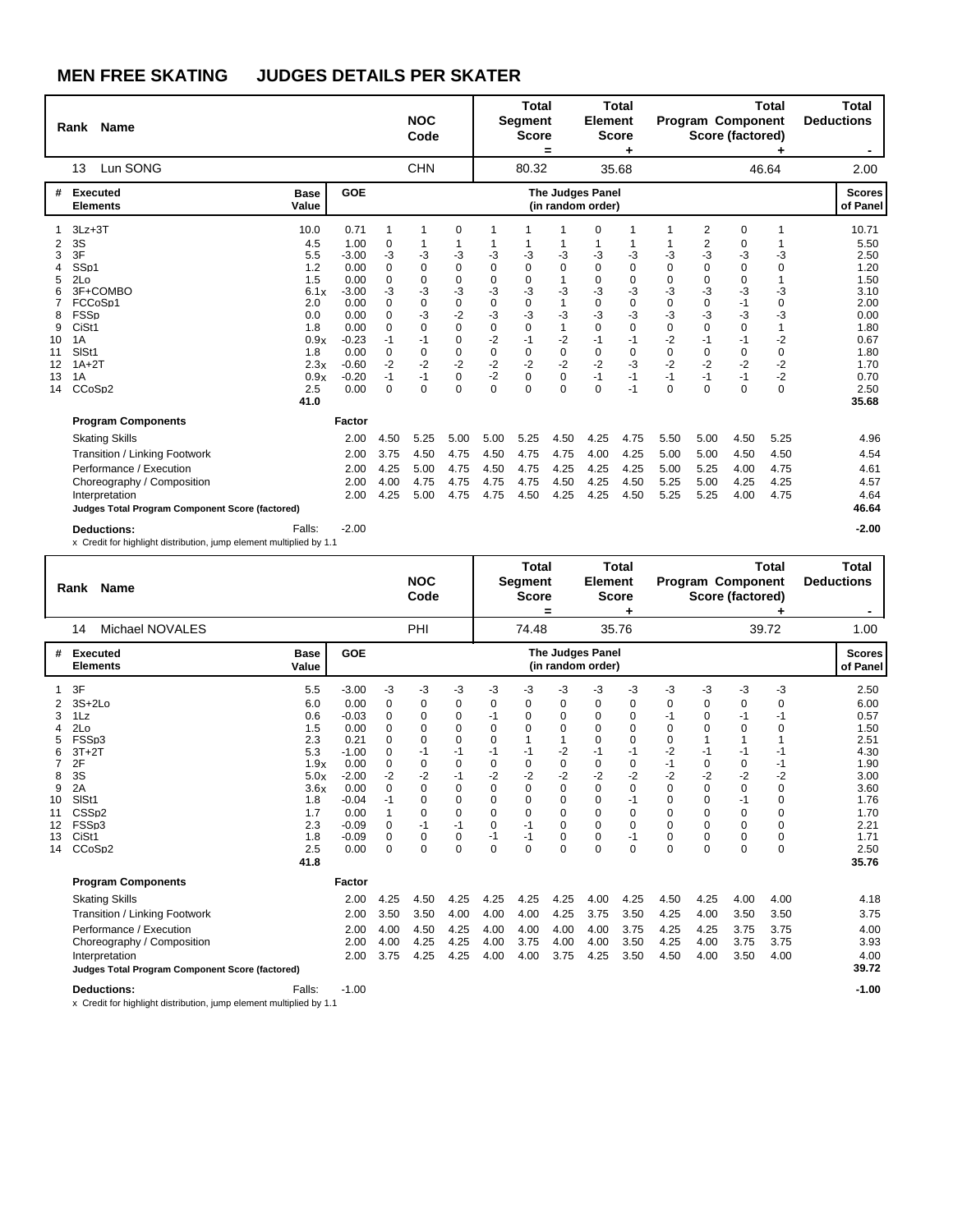|                                                    | Rank Name                                                                                                                                                                                                                               |                                                                                              |                                                                                                                     |                                                                                               | <b>NOC</b><br>Code                                                               |                                                                                                                         |                                                                                                  | <b>Total</b><br><b>Segment</b><br><b>Score</b>                                                          | $\equiv$                                                                            | <b>Element</b>                                                                                            | <b>Total</b><br><b>Score</b>                                                     |                                                                                                        |                                                                                                                                       | Program Component<br>Score (factored)                                                            | <b>Total</b>                                                                                 | <b>Total</b><br><b>Deductions</b><br>۰                                                                |
|----------------------------------------------------|-----------------------------------------------------------------------------------------------------------------------------------------------------------------------------------------------------------------------------------------|----------------------------------------------------------------------------------------------|---------------------------------------------------------------------------------------------------------------------|-----------------------------------------------------------------------------------------------|----------------------------------------------------------------------------------|-------------------------------------------------------------------------------------------------------------------------|--------------------------------------------------------------------------------------------------|---------------------------------------------------------------------------------------------------------|-------------------------------------------------------------------------------------|-----------------------------------------------------------------------------------------------------------|----------------------------------------------------------------------------------|--------------------------------------------------------------------------------------------------------|---------------------------------------------------------------------------------------------------------------------------------------|--------------------------------------------------------------------------------------------------|----------------------------------------------------------------------------------------------|-------------------------------------------------------------------------------------------------------|
|                                                    | Lun SONG<br>13                                                                                                                                                                                                                          |                                                                                              |                                                                                                                     |                                                                                               | <b>CHN</b>                                                                       |                                                                                                                         |                                                                                                  | 80.32                                                                                                   |                                                                                     |                                                                                                           | 35.68                                                                            |                                                                                                        |                                                                                                                                       |                                                                                                  | 46.64                                                                                        | 2.00                                                                                                  |
| #                                                  | Executed<br><b>Elements</b>                                                                                                                                                                                                             | <b>Base</b><br>Value                                                                         | <b>GOE</b>                                                                                                          |                                                                                               |                                                                                  |                                                                                                                         |                                                                                                  |                                                                                                         |                                                                                     | <b>The Judges Panel</b><br>(in random order)                                                              |                                                                                  |                                                                                                        |                                                                                                                                       |                                                                                                  |                                                                                              | <b>Scores</b><br>of Panel                                                                             |
| 2<br>3<br>5<br>6<br>8<br>9<br>10<br>11<br>12<br>13 | $3Lz + 3T$<br>3S<br>3F<br>SS <sub>D1</sub><br>2Lo<br>3F+COMBO<br>FCCoSp1<br><b>FSSp</b><br>CiSt1<br>1A<br>SISt1<br>$1A+2T$<br>1A                                                                                                        | 10.0<br>4.5<br>5.5<br>1.2<br>1.5<br>6.1x<br>2.0<br>0.0<br>1.8<br>0.9x<br>1.8<br>2.3x<br>0.9x | 0.71<br>1.00<br>$-3.00$<br>0.00<br>0.00<br>$-3.00$<br>0.00<br>0.00<br>0.00<br>$-0.23$<br>0.00<br>$-0.60$<br>$-0.20$ | 1<br>0<br>-3<br>0<br>0<br>-3<br>$\Omega$<br>$\Omega$<br>$\Omega$<br>$-1$<br>0<br>$-2$<br>$-1$ | -3<br>0<br>0<br>-3<br>0<br>-3<br>$\Omega$<br>$-1$<br>$\mathbf 0$<br>$-2$<br>$-1$ | 0<br>-3<br>0<br>$\mathbf 0$<br>-3<br>$\mathbf 0$<br>$-2$<br>$\Omega$<br>$\mathbf 0$<br>$\mathbf 0$<br>$-2$<br>$\pmb{0}$ | 1<br>-3<br>$\mathbf 0$<br>$\mathbf 0$<br>-3<br>0<br>-3<br>0<br>$-2$<br>$\mathbf 0$<br>$-2$<br>-2 | -3<br>0<br>$\mathbf 0$<br>-3<br>$\mathbf 0$<br>$-3$<br>$\Omega$<br>$-1$<br>$\Omega$<br>$-2$<br>$\Omega$ | -3<br>$\Omega$<br>$-3$<br>1<br>$-3$<br>1<br>$-2$<br>$\mathbf 0$<br>$-2$<br>$\Omega$ | 0<br>-3<br>0<br>$\mathbf 0$<br>-3<br>$\mathbf 0$<br>-3<br>$\Omega$<br>$-1$<br>$\mathbf 0$<br>$-2$<br>$-1$ | 1<br>-3<br>$\mathbf 0$<br>0<br>-3<br>0<br>$-3$<br>0<br>$-1$<br>0<br>$-3$<br>$-1$ | -3<br>$\Omega$<br>$\Omega$<br>$-3$<br>$\Omega$<br>$-3$<br>$\Omega$<br>$-2$<br>$\Omega$<br>$-2$<br>$-1$ | 2<br>$\overline{c}$<br>-3<br>$\mathbf 0$<br>$\mathbf 0$<br>-3<br>$\mathbf 0$<br>-3<br>$\Omega$<br>$-1$<br>$\mathbf 0$<br>$-2$<br>$-1$ | 0<br>0<br>-3<br>0<br>$\mathbf 0$<br>-3<br>$-1$<br>-3<br>0<br>$-1$<br>$\mathbf 0$<br>$-2$<br>$-1$ | 1<br>-3<br>0<br>1<br>$-3$<br>$\mathbf 0$<br>$-3$<br>1<br>$-2$<br>$\mathbf 0$<br>$-2$<br>$-2$ | 10.71<br>5.50<br>2.50<br>1.20<br>1.50<br>3.10<br>2.00<br>0.00<br>1.80<br>0.67<br>1.80<br>1.70<br>0.70 |
| 14                                                 | CCoSp2                                                                                                                                                                                                                                  | 2.5<br>41.0                                                                                  | 0.00                                                                                                                | $\Omega$                                                                                      | $\Omega$                                                                         | $\Omega$                                                                                                                | $\Omega$                                                                                         | $\Omega$                                                                                                | $\Omega$                                                                            | $\Omega$                                                                                                  | $-1$                                                                             | $\Omega$                                                                                               | $\Omega$                                                                                                                              | $\Omega$                                                                                         | $\Omega$                                                                                     | 2.50<br>35.68                                                                                         |
|                                                    | <b>Program Components</b><br><b>Skating Skills</b><br>Transition / Linking Footwork<br>Performance / Execution<br>Choreography / Composition<br>Interpretation<br>Judges Total Program Component Score (factored)<br><b>Deductions:</b> | Falls:                                                                                       | Factor<br>2.00<br>2.00<br>2.00<br>2.00<br>2.00<br>$-2.00$                                                           | 4.50<br>3.75<br>4.25<br>4.00<br>4.25                                                          | 5.25<br>4.50<br>5.00<br>4.75<br>5.00                                             | 5.00<br>4.75<br>4.75<br>4.75<br>4.75                                                                                    | 5.00<br>4.50<br>4.50<br>4.75<br>4.75                                                             | 5.25<br>4.75<br>4.75<br>4.75<br>4.50                                                                    | 4.50<br>4.75<br>4.25<br>4.50<br>4.25                                                | 4.25<br>4.00<br>4.25<br>4.25<br>4.25                                                                      | 4.75<br>4.25<br>4.25<br>4.50<br>4.50                                             | 5.50<br>5.00<br>5.00<br>5.25<br>5.25                                                                   | 5.00<br>5.00<br>5.25<br>5.00<br>5.25                                                                                                  | 4.50<br>4.50<br>4.00<br>4.25<br>4.00                                                             | 5.25<br>4.50<br>4.75<br>4.25<br>4.75                                                         | 4.96<br>4.54<br>4.61<br>4.57<br>4.64<br>46.64<br>$-2.00$                                              |
|                                                    | x Credit for highlight distribution, jump element multiplied by 1.1                                                                                                                                                                     |                                                                                              |                                                                                                                     |                                                                                               |                                                                                  |                                                                                                                         |                                                                                                  |                                                                                                         |                                                                                     |                                                                                                           |                                                                                  |                                                                                                        |                                                                                                                                       |                                                                                                  |                                                                                              |                                                                                                       |

|    | <b>Name</b><br>Rank                             |                      |                 |               | <b>NOC</b><br>Code |                            |             | Total<br><b>Segment</b><br><b>Score</b> | =                | Element                                      | <b>Total</b><br><b>Score</b> |           |                      | Program Component<br>Score (factored) | <b>Total</b> | <b>Total</b><br><b>Deductions</b><br>٠ |
|----|-------------------------------------------------|----------------------|-----------------|---------------|--------------------|----------------------------|-------------|-----------------------------------------|------------------|----------------------------------------------|------------------------------|-----------|----------------------|---------------------------------------|--------------|----------------------------------------|
|    | Michael NOVALES<br>14                           |                      |                 |               | PHI                |                            |             | 74.48                                   |                  |                                              | 35.76                        |           |                      |                                       | 39.72        | 1.00                                   |
| #  | <b>Executed</b><br><b>Elements</b>              | <b>Base</b><br>Value | GOE             |               |                    |                            |             |                                         |                  | <b>The Judges Panel</b><br>(in random order) |                              |           |                      |                                       |              | <b>Scores</b><br>of Panel              |
|    | 3F                                              | 5.5                  | $-3.00$         | -3            | -3                 | -3                         | -3          | $-3$                                    | -3               | -3                                           | -3                           | -3        | $-3$                 | -3                                    | -3           | 2.50                                   |
| 3  | $3S+2Lo$<br>1Lz                                 | 6.0<br>0.6           | 0.00<br>$-0.03$ | 0<br>0        | 0<br>$\Omega$      | 0<br>$\mathbf 0$           | 0<br>$-1$   | 0<br>$\Omega$                           | 0<br>0           | 0<br>$\Omega$                                | 0<br>$\mathbf 0$             | 0<br>$-1$ | 0<br>0               | 0<br>$-1$                             | 0<br>$-1$    | 6.00<br>0.57                           |
|    | 2Lo                                             | 1.5                  | 0.00            | 0             | 0                  | 0                          | $\Omega$    | $\Omega$                                | $\mathbf 0$      | $\Omega$                                     | $\mathbf 0$                  | $\Omega$  | $\Omega$             | 0                                     | 0            | 1.50                                   |
|    | FSSp3                                           | 2.3                  | 0.21            | $\Omega$      | $\Omega$           | $\mathbf 0$                | $\Omega$    |                                         |                  | 0                                            | $\mathbf 0$                  | $\Omega$  |                      | 1                                     |              | 2.51                                   |
|    | $3T+2T$                                         | 5.3                  | $-1.00$         | 0             | $-1$               | $-1$                       | $-1$        | $-1$                                    | $-2$             | $-1$                                         | $-1$                         | $-2$      | $-1$                 | $-1$                                  | -1           | 4.30                                   |
|    | 2F                                              | 1.9x                 | 0.00            | 0             | 0                  | $\mathbf 0$                | $\mathbf 0$ | 0                                       | $\mathbf 0$      | 0                                            | 0                            | $-1$      | 0                    | 0                                     | $-1$         | 1.90                                   |
| 8  | 3S                                              | 5.0x                 | $-2.00$         | $-2$          | $-2$               | $-1$                       | $-2$        | $-2$                                    | $-2$             | $-2$                                         | $-2$                         | $-2$      | $-2$                 | $-2$                                  | $-2$         | 3.00                                   |
| 9  | 2A                                              | 3.6x                 | 0.00            | 0             | 0                  | $\mathbf 0$                | $\mathbf 0$ | 0                                       | $\pmb{0}$        | $\Omega$                                     | $\mathbf 0$                  | 0         | 0                    | $\mathbf 0$                           | 0            | 3.60                                   |
| 10 | SISt1                                           | 1.8                  | $-0.04$         | -1            | 0                  | $\mathbf 0$                | $\mathbf 0$ | $\Omega$                                | $\mathbf 0$      | $\Omega$                                     | $-1$                         | 0         | 0                    | $-1$                                  | 0            | 1.76                                   |
| 11 | CSS <sub>D2</sub>                               | 1.7                  | 0.00            | 1             | 0                  | $\Omega$                   | $\Omega$    | $\Omega$                                | $\Omega$         | $\Omega$                                     | 0                            | 0         | $\Omega$             | 0                                     | $\Omega$     | 1.70                                   |
| 12 | FSSp3                                           | 2.3                  | $-0.09$         | 0             | $-1$               | $-1$                       | 0<br>$-1$   | $-1$                                    | 0                | 0                                            | $\mathbf 0$                  | 0         | 0                    | 0                                     | 0            | 2.21                                   |
| 13 | CiSt1<br>CCoSp2                                 | 1.8<br>2.5           | $-0.09$<br>0.00 | $\Omega$<br>0 | 0<br>0             | $\mathbf 0$<br>$\mathbf 0$ | $\Omega$    | $-1$<br>$\Omega$                        | 0<br>$\mathbf 0$ | $\Omega$<br>$\Omega$                         | $-1$<br>$\mathbf 0$          | 0<br>0    | $\Omega$<br>$\Omega$ | 0<br>0                                | 0<br>0       | 1.71                                   |
| 14 |                                                 | 41.8                 |                 |               |                    |                            |             |                                         |                  |                                              |                              |           |                      |                                       |              | 2.50<br>35.76                          |
|    | <b>Program Components</b>                       |                      | Factor          |               |                    |                            |             |                                         |                  |                                              |                              |           |                      |                                       |              |                                        |
|    | <b>Skating Skills</b>                           |                      | 2.00            | 4.25          | 4.50               | 4.25                       | 4.25        | 4.25                                    | 4.25             | 4.00                                         | 4.25                         | 4.50      | 4.25                 | 4.00                                  | 4.00         | 4.18                                   |
|    | Transition / Linking Footwork                   |                      | 2.00            | 3.50          | 3.50               | 4.00                       | 4.00        | 4.00                                    | 4.25             | 3.75                                         | 3.50                         | 4.25      | 4.00                 | 3.50                                  | 3.50         | 3.75                                   |
|    | Performance / Execution                         |                      | 2.00            | 4.00          | 4.50               | 4.25                       | 4.00        | 4.00                                    | 4.00             | 4.00                                         | 3.75                         | 4.25      | 4.25                 | 3.75                                  | 3.75         | 4.00                                   |
|    | Choreography / Composition                      |                      | 2.00            | 4.00          | 4.25               | 4.25                       | 4.00        | 3.75                                    | 4.00             | 4.00                                         | 3.50                         | 4.25      | 4.00                 | 3.75                                  | 3.75         | 3.93                                   |
|    | Interpretation                                  |                      | 2.00            | 3.75          | 4.25               | 4.25                       | 4.00        | 4.00                                    | 3.75             | 4.25                                         | 3.50                         | 4.50      | 4.00                 | 3.50                                  | 4.00         | 4.00                                   |
|    | Judges Total Program Component Score (factored) |                      |                 |               |                    |                            |             |                                         |                  |                                              |                              |           |                      |                                       |              | 39.72                                  |
|    | <b>Deductions:</b>                              | Falls:               | $-1.00$         |               |                    |                            |             |                                         |                  |                                              |                              |           |                      |                                       |              | $-1.00$                                |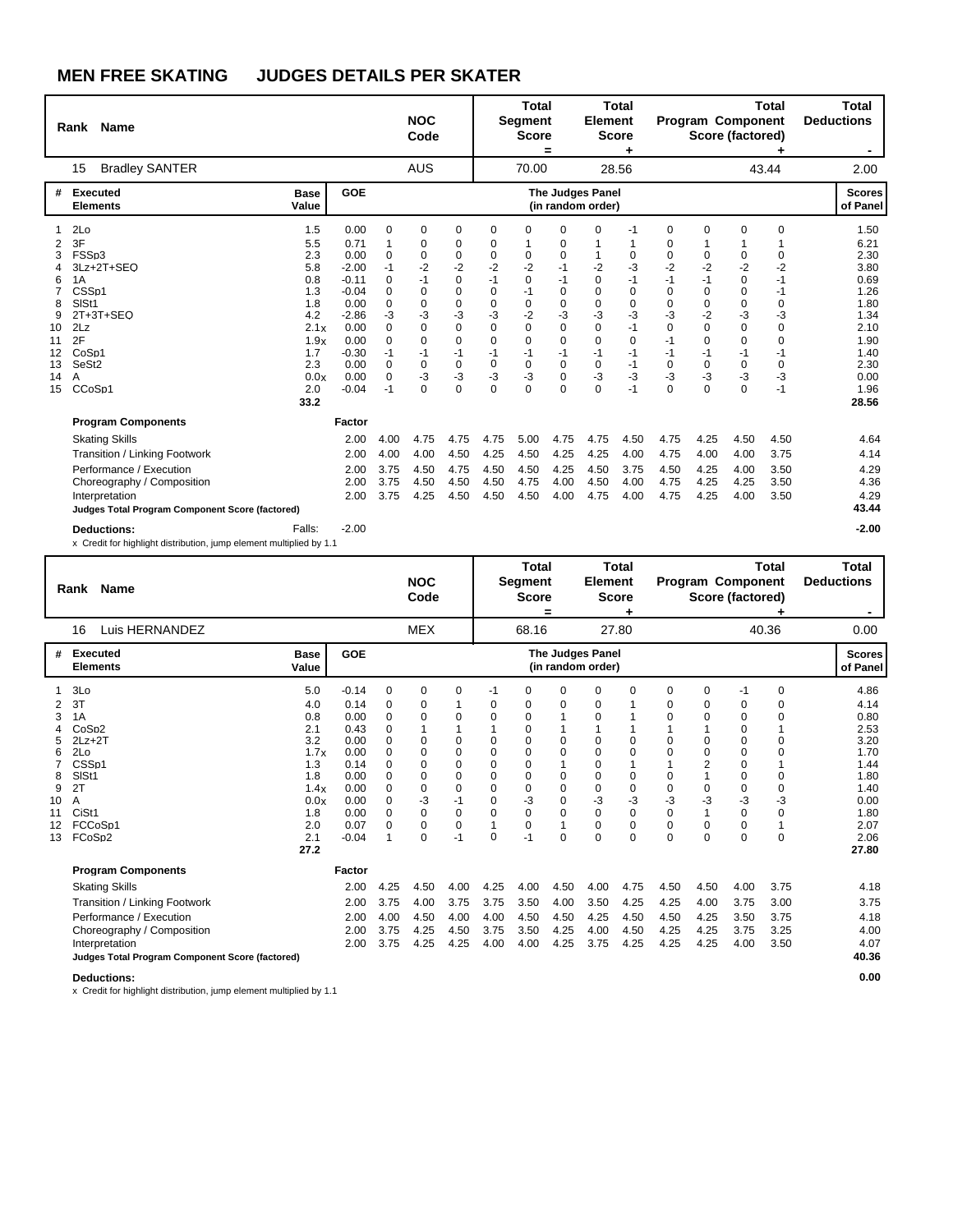|                                                                                                   |                                                                                                                                |                                                                                                          | <b>NOC</b><br>Code                                                                                                                     |                                                                                                                                                           |                                                                                                                                         |                                                                                                                    |                                                                                                                    |                                                                                                                  |                                                                                                             |                                                                                                                     |                                                                                                                                |                                                                                                                          |                                                                                                          | Total<br><b>Deductions</b>                                                                                   |
|---------------------------------------------------------------------------------------------------|--------------------------------------------------------------------------------------------------------------------------------|----------------------------------------------------------------------------------------------------------|----------------------------------------------------------------------------------------------------------------------------------------|-----------------------------------------------------------------------------------------------------------------------------------------------------------|-----------------------------------------------------------------------------------------------------------------------------------------|--------------------------------------------------------------------------------------------------------------------|--------------------------------------------------------------------------------------------------------------------|------------------------------------------------------------------------------------------------------------------|-------------------------------------------------------------------------------------------------------------|---------------------------------------------------------------------------------------------------------------------|--------------------------------------------------------------------------------------------------------------------------------|--------------------------------------------------------------------------------------------------------------------------|----------------------------------------------------------------------------------------------------------|--------------------------------------------------------------------------------------------------------------|
|                                                                                                   |                                                                                                                                |                                                                                                          |                                                                                                                                        |                                                                                                                                                           |                                                                                                                                         |                                                                                                                    |                                                                                                                    |                                                                                                                  |                                                                                                             |                                                                                                                     |                                                                                                                                |                                                                                                                          |                                                                                                          | 2.00                                                                                                         |
| <b>Base</b><br>Value                                                                              | <b>GOE</b>                                                                                                                     |                                                                                                          |                                                                                                                                        |                                                                                                                                                           |                                                                                                                                         |                                                                                                                    |                                                                                                                    |                                                                                                                  |                                                                                                             |                                                                                                                     |                                                                                                                                |                                                                                                                          |                                                                                                          | <b>Scores</b><br>of Panel                                                                                    |
| 1.5<br>5.5<br>2.3<br>5.8<br>0.8<br>1.3<br>1.8<br>4.2<br>2.1x<br>1.9x<br>1.7<br>2.3<br>0.0x<br>2.0 | 0.00<br>0.71<br>0.00<br>$-2.00$<br>$-0.11$<br>$-0.04$<br>0.00<br>$-2.86$<br>0.00<br>0.00<br>$-0.30$<br>0.00<br>0.00<br>$-0.04$ | 0<br>1<br>0<br>$-1$<br>0<br>0<br>0<br>-3<br>$\Omega$<br>$\Omega$<br>$-1$<br>$\Omega$<br>$\Omega$<br>$-1$ | 0<br>0<br>$\mathbf 0$<br>$-2$<br>$-1$<br>$\Omega$<br>$\Omega$<br>-3<br>$\Omega$<br>$\Omega$<br>$-1$<br>$\mathbf 0$<br>$-3$<br>$\Omega$ | 0<br>0<br>$\mathbf 0$<br>$-2$<br>$\mathbf 0$<br>$\mathbf 0$<br>$\mathbf 0$<br>-3<br>$\mathbf 0$<br>$\mathbf 0$<br>$-1$<br>$\mathbf 0$<br>$-3$<br>$\Omega$ | 0<br>0<br>$\mathbf 0$<br>$-2$<br>$-1$<br>$\mathbf 0$<br>$\Omega$<br>-3<br>$\Omega$<br>$\Omega$<br>$-1$<br>$\mathbf 0$<br>-3<br>$\Omega$ | 0<br>0<br>$-2$<br>$\mathbf 0$<br>$-1$<br>0<br>$-2$<br>$\Omega$<br>$\Omega$<br>$-1$<br>$\Omega$<br>$-3$<br>$\Omega$ | 0<br>0<br>0<br>$-1$<br>$-1$<br>0<br>0<br>-3<br>$\Omega$<br>$\Omega$<br>$-1$<br>$\Omega$<br>$\mathbf 0$<br>$\Omega$ | 0<br>1<br>$-2$<br>$\mathbf 0$<br>0<br>0<br>-3<br>$\Omega$<br>$\Omega$<br>$-1$<br>$\mathbf 0$<br>$-3$<br>$\Omega$ | $-1$<br>1<br>0<br>-3<br>$-1$<br>$\mathbf 0$<br>0<br>-3<br>$-1$<br>$\mathbf 0$<br>$-1$<br>$-1$<br>-3<br>$-1$ | 0<br>0<br>0<br>$-2$<br>$-1$<br>$\Omega$<br>$\Omega$<br>-3<br>$\Omega$<br>$-1$<br>$-1$<br>$\Omega$<br>-3<br>$\Omega$ | $\mathbf 0$<br>0<br>$-2$<br>$-1$<br>$\Omega$<br>$\Omega$<br>$-2$<br>$\Omega$<br>$\Omega$<br>$-1$<br>$\Omega$<br>-3<br>$\Omega$ | 0<br>1<br>0<br>$-2$<br>$\mathbf 0$<br>0<br>0<br>-3<br>$\Omega$<br>$\mathbf 0$<br>$-1$<br>$\mathbf 0$<br>$-3$<br>$\Omega$ | 0<br>0<br>$-2$<br>$-1$<br>$-1$<br>0<br>-3<br>$\Omega$<br>$\Omega$<br>$-1$<br>$\mathbf 0$<br>$-3$<br>$-1$ | 1.50<br>6.21<br>2.30<br>3.80<br>0.69<br>1.26<br>1.80<br>1.34<br>2.10<br>1.90<br>1.40<br>2.30<br>0.00<br>1.96 |
| 33.2                                                                                              |                                                                                                                                |                                                                                                          |                                                                                                                                        |                                                                                                                                                           |                                                                                                                                         |                                                                                                                    |                                                                                                                    |                                                                                                                  |                                                                                                             |                                                                                                                     |                                                                                                                                |                                                                                                                          |                                                                                                          | 28.56                                                                                                        |
| Judges Total Program Component Score (factored)<br>Falls:                                         | 2.00<br>2.00<br>2.00<br>2.00<br>2.00<br>$-2.00$                                                                                | 4.00<br>4.00<br>3.75<br>3.75<br>3.75                                                                     | 4.75<br>4.00<br>4.50<br>4.50<br>4.25                                                                                                   | 4.75<br>4.50<br>4.75<br>4.50<br>4.50                                                                                                                      | 4.75<br>4.25<br>4.50<br>4.50<br>4.50                                                                                                    | 5.00<br>4.50<br>4.50<br>4.75<br>4.50                                                                               | 4.75<br>4.25<br>4.25<br>4.00<br>4.00                                                                               | 4.75<br>4.25<br>4.50<br>4.50<br>4.75                                                                             | 4.50<br>4.00<br>3.75<br>4.00<br>4.00                                                                        | 4.75<br>4.75<br>4.50<br>4.75<br>4.75                                                                                | 4.25<br>4.00<br>4.25<br>4.25<br>4.25                                                                                           | 4.50<br>4.00<br>4.00<br>4.25<br>4.00                                                                                     | 4.50<br>3.75<br>3.50<br>3.50<br>3.50                                                                     | 4.64<br>4.14<br>4.29<br>4.36<br>4.29<br>43.44<br>$-2.00$                                                     |
|                                                                                                   |                                                                                                                                | Factor<br>x Credit for highlight distribution, jump element multiplied by 1.1                            |                                                                                                                                        | <b>AUS</b>                                                                                                                                                |                                                                                                                                         |                                                                                                                    |                                                                                                                    | <b>Total</b><br><b>Segment</b><br><b>Score</b><br>$=$<br>70.00                                                   |                                                                                                             | <b>Total</b><br><b>Element</b><br><b>Score</b><br>28.56<br><b>The Judges Panel</b><br>(in random order)             |                                                                                                                                |                                                                                                                          |                                                                                                          | <b>Total</b><br><b>Program Component</b><br>Score (factored)<br>43.44                                        |

|                                                    | <b>Name</b><br>Rank                                                                                                                                                                  |                                                                                                    |                                                                                                            | <b>NOC</b><br>Code                                                                                                  |                                                                                     |                                                                                                                                             | Total<br><b>Segment</b><br><b>Score</b>                                                                                              | =                                                                                               | <b>Element</b>                                                 | <b>Total</b><br><b>Score</b>                                                                                       |                                                                                                            |                                                                           | Program Component<br>Score (factored)                                        | Total                                                                                                                                                 | Total<br><b>Deductions</b>                                                    |                                                                                                               |
|----------------------------------------------------|--------------------------------------------------------------------------------------------------------------------------------------------------------------------------------------|----------------------------------------------------------------------------------------------------|------------------------------------------------------------------------------------------------------------|---------------------------------------------------------------------------------------------------------------------|-------------------------------------------------------------------------------------|---------------------------------------------------------------------------------------------------------------------------------------------|--------------------------------------------------------------------------------------------------------------------------------------|-------------------------------------------------------------------------------------------------|----------------------------------------------------------------|--------------------------------------------------------------------------------------------------------------------|------------------------------------------------------------------------------------------------------------|---------------------------------------------------------------------------|------------------------------------------------------------------------------|-------------------------------------------------------------------------------------------------------------------------------------------------------|-------------------------------------------------------------------------------|---------------------------------------------------------------------------------------------------------------|
|                                                    | Luis HERNANDEZ<br>16                                                                                                                                                                 |                                                                                                    |                                                                                                            |                                                                                                                     | <b>MEX</b>                                                                          |                                                                                                                                             |                                                                                                                                      | 68.16                                                                                           |                                                                |                                                                                                                    | 27.80                                                                                                      |                                                                           |                                                                              |                                                                                                                                                       | 40.36                                                                         | 0.00                                                                                                          |
| #                                                  | Executed<br><b>Elements</b>                                                                                                                                                          | <b>Base</b><br>Value                                                                               | GOE                                                                                                        |                                                                                                                     |                                                                                     |                                                                                                                                             |                                                                                                                                      |                                                                                                 |                                                                | <b>The Judges Panel</b><br>(in random order)                                                                       |                                                                                                            |                                                                           |                                                                              |                                                                                                                                                       |                                                                               | <b>Scores</b><br>of Panel                                                                                     |
| 2<br>3<br>5<br>6<br>8<br>9<br>10<br>11<br>12<br>13 | 3Lo<br>3T<br>1A<br>CoSp <sub>2</sub><br>$2Lz+2T$<br>2Lo<br>CSS <sub>p1</sub><br>SISt1<br>2T<br>A<br>CiSt1<br>FCCoSp1<br>FCoSp2                                                       | 5.0<br>4.0<br>0.8<br>2.1<br>3.2<br>1.7x<br>1.3<br>1.8<br>1.4x<br>0.0x<br>1.8<br>2.0<br>2.1<br>27.2 | $-0.14$<br>0.14<br>0.00<br>0.43<br>0.00<br>0.00<br>0.14<br>0.00<br>0.00<br>0.00<br>0.00<br>0.07<br>$-0.04$ | 0<br>0<br>$\mathbf 0$<br>$\Omega$<br>$\Omega$<br>$\Omega$<br>$\Omega$<br>0<br>0<br>$\Omega$<br>$\Omega$<br>$\Omega$ | 0<br>0<br>0<br>0<br>$\Omega$<br>0<br>0<br>0<br>$-3$<br>$\mathbf 0$<br>0<br>$\Omega$ | 0<br>$\mathbf 0$<br>1<br>$\mathbf 0$<br>$\Omega$<br>$\mathbf 0$<br>$\mathbf 0$<br>$\mathbf 0$<br>$-1$<br>$\mathbf 0$<br>$\mathbf 0$<br>$-1$ | -1<br>0<br>$\mathbf 0$<br>$\Omega$<br>$\Omega$<br>$\mathbf 0$<br>$\mathbf 0$<br>$\mathbf 0$<br>$\Omega$<br>$\Omega$<br>1<br>$\Omega$ | 0<br>0<br>0<br>0<br>$\Omega$<br>$\Omega$<br>$\Omega$<br>0<br>0<br>$-3$<br>$\Omega$<br>0<br>$-1$ | 0<br>0<br>0<br>0<br>0<br>0<br>$\Omega$<br>$\Omega$<br>$\Omega$ | 0<br>0<br>$\Omega$<br>$\mathbf 0$<br>$\Omega$<br>$\Omega$<br>$\mathbf 0$<br>0<br>$-3$<br>0<br>$\Omega$<br>$\Omega$ | 0<br>$\mathbf 0$<br>$\mathbf 0$<br>1<br>$\mathbf 0$<br>$\mathbf 0$<br>$-3$<br>$\mathbf 0$<br>0<br>$\Omega$ | 0<br>0<br>0<br>0<br>$\Omega$<br>0<br>0<br>-3<br>$\Omega$<br>0<br>$\Omega$ | 0<br>$\mathbf 0$<br>0<br>0<br>0<br>2<br>1<br>0<br>$-3$<br>1<br>0<br>$\Omega$ | $-1$<br>0<br>$\mathbf 0$<br>0<br>$\mathbf 0$<br>$\mathbf 0$<br>$\mathbf 0$<br>$\mathbf 0$<br>$\mathbf 0$<br>-3<br>$\Omega$<br>$\mathbf 0$<br>$\Omega$ | 0<br>0<br>$\Omega$<br>$\Omega$<br>$\Omega$<br>0<br>0<br>$-3$<br>0<br>$\Omega$ | 4.86<br>4.14<br>0.80<br>2.53<br>3.20<br>1.70<br>1.44<br>1.80<br>1.40<br>0.00<br>1.80<br>2.07<br>2.06<br>27.80 |
|                                                    | <b>Program Components</b>                                                                                                                                                            |                                                                                                    | Factor                                                                                                     |                                                                                                                     |                                                                                     |                                                                                                                                             |                                                                                                                                      |                                                                                                 |                                                                |                                                                                                                    |                                                                                                            |                                                                           |                                                                              |                                                                                                                                                       |                                                                               |                                                                                                               |
|                                                    | <b>Skating Skills</b><br>Transition / Linking Footwork<br>Performance / Execution<br>Choreography / Composition<br>Interpretation<br>Judges Total Program Component Score (factored) |                                                                                                    | 2.00<br>2.00<br>2.00<br>2.00<br>2.00                                                                       | 4.25<br>3.75<br>4.00<br>3.75<br>3.75                                                                                | 4.50<br>4.00<br>4.50<br>4.25<br>4.25                                                | 4.00<br>3.75<br>4.00<br>4.50<br>4.25                                                                                                        | 4.25<br>3.75<br>4.00<br>3.75<br>4.00                                                                                                 | 4.00<br>3.50<br>4.50<br>3.50<br>4.00                                                            | 4.50<br>4.00<br>4.50<br>4.25<br>4.25                           | 4.00<br>3.50<br>4.25<br>4.00<br>3.75                                                                               | 4.75<br>4.25<br>4.50<br>4.50<br>4.25                                                                       | 4.50<br>4.25<br>4.50<br>4.25<br>4.25                                      | 4.50<br>4.00<br>4.25<br>4.25<br>4.25                                         | 4.00<br>3.75<br>3.50<br>3.75<br>4.00                                                                                                                  | 3.75<br>3.00<br>3.75<br>3.25<br>3.50                                          | 4.18<br>3.75<br>4.18<br>4.00<br>4.07<br>40.36                                                                 |

**Deductions: 0.00**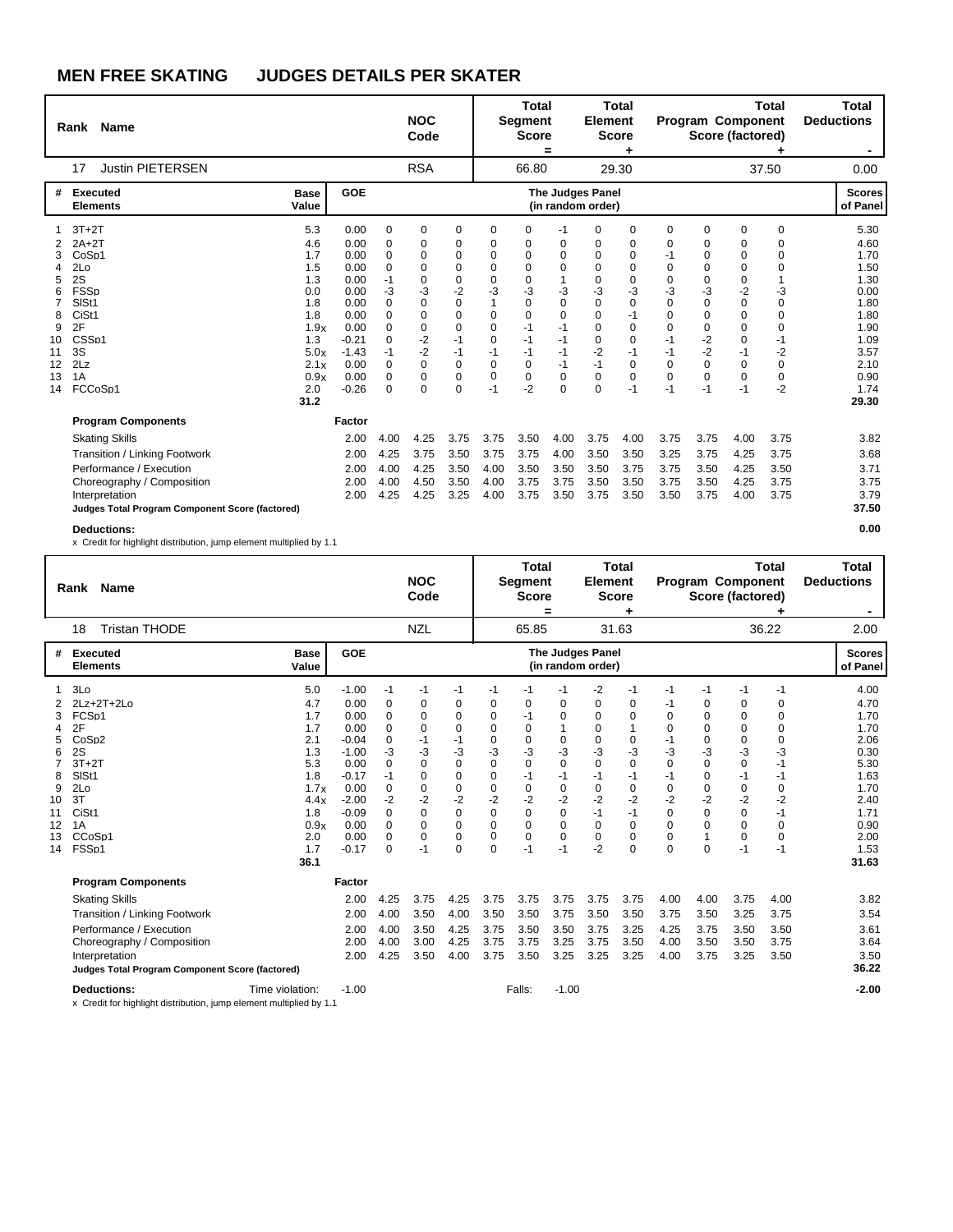|                                                               | Rank Name                                                                                                                          |                                                                                                            |                                                                                                                       |                                                                                            | <b>NOC</b><br>Code                                                                                                              |                                                                                                                                   |                                                                                                                                          | <b>Total</b><br><b>Segment</b><br><b>Score</b>                                                                                   | =                                                                                                                          | <b>Element</b>                                                                                                      | <b>Total</b><br><b>Score</b><br>٠                                                      |                                                                                                                              |                                                                                            | Program Component<br>Score (factored)                                                                                         | <b>Total</b>                                                                                                    | <b>Total</b><br><b>Deductions</b><br>$\blacksquare$                                                                   |
|---------------------------------------------------------------|------------------------------------------------------------------------------------------------------------------------------------|------------------------------------------------------------------------------------------------------------|-----------------------------------------------------------------------------------------------------------------------|--------------------------------------------------------------------------------------------|---------------------------------------------------------------------------------------------------------------------------------|-----------------------------------------------------------------------------------------------------------------------------------|------------------------------------------------------------------------------------------------------------------------------------------|----------------------------------------------------------------------------------------------------------------------------------|----------------------------------------------------------------------------------------------------------------------------|---------------------------------------------------------------------------------------------------------------------|----------------------------------------------------------------------------------------|------------------------------------------------------------------------------------------------------------------------------|--------------------------------------------------------------------------------------------|-------------------------------------------------------------------------------------------------------------------------------|-----------------------------------------------------------------------------------------------------------------|-----------------------------------------------------------------------------------------------------------------------|
|                                                               | <b>Justin PIETERSEN</b><br>17                                                                                                      |                                                                                                            |                                                                                                                       |                                                                                            | <b>RSA</b>                                                                                                                      |                                                                                                                                   |                                                                                                                                          | 66.80                                                                                                                            |                                                                                                                            |                                                                                                                     | 29.30                                                                                  |                                                                                                                              |                                                                                            |                                                                                                                               | 37.50                                                                                                           | 0.00                                                                                                                  |
| #                                                             | <b>Executed</b><br><b>Elements</b>                                                                                                 | <b>Base</b><br>Value                                                                                       | GOE                                                                                                                   |                                                                                            |                                                                                                                                 |                                                                                                                                   |                                                                                                                                          |                                                                                                                                  |                                                                                                                            | The Judges Panel<br>(in random order)                                                                               |                                                                                        |                                                                                                                              |                                                                                            |                                                                                                                               |                                                                                                                 | <b>Scores</b><br>of Panel                                                                                             |
| 3<br>4<br>5<br>6<br>7<br>8<br>9<br>10<br>11<br>12<br>13<br>14 | $3T+2T$<br>$2A+2T$<br>CoSp1<br>2Lo<br>2S<br><b>FSSp</b><br>SISt1<br>CiSt1<br>2F<br>CSS <sub>p1</sub><br>3S<br>2Lz<br>1A<br>FCCoSp1 | 5.3<br>4.6<br>1.7<br>1.5<br>1.3<br>0.0<br>1.8<br>1.8<br>1.9x<br>1.3<br>5.0x<br>2.1x<br>0.9x<br>2.0<br>31.2 | 0.00<br>0.00<br>0.00<br>0.00<br>0.00<br>0.00<br>0.00<br>0.00<br>0.00<br>$-0.21$<br>$-1.43$<br>0.00<br>0.00<br>$-0.26$ | $\mathbf 0$<br>0<br>0<br>0<br>$-1$<br>$-3$<br>$\Omega$<br>0<br>0<br>0<br>-1<br>0<br>0<br>0 | 0<br>0<br>$\Omega$<br>$\Omega$<br>0<br>-3<br>$\Omega$<br>$\Omega$<br>$\Omega$<br>$-2$<br>-2<br>$\Omega$<br>$\Omega$<br>$\Omega$ | $\mathbf 0$<br>0<br>0<br>$\mathbf 0$<br>$\mathbf 0$<br>$-2$<br>$\Omega$<br>$\mathbf 0$<br>$\Omega$<br>$-1$<br>$-1$<br>0<br>0<br>0 | 0<br>0<br>$\Omega$<br>$\Omega$<br>$\Omega$<br>-3<br>$\mathbf{1}$<br>$\Omega$<br>$\Omega$<br>$\Omega$<br>$-1$<br>0<br>$\mathbf 0$<br>$-1$ | 0<br>0<br>$\mathbf 0$<br>$\Omega$<br>$\mathbf 0$<br>-3<br>$\Omega$<br>$\Omega$<br>$-1$<br>$-1$<br>-1<br>0<br>$\mathbf 0$<br>$-2$ | $-1$<br>0<br>$\Omega$<br>$\Omega$<br>-3<br>$\Omega$<br>$\Omega$<br>$-1$<br>$-1$<br>$-1$<br>$-1$<br>$\mathbf 0$<br>$\Omega$ | 0<br>0<br>0<br>$\Omega$<br>0<br>-3<br>$\Omega$<br>$\Omega$<br>$\Omega$<br>$\Omega$<br>$-2$<br>$-1$<br>0<br>$\Omega$ | 0<br>0<br>0<br>0<br>0<br>-3<br>0<br>$-1$<br>$\mathbf 0$<br>0<br>$-1$<br>0<br>0<br>$-1$ | 0<br>0<br>-1<br>$\Omega$<br>$\Omega$<br>-3<br>$\Omega$<br>$\Omega$<br>$\Omega$<br>$-1$<br>-1<br>$\Omega$<br>$\Omega$<br>$-1$ | 0<br>0<br>0<br>0<br>0<br>-3<br>$\Omega$<br>0<br>$\Omega$<br>$-2$<br>$-2$<br>0<br>0<br>$-1$ | 0<br>0<br>0<br>$\mathbf 0$<br>0<br>$-2$<br>$\mathbf 0$<br>$\mathbf 0$<br>$\mathbf 0$<br>$\mathbf 0$<br>$-1$<br>0<br>0<br>$-1$ | 0<br>$\Omega$<br>$\Omega$<br>$\Omega$<br>-3<br>$\Omega$<br>$\Omega$<br>$\Omega$<br>-1<br>$-2$<br>0<br>0<br>$-2$ | 5.30<br>4.60<br>1.70<br>1.50<br>1.30<br>0.00<br>1.80<br>1.80<br>1.90<br>1.09<br>3.57<br>2.10<br>0.90<br>1.74<br>29.30 |
|                                                               | <b>Program Components</b>                                                                                                          |                                                                                                            | Factor                                                                                                                |                                                                                            |                                                                                                                                 |                                                                                                                                   |                                                                                                                                          |                                                                                                                                  |                                                                                                                            |                                                                                                                     |                                                                                        |                                                                                                                              |                                                                                            |                                                                                                                               |                                                                                                                 |                                                                                                                       |
|                                                               | <b>Skating Skills</b>                                                                                                              |                                                                                                            | 2.00                                                                                                                  | 4.00                                                                                       | 4.25                                                                                                                            | 3.75                                                                                                                              | 3.75                                                                                                                                     | 3.50                                                                                                                             | 4.00                                                                                                                       | 3.75                                                                                                                | 4.00                                                                                   | 3.75                                                                                                                         | 3.75                                                                                       | 4.00                                                                                                                          | 3.75                                                                                                            | 3.82                                                                                                                  |
|                                                               | Transition / Linking Footwork<br>Performance / Execution                                                                           |                                                                                                            | 2.00<br>2.00                                                                                                          | 4.25<br>4.00                                                                               | 3.75<br>4.25                                                                                                                    | 3.50<br>3.50                                                                                                                      | 3.75<br>4.00                                                                                                                             | 3.75<br>3.50                                                                                                                     | 4.00<br>3.50                                                                                                               | 3.50<br>3.50                                                                                                        | 3.50<br>3.75                                                                           | 3.25<br>3.75                                                                                                                 | 3.75<br>3.50                                                                               | 4.25<br>4.25                                                                                                                  | 3.75<br>3.50                                                                                                    | 3.68<br>3.71                                                                                                          |
|                                                               | Choreography / Composition<br>Interpretation<br>Judges Total Program Component Score (factored)                                    |                                                                                                            | 2.00<br>2.00                                                                                                          | 4.00<br>4.25                                                                               | 4.50<br>4.25                                                                                                                    | 3.50<br>3.25                                                                                                                      | 4.00<br>4.00                                                                                                                             | 3.75<br>3.75                                                                                                                     | 3.75<br>3.50                                                                                                               | 3.50<br>3.75                                                                                                        | 3.50<br>3.50                                                                           | 3.75<br>3.50                                                                                                                 | 3.50<br>3.75                                                                               | 4.25<br>4.00                                                                                                                  | 3.75<br>3.75                                                                                                    | 3.75<br>3.79<br>37.50                                                                                                 |
|                                                               | <b>Deductions:</b>                                                                                                                 |                                                                                                            |                                                                                                                       |                                                                                            |                                                                                                                                 |                                                                                                                                   |                                                                                                                                          |                                                                                                                                  |                                                                                                                            |                                                                                                                     |                                                                                        |                                                                                                                              |                                                                                            |                                                                                                                               |                                                                                                                 | 0.00                                                                                                                  |

x Credit for highlight distribution, jump element multiplied by 1.1

|                                                               | Name<br>Rank                                                                                                                                                                         |                                                                                                           |                                                                                                                                   |                                                                                                                                     | <b>NOC</b><br>Code                                                                                                               |                                                                                                                                                            |                                                                                                              | <b>Total</b><br><b>Segment</b><br><b>Score</b>                                                                                                   | =                                                                                                                       | <b>Element</b>                                                                                                        | <b>Total</b><br><b>Score</b><br>٠                                                                                   |                                                                                                                            |                                                                                                                           | <b>Program Component</b><br>Score (factored)                                                                             | <b>Total</b>                                                                                                | <b>Total</b><br><b>Deductions</b>                                                                                     |
|---------------------------------------------------------------|--------------------------------------------------------------------------------------------------------------------------------------------------------------------------------------|-----------------------------------------------------------------------------------------------------------|-----------------------------------------------------------------------------------------------------------------------------------|-------------------------------------------------------------------------------------------------------------------------------------|----------------------------------------------------------------------------------------------------------------------------------|------------------------------------------------------------------------------------------------------------------------------------------------------------|--------------------------------------------------------------------------------------------------------------|--------------------------------------------------------------------------------------------------------------------------------------------------|-------------------------------------------------------------------------------------------------------------------------|-----------------------------------------------------------------------------------------------------------------------|---------------------------------------------------------------------------------------------------------------------|----------------------------------------------------------------------------------------------------------------------------|---------------------------------------------------------------------------------------------------------------------------|--------------------------------------------------------------------------------------------------------------------------|-------------------------------------------------------------------------------------------------------------|-----------------------------------------------------------------------------------------------------------------------|
|                                                               | <b>Tristan THODE</b><br>18                                                                                                                                                           |                                                                                                           |                                                                                                                                   |                                                                                                                                     | <b>NZL</b>                                                                                                                       |                                                                                                                                                            |                                                                                                              | 65.85                                                                                                                                            |                                                                                                                         |                                                                                                                       | 31.63                                                                                                               |                                                                                                                            |                                                                                                                           |                                                                                                                          | 36.22                                                                                                       | 2.00                                                                                                                  |
| #                                                             | <b>Executed</b><br><b>Elements</b>                                                                                                                                                   | <b>Base</b><br>Value                                                                                      | GOE                                                                                                                               |                                                                                                                                     |                                                                                                                                  |                                                                                                                                                            |                                                                                                              |                                                                                                                                                  |                                                                                                                         | <b>The Judges Panel</b><br>(in random order)                                                                          |                                                                                                                     |                                                                                                                            |                                                                                                                           |                                                                                                                          |                                                                                                             | <b>Scores</b><br>of Panel                                                                                             |
| 1<br>3<br>4<br>5<br>6<br>8<br>9<br>10<br>11<br>12<br>13<br>14 | 3Lo<br>$2Lz + 2T + 2Lo$<br>FCSp1<br>2F<br>CoSp <sub>2</sub><br>2S<br>$3T+2T$<br>SISt1<br>2Lo<br>3T<br>CiSt1<br>1A<br>CCoSp1<br>FSS <sub>D1</sub>                                     | 5.0<br>4.7<br>1.7<br>1.7<br>2.1<br>1.3<br>5.3<br>1.8<br>1.7x<br>4.4x<br>1.8<br>0.9x<br>2.0<br>1.7<br>36.1 | $-1.00$<br>0.00<br>0.00<br>0.00<br>$-0.04$<br>$-1.00$<br>0.00<br>$-0.17$<br>0.00<br>$-2.00$<br>$-0.09$<br>0.00<br>0.00<br>$-0.17$ | $-1$<br>0<br>0<br>0<br>$\mathbf 0$<br>-3<br>$\Omega$<br>$-1$<br>$\mathbf 0$<br>$-2$<br>$\Omega$<br>$\Omega$<br>$\Omega$<br>$\Omega$ | $-1$<br>0<br>$\Omega$<br>$\Omega$<br>$-1$<br>-3<br>$\Omega$<br>$\Omega$<br>0<br>$-2$<br>$\Omega$<br>$\Omega$<br>$\Omega$<br>$-1$ | $-1$<br>0<br>$\mathbf 0$<br>$\mathbf 0$<br>$-1$<br>-3<br>$\Omega$<br>$\mathbf 0$<br>$\mathbf 0$<br>$-2$<br>$\Omega$<br>$\mathbf 0$<br>$\Omega$<br>$\Omega$ | $-1$<br>0<br>0<br>$\Omega$<br>0<br>-3<br>$\Omega$<br>$\Omega$<br>0<br>$-2$<br>0<br>0<br>$\Omega$<br>$\Omega$ | -1<br>0<br>$-1$<br>$\mathbf 0$<br>$\mathbf 0$<br>-3<br>$\Omega$<br>$-1$<br>$\mathbf 0$<br>$-2$<br>$\Omega$<br>$\mathbf 0$<br>$\mathbf 0$<br>$-1$ | -1<br>0<br>$\Omega$<br>1<br>$\Omega$<br>$-3$<br>$\Omega$<br>$-1$<br>$\Omega$<br>-2<br>$\Omega$<br>$\Omega$<br>0<br>$-1$ | $-2$<br>0<br>$\Omega$<br>$\Omega$<br>0<br>-3<br>$\Omega$<br>$-1$<br>0<br>$-2$<br>$-1$<br>$\Omega$<br>$\Omega$<br>$-2$ | $-1$<br>0<br>$\Omega$<br>$\mathbf 0$<br>-3<br>$\Omega$<br>$-1$<br>$\mathbf 0$<br>$-2$<br>$-1$<br>0<br>0<br>$\Omega$ | -1<br>-1<br>$\Omega$<br>$\Omega$<br>$-1$<br>$-3$<br>$\Omega$<br>$-1$<br>$\Omega$<br>$-2$<br>$\Omega$<br>$\Omega$<br>0<br>0 | $-1$<br>0<br>$\mathbf 0$<br>0<br>$\mathbf 0$<br>-3<br>$\Omega$<br>0<br>0<br>$-2$<br>$\Omega$<br>$\Omega$<br>1<br>$\Omega$ | $-1$<br>0<br>0<br>0<br>$\mathbf 0$<br>-3<br>$\Omega$<br>$-1$<br>$\mathbf 0$<br>$-2$<br>$\Omega$<br>$\Omega$<br>0<br>$-1$ | $-1$<br>0<br>$\Omega$<br>$\Omega$<br>0<br>-3<br>-1<br>$-1$<br>0<br>$-2$<br>-1<br>$\Omega$<br>$\Omega$<br>-1 | 4.00<br>4.70<br>1.70<br>1.70<br>2.06<br>0.30<br>5.30<br>1.63<br>1.70<br>2.40<br>1.71<br>0.90<br>2.00<br>1.53<br>31.63 |
|                                                               | <b>Program Components</b>                                                                                                                                                            |                                                                                                           | Factor                                                                                                                            |                                                                                                                                     |                                                                                                                                  |                                                                                                                                                            |                                                                                                              |                                                                                                                                                  |                                                                                                                         |                                                                                                                       |                                                                                                                     |                                                                                                                            |                                                                                                                           |                                                                                                                          |                                                                                                             |                                                                                                                       |
|                                                               | <b>Skating Skills</b><br>Transition / Linking Footwork<br>Performance / Execution<br>Choreography / Composition<br>Interpretation<br>Judges Total Program Component Score (factored) |                                                                                                           | 2.00<br>2.00<br>2.00<br>2.00<br>2.00                                                                                              | 4.25<br>4.00<br>4.00<br>4.00<br>4.25                                                                                                | 3.75<br>3.50<br>3.50<br>3.00<br>3.50                                                                                             | 4.25<br>4.00<br>4.25<br>4.25<br>4.00                                                                                                                       | 3.75<br>3.50<br>3.75<br>3.75<br>3.75                                                                         | 3.75<br>3.50<br>3.50<br>3.75<br>3.50                                                                                                             | 3.75<br>3.75<br>3.50<br>3.25<br>3.25                                                                                    | 3.75<br>3.50<br>3.75<br>3.75<br>3.25                                                                                  | 3.75<br>3.50<br>3.25<br>3.50<br>3.25                                                                                | 4.00<br>3.75<br>4.25<br>4.00<br>4.00                                                                                       | 4.00<br>3.50<br>3.75<br>3.50<br>3.75                                                                                      | 3.75<br>3.25<br>3.50<br>3.50<br>3.25                                                                                     | 4.00<br>3.75<br>3.50<br>3.75<br>3.50                                                                        | 3.82<br>3.54<br>3.61<br>3.64<br>3.50<br>36.22                                                                         |
|                                                               | <b>Deductions:</b>                                                                                                                                                                   | Time violation:                                                                                           | $-1.00$                                                                                                                           |                                                                                                                                     |                                                                                                                                  |                                                                                                                                                            |                                                                                                              | Falls:                                                                                                                                           | $-1.00$                                                                                                                 |                                                                                                                       |                                                                                                                     |                                                                                                                            |                                                                                                                           |                                                                                                                          |                                                                                                             | $-2.00$                                                                                                               |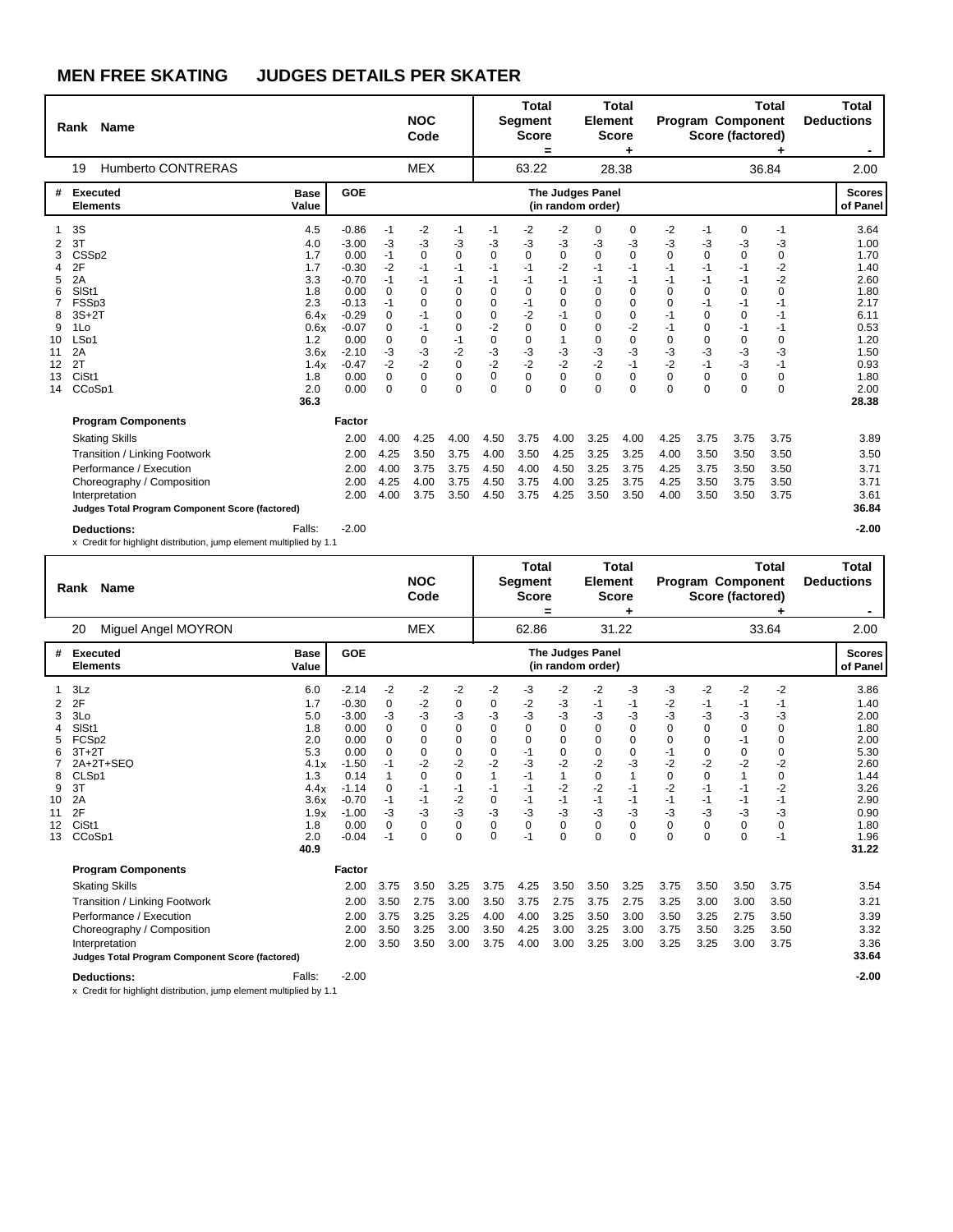|                                                                                                            |                                                                                                                                         |                                                                                                                      | <b>NOC</b><br>Code                                                                                           |                                                                                                                                              |                                                                                                                         |                                                                                                                                     |                                                                                                                                                    |                                                                                                            |                                                                                                  |                                                                                                                                          |                                                                                                                                             |                                                                                                             |                                                                                                                           | <b>Total</b><br><b>Deductions</b><br>$\blacksquare$                                                                   |
|------------------------------------------------------------------------------------------------------------|-----------------------------------------------------------------------------------------------------------------------------------------|----------------------------------------------------------------------------------------------------------------------|--------------------------------------------------------------------------------------------------------------|----------------------------------------------------------------------------------------------------------------------------------------------|-------------------------------------------------------------------------------------------------------------------------|-------------------------------------------------------------------------------------------------------------------------------------|----------------------------------------------------------------------------------------------------------------------------------------------------|------------------------------------------------------------------------------------------------------------|--------------------------------------------------------------------------------------------------|------------------------------------------------------------------------------------------------------------------------------------------|---------------------------------------------------------------------------------------------------------------------------------------------|-------------------------------------------------------------------------------------------------------------|---------------------------------------------------------------------------------------------------------------------------|-----------------------------------------------------------------------------------------------------------------------|
|                                                                                                            |                                                                                                                                         |                                                                                                                      | <b>MEX</b>                                                                                                   |                                                                                                                                              |                                                                                                                         |                                                                                                                                     |                                                                                                                                                    |                                                                                                            |                                                                                                  |                                                                                                                                          |                                                                                                                                             |                                                                                                             |                                                                                                                           | 2.00                                                                                                                  |
| <b>Base</b><br>Value                                                                                       | GOE                                                                                                                                     |                                                                                                                      |                                                                                                              |                                                                                                                                              |                                                                                                                         |                                                                                                                                     |                                                                                                                                                    |                                                                                                            |                                                                                                  |                                                                                                                                          |                                                                                                                                             |                                                                                                             |                                                                                                                           | <b>Scores</b><br>of Panel                                                                                             |
| 4.5<br>4.0<br>1.7<br>1.7<br>3.3<br>1.8<br>2.3<br>6.4x<br>0.6x<br>1.2<br>3.6x<br>1.4x<br>1.8<br>2.0<br>36.3 | $-0.86$<br>$-3.00$<br>0.00<br>$-0.30$<br>$-0.70$<br>0.00<br>$-0.13$<br>$-0.29$<br>$-0.07$<br>0.00<br>$-2.10$<br>$-0.47$<br>0.00<br>0.00 | $-1$<br>$-3$<br>$-1$<br>$-2$<br>$-1$<br>$\Omega$<br>$-1$<br>$\Omega$<br>$\Omega$<br>0<br>-3<br>$-2$<br>0<br>$\Omega$ | -2<br>-3<br>0<br>$-1$<br>$-1$<br>0<br>$\Omega$<br>$-1$<br>$-1$<br>$\mathbf 0$<br>-3<br>$-2$<br>0<br>$\Omega$ | $-1$<br>-3<br>$\mathbf 0$<br>$-1$<br>$-1$<br>$\mathbf 0$<br>$\Omega$<br>$\Omega$<br>$\Omega$<br>$-1$<br>$-2$<br>0<br>$\mathbf 0$<br>$\Omega$ | $-1$<br>-3<br>$\mathbf 0$<br>-1<br>$-1$<br>$\Omega$<br>$\Omega$<br>$\Omega$<br>$-2$<br>0<br>-3<br>$-2$<br>0<br>$\Omega$ | $-2$<br>$-3$<br>$\mathbf 0$<br>$-1$<br>$-1$<br>$\Omega$<br>$-1$<br>$-2$<br>$\Omega$<br>0<br>$-3$<br>$-2$<br>$\mathbf 0$<br>$\Omega$ | $-2$<br>$-3$<br>$\mathbf 0$<br>$-2$<br>$-1$<br>$\Omega$<br>$\Omega$<br>$-1$<br>$\Omega$<br>$\mathbf{1}$<br>$-3$<br>$-2$<br>$\mathbf 0$<br>$\Omega$ | 0<br>-3<br>0<br>$-1$<br>-1<br>0<br>$\Omega$<br>0<br>$\Omega$<br>0<br>-3<br>$-2$<br>$\mathbf 0$<br>$\Omega$ | 0<br>-3<br>0<br>$-1$<br>$-1$<br>0<br>$\Omega$<br>0<br>$-2$<br>0<br>$-3$<br>$-1$<br>0<br>$\Omega$ | $-2$<br>-3<br>$\Omega$<br>$-1$<br>$-1$<br>$\Omega$<br>$\Omega$<br>$-1$<br>$-1$<br>$\mathbf 0$<br>$-3$<br>$-2$<br>$\mathbf 0$<br>$\Omega$ | -1<br>-3<br>$\mathbf 0$<br>-1<br>$-1$<br>$\Omega$<br>$-1$<br>$\Omega$<br>$\Omega$<br>$\mathbf 0$<br>$-3$<br>$-1$<br>$\mathbf 0$<br>$\Omega$ | 0<br>-3<br>0<br>$-1$<br>$-1$<br>$\Omega$<br>$-1$<br>$\Omega$<br>$-1$<br>0<br>-3<br>$-3$<br>$\mathbf 0$<br>0 | -1<br>-3<br>0<br>$-2$<br>$-2$<br>$\Omega$<br>$-1$<br>$-1$<br>$-1$<br>$\mathbf 0$<br>-3<br>$-1$<br>$\mathbf 0$<br>$\Omega$ | 3.64<br>1.00<br>1.70<br>1.40<br>2.60<br>1.80<br>2.17<br>6.11<br>0.53<br>1.20<br>1.50<br>0.93<br>1.80<br>2.00<br>28.38 |
|                                                                                                            | 2.00<br>2.00<br>2.00                                                                                                                    | 4.00<br>4.25<br>4.00                                                                                                 | 4.25<br>3.50<br>3.75                                                                                         | 4.00<br>3.75<br>3.75                                                                                                                         | 4.50<br>4.00<br>4.50                                                                                                    | 3.75<br>3.50<br>4.00                                                                                                                | 4.00<br>4.25<br>4.50                                                                                                                               | 3.25<br>3.25<br>3.25                                                                                       | 4.00<br>3.25<br>3.75                                                                             | 4.25<br>4.00<br>4.25                                                                                                                     | 3.75<br>3.50<br>3.75                                                                                                                        | 3.75<br>3.50<br>3.50                                                                                        | 3.75<br>3.50<br>3.50                                                                                                      | 3.89<br>3.50<br>3.71                                                                                                  |
| Judges Total Program Component Score (factored)<br>Falls:                                                  | 2.00<br>2.00<br>$-2.00$                                                                                                                 | 4.25<br>4.00                                                                                                         | 4.00<br>3.75                                                                                                 | 3.75<br>3.50                                                                                                                                 | 4.50<br>4.50                                                                                                            | 3.75<br>3.75                                                                                                                        | 4.00<br>4.25                                                                                                                                       | 3.25<br>3.50                                                                                               | 3.75<br>3.50                                                                                     | 4.25<br>4.00                                                                                                                             | 3.50<br>3.50                                                                                                                                | 3.75<br>3.50                                                                                                | 3.50<br>3.75                                                                                                              | 3.71<br>3.61<br>36.84<br>$-2.00$                                                                                      |
|                                                                                                            |                                                                                                                                         | Factor<br>x Credit for highlight distribution, jump element multiplied by 1.1                                        |                                                                                                              |                                                                                                                                              |                                                                                                                         |                                                                                                                                     |                                                                                                                                                    | <b>Total</b><br><b>Segment</b><br><b>Score</b><br>$\equiv$<br>63.22                                        |                                                                                                  | <b>Total</b><br><b>Element</b><br><b>Score</b><br>28.38<br><b>The Judges Panel</b><br>(in random order)                                  |                                                                                                                                             |                                                                                                             |                                                                                                                           | <b>Total</b><br><b>Program Component</b><br>Score (factored)<br>36.84                                                 |

|                                          | Rank Name                                                                                                                                                                                                         |                                                                                                     |                                                                                                                              | <b>NOC</b><br>Code                                                                                   |                                                                                              |                                                                                                                                   | Total<br>Segment<br><b>Score</b>                                                                                     | =                                                                                            | Element<br><b>Score</b>                                                                                            | <b>Total</b>                                                                                                                       |                                                                                                                                    |                                                                                             | <b>Program Component</b><br>Score (factored)                                                                         | <b>Total</b>                                                                                                                | <b>Total</b><br><b>Deductions</b>                                                              |                                                                                                               |
|------------------------------------------|-------------------------------------------------------------------------------------------------------------------------------------------------------------------------------------------------------------------|-----------------------------------------------------------------------------------------------------|------------------------------------------------------------------------------------------------------------------------------|------------------------------------------------------------------------------------------------------|----------------------------------------------------------------------------------------------|-----------------------------------------------------------------------------------------------------------------------------------|----------------------------------------------------------------------------------------------------------------------|----------------------------------------------------------------------------------------------|--------------------------------------------------------------------------------------------------------------------|------------------------------------------------------------------------------------------------------------------------------------|------------------------------------------------------------------------------------------------------------------------------------|---------------------------------------------------------------------------------------------|----------------------------------------------------------------------------------------------------------------------|-----------------------------------------------------------------------------------------------------------------------------|------------------------------------------------------------------------------------------------|---------------------------------------------------------------------------------------------------------------|
|                                          | Miguel Angel MOYRON<br>20                                                                                                                                                                                         |                                                                                                     |                                                                                                                              |                                                                                                      | <b>MEX</b>                                                                                   |                                                                                                                                   |                                                                                                                      | 62.86                                                                                        |                                                                                                                    |                                                                                                                                    | 31.22                                                                                                                              |                                                                                             |                                                                                                                      |                                                                                                                             | 33.64                                                                                          | 2.00                                                                                                          |
| #                                        | <b>Executed</b><br><b>Elements</b>                                                                                                                                                                                | <b>Base</b><br>Value                                                                                | GOE                                                                                                                          |                                                                                                      |                                                                                              |                                                                                                                                   |                                                                                                                      |                                                                                              |                                                                                                                    | <b>The Judges Panel</b><br>(in random order)                                                                                       |                                                                                                                                    |                                                                                             |                                                                                                                      |                                                                                                                             |                                                                                                | <b>Scores</b><br>of Panel                                                                                     |
| 2<br>3<br>8<br>9<br>10<br>11<br>12<br>13 | 3Lz<br>2F<br>3Lo<br>SISt1<br>FCS <sub>p2</sub><br>$3T+2T$<br>2A+2T+SEQ<br>CLS <sub>p1</sub><br>3T<br>2A<br>2F<br>CiSt <sub>1</sub><br>CCoSp1                                                                      | 6.0<br>1.7<br>5.0<br>1.8<br>2.0<br>5.3<br>4.1x<br>1.3<br>4.4x<br>3.6x<br>1.9x<br>1.8<br>2.0<br>40.9 | $-2.14$<br>$-0.30$<br>$-3.00$<br>0.00<br>0.00<br>0.00<br>$-1.50$<br>0.14<br>$-1.14$<br>$-0.70$<br>$-1.00$<br>0.00<br>$-0.04$ | $-2$<br>0<br>-3<br>$\mathbf 0$<br>0<br>$\Omega$<br>-1<br>1<br>0<br>$-1$<br>-3<br>$\mathbf 0$<br>$-1$ | $-2$<br>$-2$<br>-3<br>0<br>0<br>0<br>$-2$<br>$\Omega$<br>$-1$<br>$-1$<br>-3<br>0<br>$\Omega$ | $-2$<br>0<br>-3<br>$\mathbf 0$<br>$\mathbf 0$<br>$\mathbf 0$<br>$-2$<br>$\Omega$<br>$-1$<br>$-2$<br>-3<br>$\mathbf 0$<br>$\Omega$ | $-2$<br>0<br>$-3$<br>$\mathbf 0$<br>0<br>$\mathbf 0$<br>$-2$<br>1<br>$-1$<br>$\mathbf 0$<br>$-3$<br>$\mathbf 0$<br>0 | -3<br>-2<br>$-3$<br>0<br>0<br>$-1$<br>-3<br>$-1$<br>$-1$<br>$-1$<br>$-3$<br>$\Omega$<br>$-1$ | -2<br>-3<br>-3<br>$\mathbf 0$<br>$\mathbf 0$<br>$\mathbf 0$<br>$-2$<br>1<br>$-2$<br>$-1$<br>-3<br>$\mathbf 0$<br>0 | -2<br>$-1$<br>-3<br>$\mathbf 0$<br>$\mathbf 0$<br>$\mathbf 0$<br>$-2$<br>$\mathbf 0$<br>$-2$<br>$-1$<br>-3<br>$\Omega$<br>$\Omega$ | -3<br>-1<br>-3<br>$\mathbf 0$<br>$\mathbf 0$<br>$\mathbf 0$<br>-3<br>$\mathbf{1}$<br>$-1$<br>$-1$<br>-3<br>$\mathbf 0$<br>$\Omega$ | -3<br>-2<br>-3<br>0<br>0<br>$-1$<br>$-2$<br>$\Omega$<br>$-2$<br>$-1$<br>-3<br>0<br>$\Omega$ | $-2$<br>$-1$<br>$-3$<br>$\mathbf 0$<br>0<br>$\mathbf 0$<br>$-2$<br>$\Omega$<br>$-1$<br>$-1$<br>$-3$<br>$\Omega$<br>0 | -2<br>$-1$<br>-3<br>$\mathbf 0$<br>-1<br>$\mathbf 0$<br>$-2$<br>$\mathbf{1}$<br>$-1$<br>-1<br>-3<br>$\mathbf 0$<br>$\Omega$ | -2<br>-1<br>-3<br>$\mathbf 0$<br>0<br>0<br>$-2$<br>$\Omega$<br>$-2$<br>$-1$<br>-3<br>0<br>$-1$ | 3.86<br>1.40<br>2.00<br>1.80<br>2.00<br>5.30<br>2.60<br>1.44<br>3.26<br>2.90<br>0.90<br>1.80<br>1.96<br>31.22 |
|                                          | <b>Program Components</b><br><b>Skating Skills</b><br>Transition / Linking Footwork<br>Performance / Execution<br>Choreography / Composition<br>Interpretation<br>Judges Total Program Component Score (factored) |                                                                                                     | Factor<br>2.00<br>2.00<br>2.00<br>2.00<br>2.00                                                                               | 3.75<br>3.50<br>3.75<br>3.50<br>3.50                                                                 | 3.50<br>2.75<br>3.25<br>3.25<br>3.50                                                         | 3.25<br>3.00<br>3.25<br>3.00<br>3.00                                                                                              | 3.75<br>3.50<br>4.00<br>3.50<br>3.75                                                                                 | 4.25<br>3.75<br>4.00<br>4.25<br>4.00                                                         | 3.50<br>2.75<br>3.25<br>3.00<br>3.00                                                                               | 3.50<br>3.75<br>3.50<br>3.25<br>3.25                                                                                               | 3.25<br>2.75<br>3.00<br>3.00<br>3.00                                                                                               | 3.75<br>3.25<br>3.50<br>3.75<br>3.25                                                        | 3.50<br>3.00<br>3.25<br>3.50<br>3.25                                                                                 | 3.50<br>3.00<br>2.75<br>3.25<br>3.00                                                                                        | 3.75<br>3.50<br>3.50<br>3.50<br>3.75                                                           | 3.54<br>3.21<br>3.39<br>3.32<br>3.36<br>33.64                                                                 |
|                                          | <b>Deductions:</b>                                                                                                                                                                                                | Falls:                                                                                              | $-2.00$                                                                                                                      |                                                                                                      |                                                                                              |                                                                                                                                   |                                                                                                                      |                                                                                              |                                                                                                                    |                                                                                                                                    |                                                                                                                                    |                                                                                             |                                                                                                                      |                                                                                                                             |                                                                                                | $-2.00$                                                                                                       |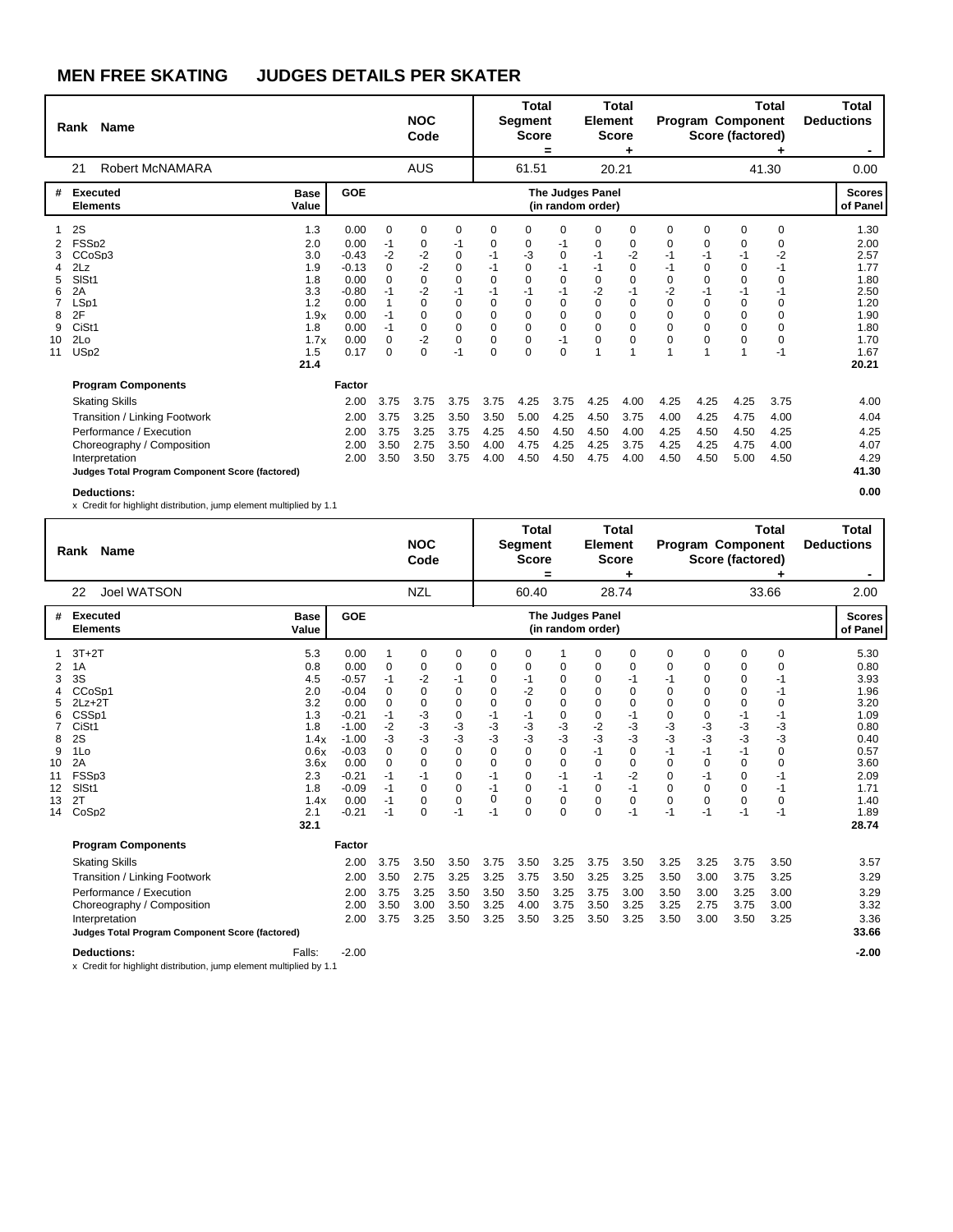|             | Rank Name                                                               |                      |                            |                                 | <b>NOC</b><br>Code                  |                                           |                                           | <b>Total</b><br>Segment<br><b>Score</b>   | $=$                                 | <b>Element</b>                               | <b>Total</b><br><b>Score</b><br>٠ |                                  |                                 | <b>Program Component</b><br>Score (factored) | <b>Total</b>              | Total<br><b>Deductions</b><br>۰ |
|-------------|-------------------------------------------------------------------------|----------------------|----------------------------|---------------------------------|-------------------------------------|-------------------------------------------|-------------------------------------------|-------------------------------------------|-------------------------------------|----------------------------------------------|-----------------------------------|----------------------------------|---------------------------------|----------------------------------------------|---------------------------|---------------------------------|
|             | Robert McNAMARA<br>21                                                   |                      |                            |                                 | <b>AUS</b>                          |                                           |                                           | 61.51                                     |                                     |                                              | 20.21                             |                                  |                                 |                                              | 41.30                     | 0.00                            |
| #           | <b>Executed</b><br><b>Elements</b>                                      | <b>Base</b><br>Value | <b>GOE</b>                 |                                 |                                     |                                           |                                           |                                           |                                     | <b>The Judges Panel</b><br>(in random order) |                                   |                                  |                                 |                                              |                           | <b>Scores</b><br>of Panel       |
| 3           | 2S<br>FSS <sub>p2</sub><br>CCoSp3                                       | 1.3<br>2.0<br>3.0    | 0.00<br>0.00<br>$-0.43$    | $\mathbf 0$<br>-1<br>$-2$       | 0<br>0<br>$-2$                      | $\mathbf 0$<br>-1<br>0                    | 0<br>0<br>-1                              | 0<br>0<br>-3                              | $\Omega$<br>-1<br>0                 | 0<br>0<br>$-1$                               | 0<br>0<br>$-2$                    | $\Omega$<br>0<br>-1              | 0<br>0<br>$-1$                  | 0<br>0<br>$-1$                               | 0<br>0<br>$-2$            | 1.30<br>2.00<br>2.57            |
| 4<br>5<br>6 | 2Lz<br>SIS <sub>t1</sub><br>2A                                          | 1.9<br>1.8<br>3.3    | $-0.13$<br>0.00<br>$-0.80$ | $\mathbf 0$<br>$\Omega$<br>$-1$ | $-2$<br>$\mathbf 0$<br>$-2$         | $\mathbf 0$<br>$\Omega$<br>$-1$           | $-1$<br>$\Omega$<br>$-1$                  | 0<br>$\mathbf 0$<br>$-1$                  | $-1$<br>$\Omega$<br>$-1$            | $-1$<br>0<br>$-2$                            | 0<br>0<br>$-1$                    | $-1$<br>$\Omega$<br>$-2$         | $\mathbf 0$<br>$\Omega$<br>$-1$ | 0<br>$\Omega$<br>$-1$                        | $-1$<br>$\Omega$<br>-1    | 1.77<br>1.80<br>2.50            |
| 8<br>9      | LSp1<br>2F<br>CiSt <sub>1</sub>                                         | 1.2<br>1.9x<br>1.8   | 0.00<br>0.00<br>0.00       | 1<br>$-1$<br>$-1$               | $\Omega$<br>$\Omega$<br>$\mathbf 0$ | $\mathbf 0$<br>$\mathbf 0$<br>$\mathbf 0$ | $\mathbf 0$<br>$\mathbf 0$<br>$\mathbf 0$ | $\mathbf 0$<br>$\mathbf 0$<br>$\mathbf 0$ | $\Omega$<br>$\Omega$<br>$\mathbf 0$ | $\Omega$<br>$\Omega$<br>$\Omega$             | 0<br>0<br>0                       | $\Omega$<br>$\Omega$<br>$\Omega$ | $\mathbf 0$<br>0<br>0           | $\mathbf 0$<br>0<br>$\mathbf 0$              | 0<br>$\Omega$<br>$\Omega$ | 1.20<br>1.90<br>1.80            |
| 10<br>11    | 2Lo<br>US <sub>p</sub> 2                                                | 1.7x<br>1.5<br>21.4  | 0.00<br>0.17               | $\Omega$<br>$\Omega$            | $-2$<br>$\Omega$                    | $\Omega$<br>$-1$                          | $\Omega$<br>$\Omega$                      | $\mathbf 0$<br>$\Omega$                   | $-1$<br>$\Omega$                    | $\Omega$                                     | 0<br>1                            | $\Omega$                         | $\Omega$<br>$\mathbf{1}$        | $\Omega$                                     | $\Omega$<br>$-1$          | 1.70<br>1.67<br>20.21           |
|             | <b>Program Components</b>                                               |                      | Factor                     |                                 |                                     |                                           |                                           |                                           |                                     |                                              |                                   |                                  |                                 |                                              |                           |                                 |
|             | <b>Skating Skills</b><br>Transition / Linking Footwork                  |                      | 2.00<br>2.00               | 3.75<br>3.75                    | 3.75<br>3.25                        | 3.75<br>3.50                              | 3.75<br>3.50                              | 4.25<br>5.00                              | 3.75<br>4.25                        | 4.25<br>4.50                                 | 4.00<br>3.75                      | 4.25<br>4.00                     | 4.25<br>4.25                    | 4.25<br>4.75                                 | 3.75<br>4.00              | 4.00<br>4.04                    |
|             | Performance / Execution<br>Choreography / Composition<br>Interpretation |                      | 2.00<br>2.00<br>2.00       | 3.75<br>3.50<br>3.50            | 3.25<br>2.75<br>3.50                | 3.75<br>3.50<br>3.75                      | 4.25<br>4.00<br>4.00                      | 4.50<br>4.75<br>4.50                      | 4.50<br>4.25<br>4.50                | 4.50<br>4.25<br>4.75                         | 4.00<br>3.75<br>4.00              | 4.25<br>4.25<br>4.50             | 4.50<br>4.25<br>4.50            | 4.50<br>4.75<br>5.00                         | 4.25<br>4.00<br>4.50      | 4.25<br>4.07<br>4.29<br>41.30   |
|             | Judges Total Program Component Score (factored)<br><b>Deductions:</b>   |                      |                            |                                 |                                     |                                           |                                           |                                           |                                     |                                              |                                   |                                  |                                 |                                              |                           | 0.00                            |

x Credit for highlight distribution, jump element multiplied by 1.1

|                                                                            | <b>Name</b><br>Rank                                                                                                                                                                                               |                                                                                                            |                                                                                                                                         |                                                                                            | <b>NOC</b><br>Code                                                                                                  |                                                                                                          |                                                                                          | Total<br><b>Segment</b><br><b>Score</b>                                                                                                        | =                                                                                                          | <b>Element</b>                                                                                      | <b>Total</b><br><b>Score</b>                                                        |                                                                                                       | <b>Program Component</b><br>Score (factored)                                                |                                                                                                           | <b>Total</b>                                                                                          | <b>Total</b><br><b>Deductions</b>                                                                                     |
|----------------------------------------------------------------------------|-------------------------------------------------------------------------------------------------------------------------------------------------------------------------------------------------------------------|------------------------------------------------------------------------------------------------------------|-----------------------------------------------------------------------------------------------------------------------------------------|--------------------------------------------------------------------------------------------|---------------------------------------------------------------------------------------------------------------------|----------------------------------------------------------------------------------------------------------|------------------------------------------------------------------------------------------|------------------------------------------------------------------------------------------------------------------------------------------------|------------------------------------------------------------------------------------------------------------|-----------------------------------------------------------------------------------------------------|-------------------------------------------------------------------------------------|-------------------------------------------------------------------------------------------------------|---------------------------------------------------------------------------------------------|-----------------------------------------------------------------------------------------------------------|-------------------------------------------------------------------------------------------------------|-----------------------------------------------------------------------------------------------------------------------|
|                                                                            | Joel WATSON<br>22                                                                                                                                                                                                 |                                                                                                            |                                                                                                                                         |                                                                                            | <b>NZL</b>                                                                                                          |                                                                                                          |                                                                                          | 60.40                                                                                                                                          |                                                                                                            |                                                                                                     | 28.74                                                                               |                                                                                                       |                                                                                             |                                                                                                           | 33.66                                                                                                 | 2.00                                                                                                                  |
| #                                                                          | Executed<br><b>Elements</b>                                                                                                                                                                                       | <b>Base</b><br>Value                                                                                       | GOE                                                                                                                                     |                                                                                            |                                                                                                                     |                                                                                                          |                                                                                          |                                                                                                                                                |                                                                                                            | The Judges Panel<br>(in random order)                                                               |                                                                                     |                                                                                                       |                                                                                             |                                                                                                           |                                                                                                       | <b>Scores</b><br>of Panel                                                                                             |
| $\overline{2}$<br>3<br>4<br>5<br>6<br>8<br>9<br>10<br>11<br>12<br>13<br>14 | $3T+2T$<br>1A<br>3S<br>CCoSp1<br>$2Lz+2T$<br>CSS <sub>p1</sub><br>CiSt1<br>2S<br>1Lo<br>2A<br>FSSp3<br>SIS <sub>t1</sub><br>2T<br>CoSp2                                                                           | 5.3<br>0.8<br>4.5<br>2.0<br>3.2<br>1.3<br>1.8<br>1.4x<br>0.6x<br>3.6x<br>2.3<br>1.8<br>1.4x<br>2.1<br>32.1 | 0.00<br>0.00<br>$-0.57$<br>$-0.04$<br>0.00<br>$-0.21$<br>$-1.00$<br>$-1.00$<br>$-0.03$<br>0.00<br>$-0.21$<br>$-0.09$<br>0.00<br>$-0.21$ | 1<br>0<br>$-1$<br>0<br>0<br>$-1$<br>$-2$<br>$-3$<br>0<br>0<br>$-1$<br>$-1$<br>$-1$<br>$-1$ | 0<br>0<br>$-2$<br>$\Omega$<br>$\Omega$<br>-3<br>-3<br>-3<br>0<br>$\Omega$<br>-1<br>$\Omega$<br>$\Omega$<br>$\Omega$ | 0<br>0<br>$-1$<br>0<br>0<br>0<br>-3<br>-3<br>0<br>$\mathbf 0$<br>0<br>$\mathbf 0$<br>$\mathbf 0$<br>$-1$ | 0<br>0<br>0<br>0<br>0<br>-1<br>-3<br>-3<br>0<br>$\mathbf 0$<br>$-1$<br>$-1$<br>0<br>$-1$ | 0<br>0<br>-1<br>-2<br>$\mathbf 0$<br>-1<br>$-3$<br>$-3$<br>$\mathbf 0$<br>$\mathbf 0$<br>$\mathbf 0$<br>$\mathbf 0$<br>$\mathbf 0$<br>$\Omega$ | 0<br>0<br>0<br>$\mathbf 0$<br>0<br>-3<br>-3<br>0<br>$\mathbf 0$<br>$-1$<br>$-1$<br>$\mathbf 0$<br>$\Omega$ | 0<br>0<br>0<br>0<br>0<br>0<br>$-2$<br>$-3$<br>$-1$<br>0<br>$-1$<br>$\Omega$<br>$\Omega$<br>$\Omega$ | 0<br>0<br>$-1$<br>0<br>0<br>$-1$<br>-3<br>-3<br>0<br>0<br>$-2$<br>$-1$<br>0<br>$-1$ | 0<br>0<br>-1<br>$\Omega$<br>0<br>0<br>-3<br>-3<br>-1<br>$\Omega$<br>0<br>$\Omega$<br>$\Omega$<br>$-1$ | 0<br>0<br>0<br>0<br>0<br>0<br>-3<br>-3<br>$-1$<br>0<br>$-1$<br>$\Omega$<br>$\Omega$<br>$-1$ | 0<br>0<br>0<br>0<br>0<br>-1<br>-3<br>-3<br>$-1$<br>$\mathbf 0$<br>$\mathbf 0$<br>$\mathbf 0$<br>0<br>$-1$ | 0<br>$\Omega$<br>-1<br>-1<br>$\Omega$<br>-1<br>-3<br>$-3$<br>0<br>0<br>-1<br>$-1$<br>$\Omega$<br>$-1$ | 5.30<br>0.80<br>3.93<br>1.96<br>3.20<br>1.09<br>0.80<br>0.40<br>0.57<br>3.60<br>2.09<br>1.71<br>1.40<br>1.89<br>28.74 |
|                                                                            | <b>Program Components</b><br><b>Skating Skills</b><br>Transition / Linking Footwork<br>Performance / Execution<br>Choreography / Composition<br>Interpretation<br>Judges Total Program Component Score (factored) |                                                                                                            | Factor<br>2.00<br>2.00<br>2.00<br>2.00<br>2.00                                                                                          | 3.75<br>3.50<br>3.75<br>3.50<br>3.75                                                       | 3.50<br>2.75<br>3.25<br>3.00<br>3.25                                                                                | 3.50<br>3.25<br>3.50<br>3.50<br>3.50                                                                     | 3.75<br>3.25<br>3.50<br>3.25<br>3.25                                                     | 3.50<br>3.75<br>3.50<br>4.00<br>3.50                                                                                                           | 3.25<br>3.50<br>3.25<br>3.75<br>3.25                                                                       | 3.75<br>3.25<br>3.75<br>3.50<br>3.50                                                                | 3.50<br>3.25<br>3.00<br>3.25<br>3.25                                                | 3.25<br>3.50<br>3.50<br>3.25<br>3.50                                                                  | 3.25<br>3.00<br>3.00<br>2.75<br>3.00                                                        | 3.75<br>3.75<br>3.25<br>3.75<br>3.50                                                                      | 3.50<br>3.25<br>3.00<br>3.00<br>3.25                                                                  | 3.57<br>3.29<br>3.29<br>3.32<br>3.36<br>33.66                                                                         |
|                                                                            | <b>Deductions:</b>                                                                                                                                                                                                | Falls:                                                                                                     | $-2.00$                                                                                                                                 |                                                                                            |                                                                                                                     |                                                                                                          |                                                                                          |                                                                                                                                                |                                                                                                            |                                                                                                     |                                                                                     |                                                                                                       |                                                                                             |                                                                                                           |                                                                                                       | $-2.00$                                                                                                               |